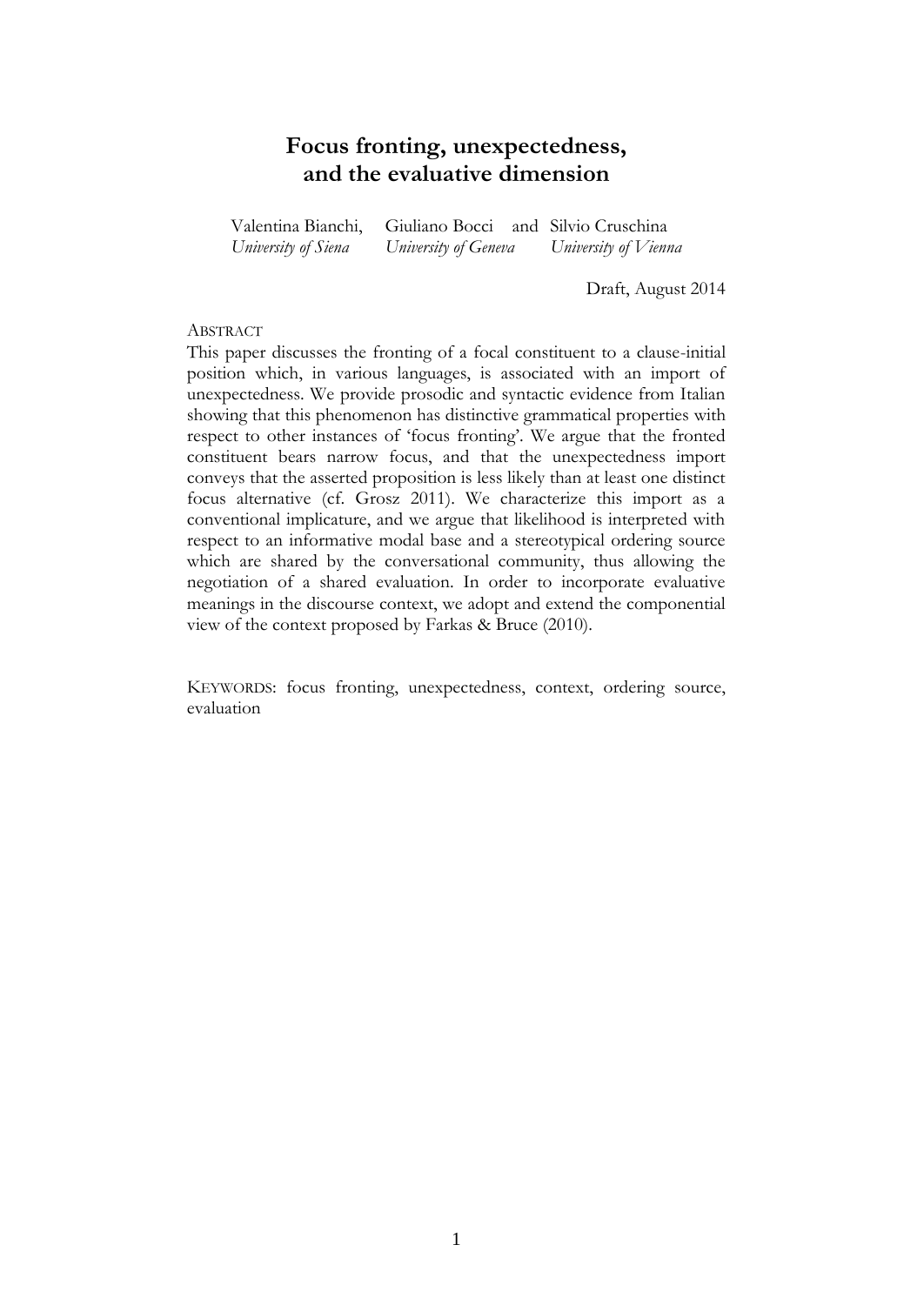# **Focus fronting, unexpectedness, and the evaluative dimension**

Valentina Bianchi, Giuliano Bocci and Silvio Cruschina *University of Siena University of Geneva University of Vienna*

Draft, August 2014

# **ABSTRACT**

This paper discusses the fronting of a focal constituent to a clause-initial position which, in various languages, is associated with an import of unexpectedness. We provide prosodic and syntactic evidence from Italian showing that this phenomenon has distinctive grammatical properties with respect to other instances of 'focus fronting'. We argue that the fronted constituent bears narrow focus, and that the unexpectedness import conveys that the asserted proposition is less likely than at least one distinct focus alternative (cf. Grosz 2011). We characterize this import as a conventional implicature, and we argue that likelihood is interpreted with respect to an informative modal base and a stereotypical ordering source which are shared by the conversational community, thus allowing the negotiation of a shared evaluation. In order to incorporate evaluative meanings in the discourse context, we adopt and extend the componential view of the context proposed by Farkas & Bruce (2010).

KEYWORDS: focus fronting, unexpectedness, context, ordering source, evaluation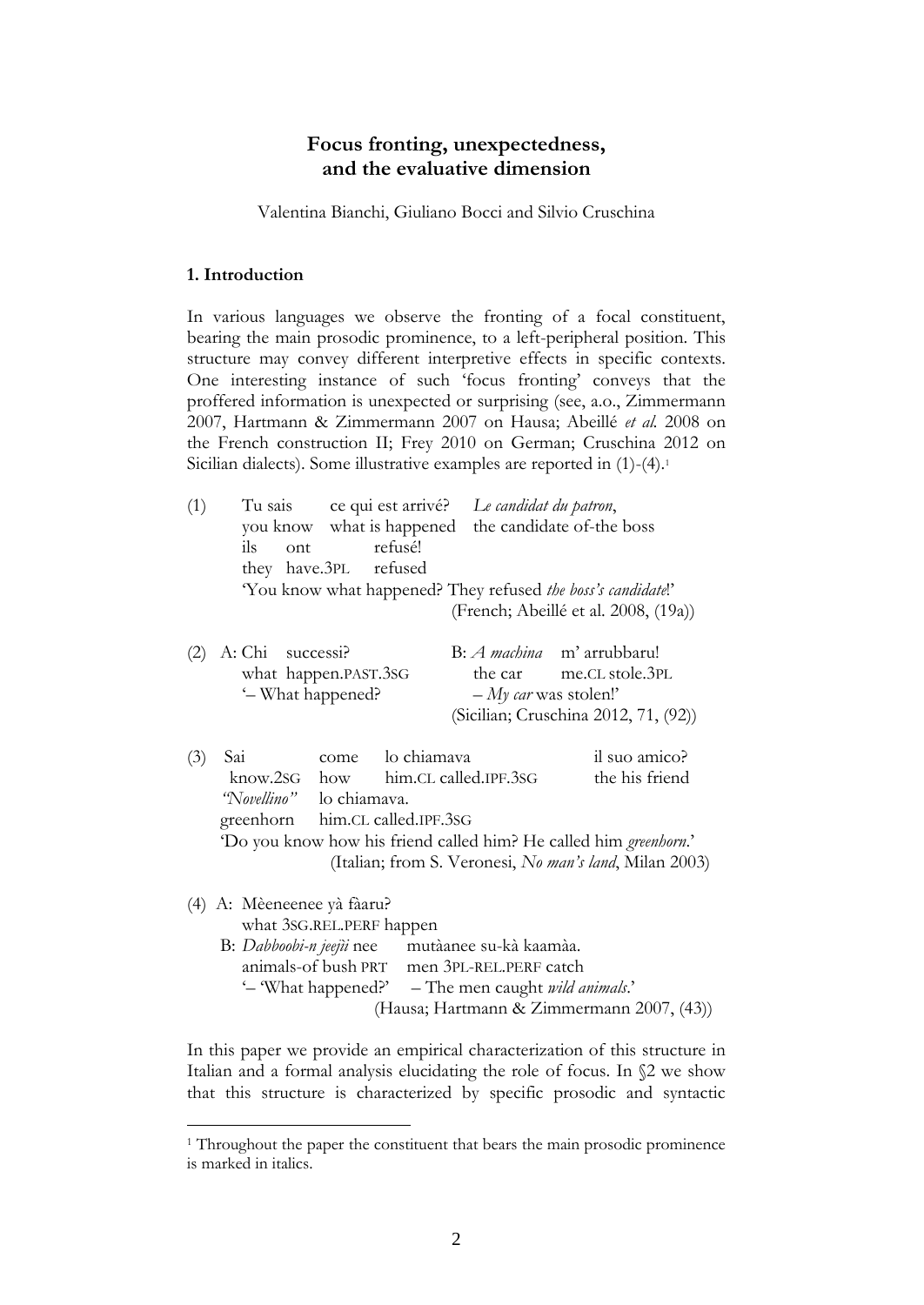# **Focus fronting, unexpectedness, and the evaluative dimension**

Valentina Bianchi, Giuliano Bocci and Silvio Cruschina

#### **1. Introduction**

1

In various languages we observe the fronting of a focal constituent, bearing the main prosodic prominence, to a left-peripheral position. This structure may convey different interpretive effects in specific contexts. One interesting instance of such 'focus fronting' conveys that the proffered information is unexpected or surprising (see, a.o., Zimmermann 2007, Hartmann & Zimmermann 2007 on Hausa; Abeillé *et al.* 2008 on the French construction II; Frey 2010 on German; Cruschina 2012 on Sicilian dialects). Some illustrative examples are reported in (1)-(4). 1

| (1) | Tu sais<br>refusé!<br>ils<br>ont<br>they have.3PL refused                                                                                                                                                              | ce qui est arrivé? Le candidat du patron,<br>you know what is happened the candidate of-the boss<br>"You know what happened? They refused <i>the boss's candidate</i> !"<br>(French; Abeillé et al. 2008, (19a)) |
|-----|------------------------------------------------------------------------------------------------------------------------------------------------------------------------------------------------------------------------|------------------------------------------------------------------------------------------------------------------------------------------------------------------------------------------------------------------|
| (2) | A: Chi successi?<br>what happen.PAST.3SG<br>'- What happened?                                                                                                                                                          | B: <i>A machina</i> m' arrubbaru!<br>the car me.CL stole.3PL<br>$-My$ car was stolen!'<br>(Sicilian; Cruschina 2012, 71, (92))                                                                                   |
| (3) | lo chiamava<br>Sai<br>come<br>know.2sG how<br>"Novellino" lo chiamava.<br>greenhorn him.CL called.IPF.3SG                                                                                                              | il suo amico?<br>the his friend<br>him.CL called.IPF.3SG<br>'Do you know how his friend called him? He called him greenhorn.'<br>(Italian; from S. Veronesi, No man's land, Milan 2003)                          |
|     | (4) A: Mèeneenee yà fàaru?<br>what 3SG.REL.PERF happen<br>B: Dabboobi-n jeejii nee mutàanee su-kà kaamàa.<br>animals-of bush PRT men 3PL-REL.PERF catch<br>'- 'What happened?' - The men caught <i>wild animals</i> .' | (Hausa; Hartmann & Zimmermann 2007, (43))                                                                                                                                                                        |

In this paper we provide an empirical characterization of this structure in Italian and a formal analysis elucidating the role of focus. In §2 we show that this structure is characterized by specific prosodic and syntactic

<sup>&</sup>lt;sup>1</sup> Throughout the paper the constituent that bears the main prosodic prominence is marked in italics.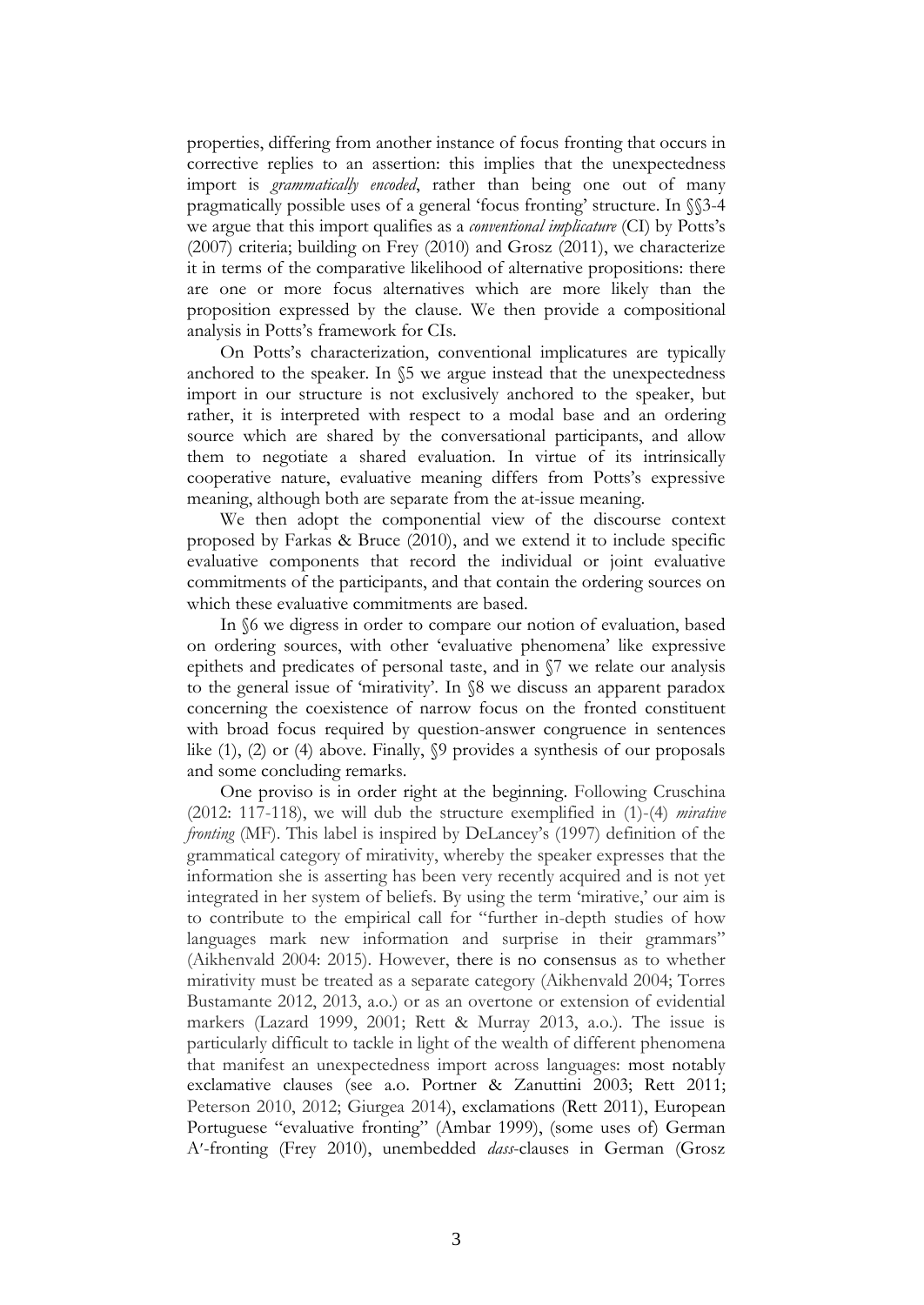properties, differing from another instance of focus fronting that occurs in corrective replies to an assertion: this implies that the unexpectedness import is *grammatically encoded*, rather than being one out of many pragmatically possible uses of a general 'focus fronting' structure. In §§3-4 we argue that this import qualifies as a *conventional implicature* (CI) by Potts's (2007) criteria; building on Frey (2010) and Grosz (2011), we characterize it in terms of the comparative likelihood of alternative propositions: there are one or more focus alternatives which are more likely than the proposition expressed by the clause. We then provide a compositional analysis in Potts's framework for CIs.

On Potts's characterization, conventional implicatures are typically anchored to the speaker. In §5 we argue instead that the unexpectedness import in our structure is not exclusively anchored to the speaker, but rather, it is interpreted with respect to a modal base and an ordering source which are shared by the conversational participants, and allow them to negotiate a shared evaluation. In virtue of its intrinsically cooperative nature, evaluative meaning differs from Potts's expressive meaning, although both are separate from the at-issue meaning.

We then adopt the componential view of the discourse context proposed by Farkas & Bruce (2010), and we extend it to include specific evaluative components that record the individual or joint evaluative commitments of the participants, and that contain the ordering sources on which these evaluative commitments are based.

In §6 we digress in order to compare our notion of evaluation, based on ordering sources, with other 'evaluative phenomena' like expressive epithets and predicates of personal taste, and in §7 we relate our analysis to the general issue of 'mirativity'. In §8 we discuss an apparent paradox concerning the coexistence of narrow focus on the fronted constituent with broad focus required by question-answer congruence in sentences like (1), (2) or (4) above. Finally, §9 provides a synthesis of our proposals and some concluding remarks.

One proviso is in order right at the beginning. Following Cruschina (2012: 117-118), we will dub the structure exemplified in (1)-(4) *mirative fronting* (MF). This label is inspired by DeLancey's (1997) definition of the grammatical category of mirativity, whereby the speaker expresses that the information she is asserting has been very recently acquired and is not yet integrated in her system of beliefs. By using the term 'mirative,' our aim is to contribute to the empirical call for "further in-depth studies of how languages mark new information and surprise in their grammars" (Aikhenvald 2004: 2015). However, there is no consensus as to whether mirativity must be treated as a separate category (Aikhenvald 2004; Torres Bustamante 2012, 2013, a.o.) or as an overtone or extension of evidential markers (Lazard 1999, 2001; Rett & Murray 2013, a.o.). The issue is particularly difficult to tackle in light of the wealth of different phenomena that manifest an unexpectedness import across languages: most notably exclamative clauses (see a.o. Portner & Zanuttini 2003; Rett 2011; Peterson 2010, 2012; Giurgea 2014), exclamations (Rett 2011), European Portuguese "evaluative fronting" (Ambar 1999), (some uses of) German A-fronting (Frey 2010), unembedded *dass*-clauses in German (Grosz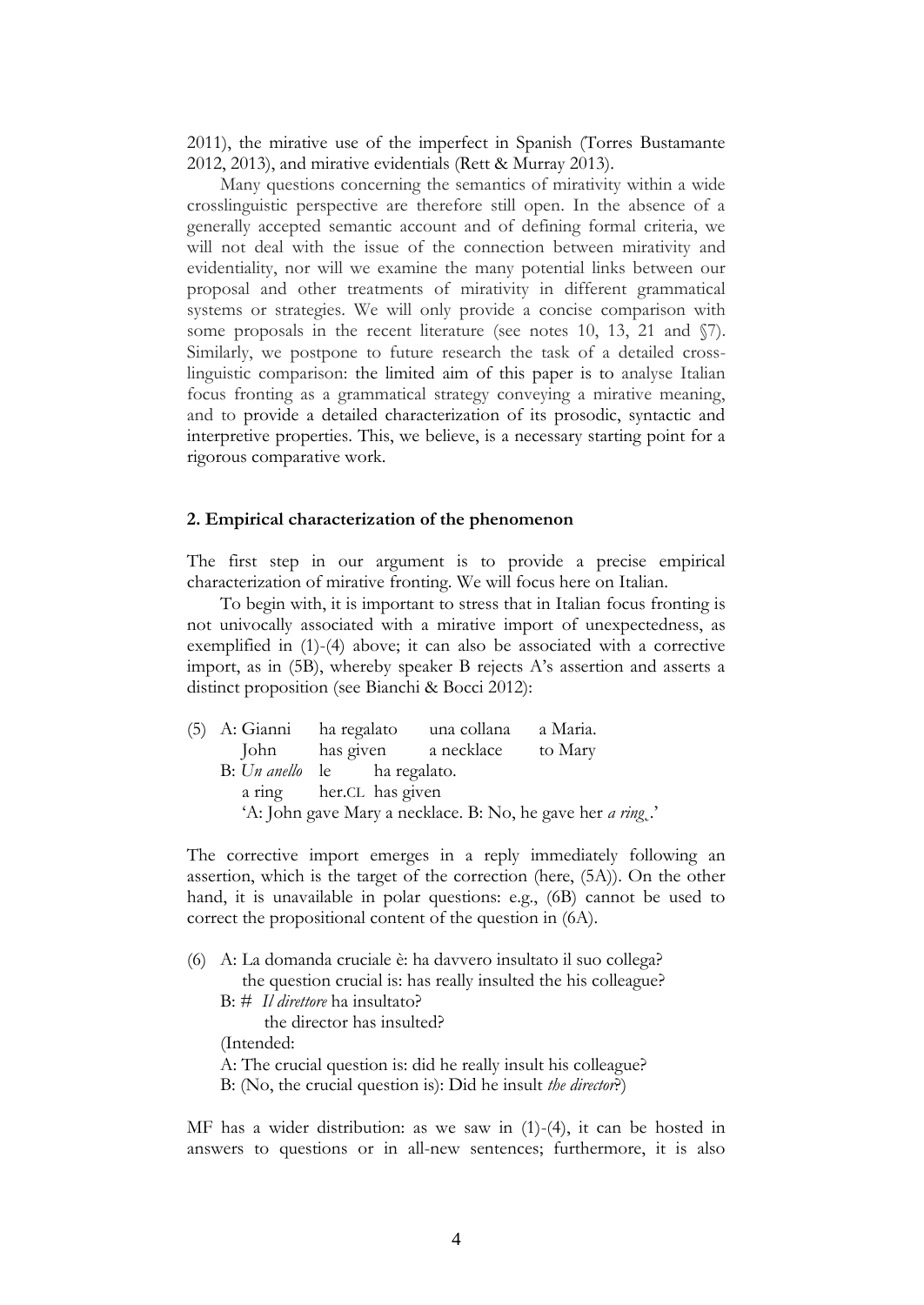2011), the mirative use of the imperfect in Spanish (Torres Bustamante 2012, 2013), and mirative evidentials (Rett & Murray 2013).

Many questions concerning the semantics of mirativity within a wide crosslinguistic perspective are therefore still open. In the absence of a generally accepted semantic account and of defining formal criteria, we will not deal with the issue of the connection between mirativity and evidentiality, nor will we examine the many potential links between our proposal and other treatments of mirativity in different grammatical systems or strategies. We will only provide a concise comparison with some proposals in the recent literature (see notes 10, 13, 21 and  $\sqrt{7}$ ). Similarly, we postpone to future research the task of a detailed crosslinguistic comparison: the limited aim of this paper is to analyse Italian focus fronting as a grammatical strategy conveying a mirative meaning, and to provide a detailed characterization of its prosodic, syntactic and interpretive properties. This, we believe, is a necessary starting point for a rigorous comparative work.

#### **2. Empirical characterization of the phenomenon**

The first step in our argument is to provide a precise empirical characterization of mirative fronting. We will focus here on Italian.

To begin with, it is important to stress that in Italian focus fronting is not univocally associated with a mirative import of unexpectedness, as exemplified in (1)-(4) above; it can also be associated with a corrective import, as in (5B), whereby speaker B rejects A's assertion and asserts a distinct proposition (see Bianchi & Bocci 2012):

| (5) A: Gianni ha regalato    |  | una collana               | a Maria.                                                           |  |
|------------------------------|--|---------------------------|--------------------------------------------------------------------|--|
|                              |  | John has given a necklace | to Mary                                                            |  |
| B: Un anello le ha regalato. |  |                           |                                                                    |  |
| a ring her.CL has given      |  |                           |                                                                    |  |
|                              |  |                           | 'A: John gave Mary a necklace. B: No, he gave her <i>a ring</i> .' |  |

The corrective import emerges in a reply immediately following an assertion, which is the target of the correction (here, (5A)). On the other hand, it is unavailable in polar questions: e.g., (6B) cannot be used to correct the propositional content of the question in (6A).

(6) A: La domanda cruciale è: ha davvero insultato il suo collega? the question crucial is: has really insulted the his colleague? B: # *Il direttore* ha insultato? the director has insulted? (Intended: A: The crucial question is: did he really insult his colleague? B: (No, the crucial question is): Did he insult *the director*?)

MF has a wider distribution: as we saw in (1)-(4), it can be hosted in answers to questions or in all-new sentences; furthermore, it is also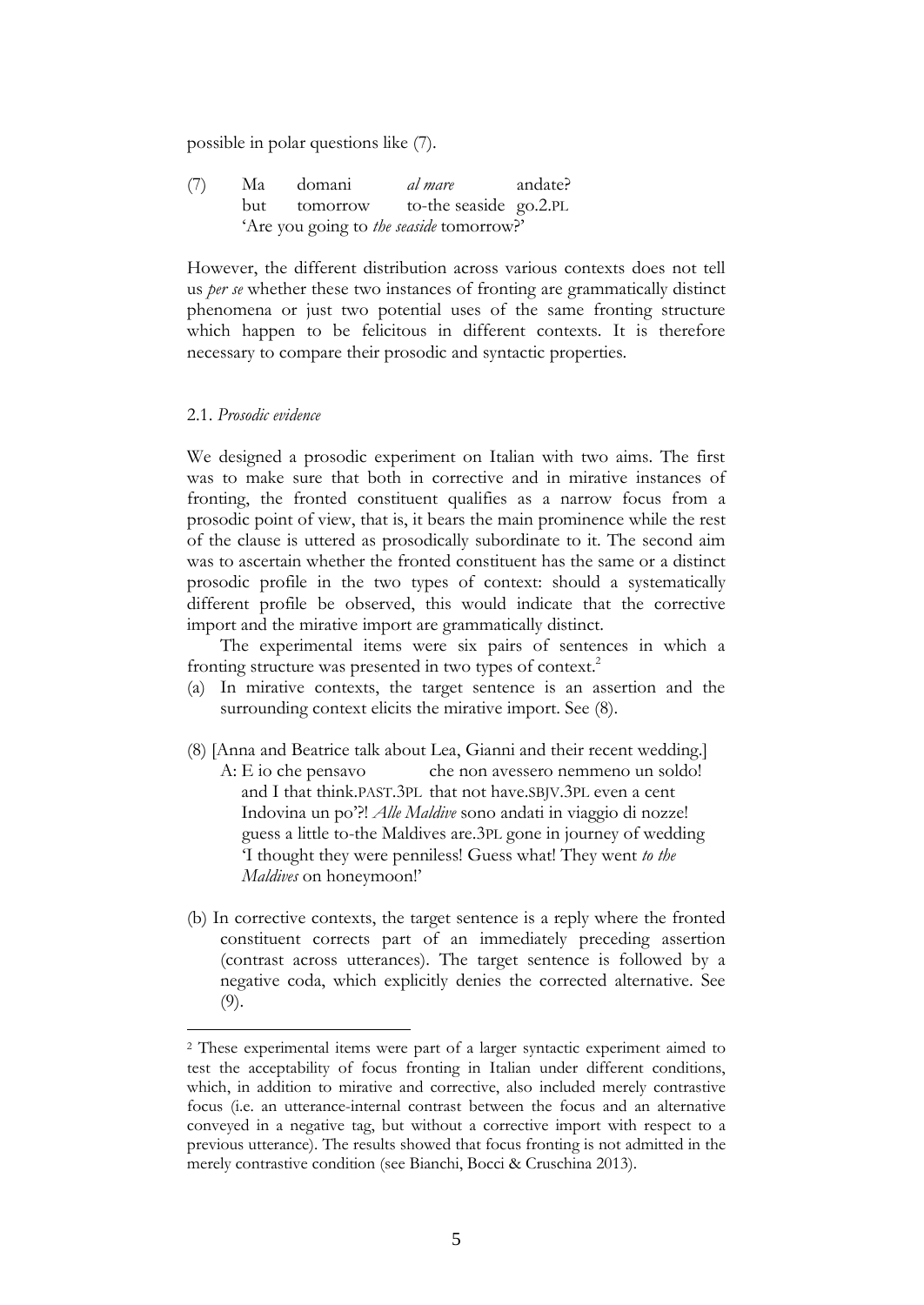possible in polar questions like (7).

(7) Ma domani *al mare* andate? but tomorrow to-the seaside go.2.PL 'Are you going to *the seaside* tomorrow?'

However, the different distribution across various contexts does not tell us *per se* whether these two instances of fronting are grammatically distinct phenomena or just two potential uses of the same fronting structure which happen to be felicitous in different contexts. It is therefore necessary to compare their prosodic and syntactic properties.

# 2.1. *Prosodic evidence*

1

We designed a prosodic experiment on Italian with two aims. The first was to make sure that both in corrective and in mirative instances of fronting, the fronted constituent qualifies as a narrow focus from a prosodic point of view, that is, it bears the main prominence while the rest of the clause is uttered as prosodically subordinate to it. The second aim was to ascertain whether the fronted constituent has the same or a distinct prosodic profile in the two types of context: should a systematically different profile be observed, this would indicate that the corrective import and the mirative import are grammatically distinct.

The experimental items were six pairs of sentences in which a fronting structure was presented in two types of context. 2

- (a) In mirative contexts, the target sentence is an assertion and the surrounding context elicits the mirative import. See (8).
- (8) [Anna and Beatrice talk about Lea, Gianni and their recent wedding.] A: E io che pensavo che non avessero nemmeno un soldo! and I that think.PAST.3PL that not have.SBJV.3PL even a cent Indovina un po'?! *Alle Maldive* sono andati in viaggio di nozze! guess a little to-the Maldives are.3PL gone in journey of wedding 'I thought they were penniless! Guess what! They went *to the Maldives* on honeymoon!'
- (b) In corrective contexts, the target sentence is a reply where the fronted constituent corrects part of an immediately preceding assertion (contrast across utterances). The target sentence is followed by a negative coda, which explicitly denies the corrected alternative. See (9).

<sup>2</sup> These experimental items were part of a larger syntactic experiment aimed to test the acceptability of focus fronting in Italian under different conditions, which, in addition to mirative and corrective, also included merely contrastive focus (i.e. an utterance-internal contrast between the focus and an alternative conveyed in a negative tag, but without a corrective import with respect to a previous utterance). The results showed that focus fronting is not admitted in the merely contrastive condition (see Bianchi, Bocci & Cruschina 2013).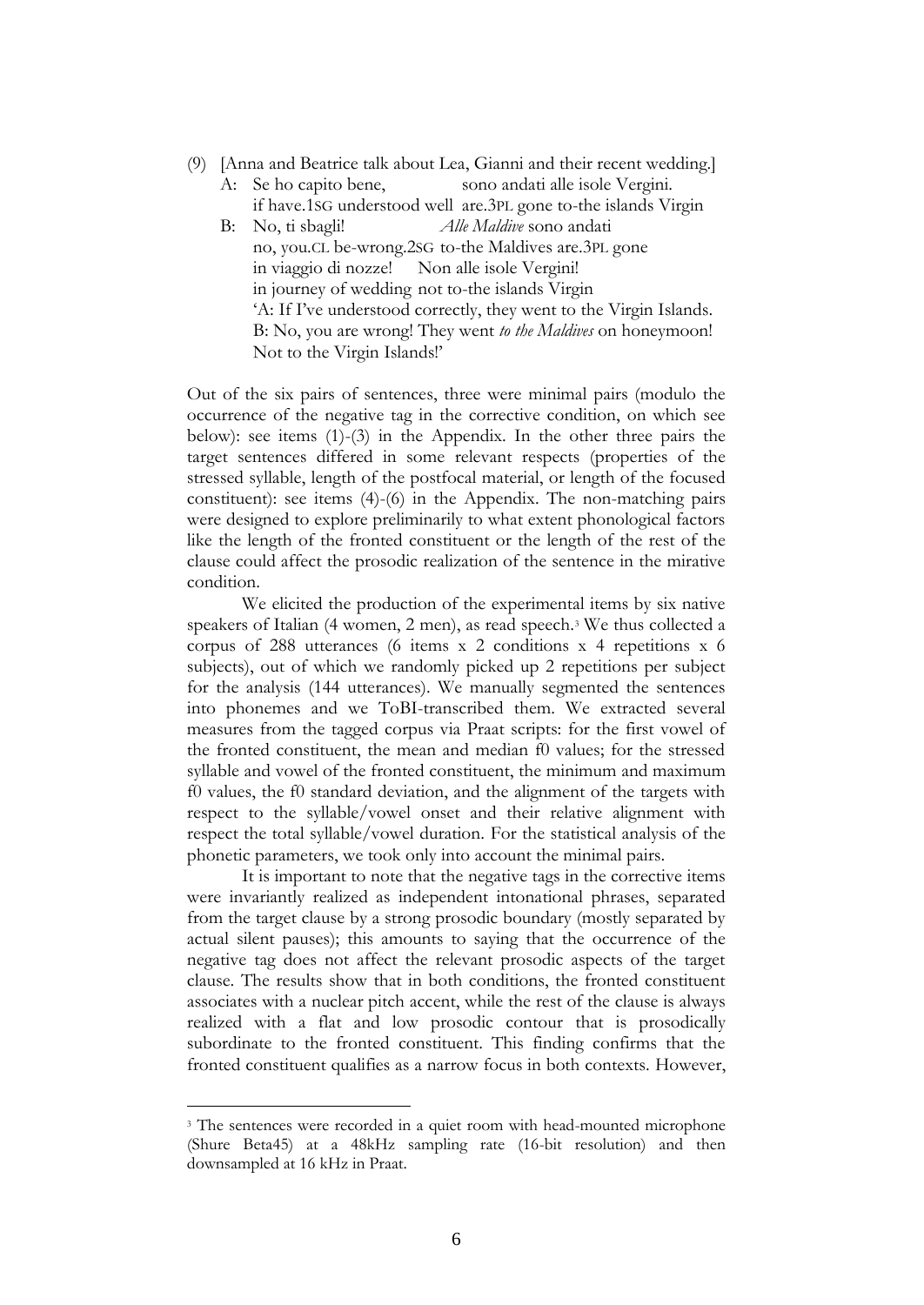- (9) [Anna and Beatrice talk about Lea, Gianni and their recent wedding.]
	- A: Se ho capito bene, sono andati alle isole Vergini. if have.1SG understood well are.3PL gone to-the islands Virgin
	- B: No, ti sbagli! *Alle Maldive* sono andati no, you.CL be-wrong.2SG to-the Maldives are.3PL gone in viaggio di nozze! Non alle isole Vergini! in journey of wedding not to-the islands Virgin 'A: If I've understood correctly, they went to the Virgin Islands. B: No, you are wrong! They went *to the Maldives* on honeymoon! Not to the Virgin Islands!'

Out of the six pairs of sentences, three were minimal pairs (modulo the occurrence of the negative tag in the corrective condition, on which see below): see items (1)-(3) in the Appendix. In the other three pairs the target sentences differed in some relevant respects (properties of the stressed syllable, length of the postfocal material, or length of the focused constituent): see items (4)-(6) in the Appendix. The non-matching pairs were designed to explore preliminarily to what extent phonological factors like the length of the fronted constituent or the length of the rest of the clause could affect the prosodic realization of the sentence in the mirative condition.

We elicited the production of the experimental items by six native speakers of Italian (4 women, 2 men), as read speech.<sup>3</sup> We thus collected a corpus of 288 utterances (6 items x 2 conditions x 4 repetitions x 6 subjects), out of which we randomly picked up 2 repetitions per subject for the analysis (144 utterances). We manually segmented the sentences into phonemes and we ToBI-transcribed them. We extracted several measures from the tagged corpus via Praat scripts: for the first vowel of the fronted constituent, the mean and median f0 values; for the stressed syllable and vowel of the fronted constituent, the minimum and maximum f0 values, the f0 standard deviation, and the alignment of the targets with respect to the syllable/vowel onset and their relative alignment with respect the total syllable/vowel duration. For the statistical analysis of the phonetic parameters, we took only into account the minimal pairs.

It is important to note that the negative tags in the corrective items were invariantly realized as independent intonational phrases, separated from the target clause by a strong prosodic boundary (mostly separated by actual silent pauses); this amounts to saying that the occurrence of the negative tag does not affect the relevant prosodic aspects of the target clause. The results show that in both conditions, the fronted constituent associates with a nuclear pitch accent, while the rest of the clause is always realized with a flat and low prosodic contour that is prosodically subordinate to the fronted constituent. This finding confirms that the fronted constituent qualifies as a narrow focus in both contexts. However,

<sup>&</sup>lt;sup>3</sup> The sentences were recorded in a quiet room with head-mounted microphone (Shure Beta45) at a 48kHz sampling rate (16-bit resolution) and then downsampled at 16 kHz in Praat.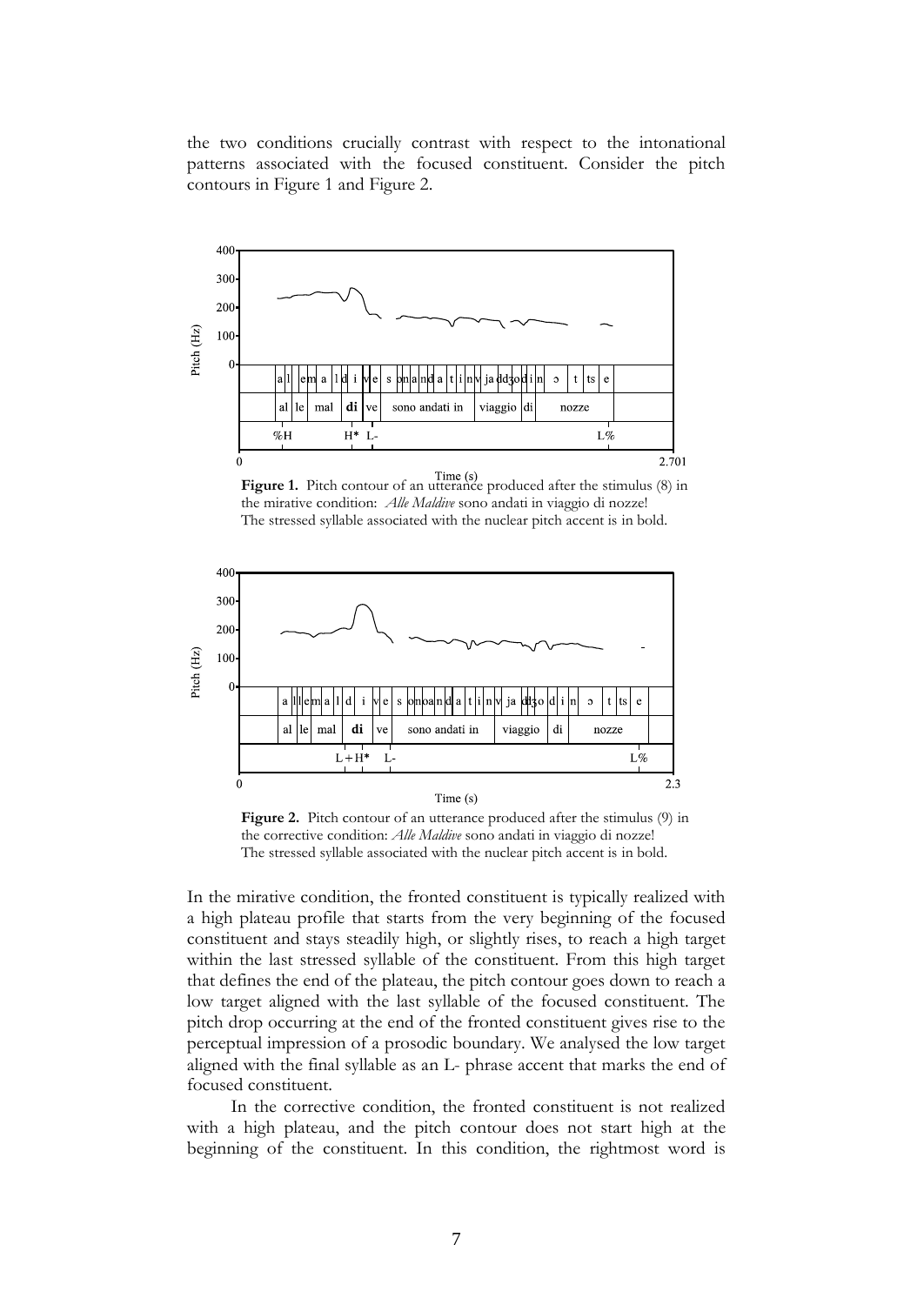the two conditions crucially contrast with respect to the intonational patterns associated with the focused constituent. Consider the pitch contours in Figure 1 and Figure 2.



**Figure 1.** Pitch contour of an utterance produced after the stimulus (8) in the mirative condition: *Alle Maldive* sono andati in viaggio di nozze! The stressed syllable associated with the nuclear pitch accent is in bold.



Figure 2. Pitch contour of an utterance produced after the stimulus (9) in the corrective condition: *Alle Maldive* sono andati in viaggio di nozze! The stressed syllable associated with the nuclear pitch accent is in bold.

In the mirative condition, the fronted constituent is typically realized with a high plateau profile that starts from the very beginning of the focused constituent and stays steadily high, or slightly rises, to reach a high target within the last stressed syllable of the constituent. From this high target that defines the end of the plateau, the pitch contour goes down to reach a low target aligned with the last syllable of the focused constituent. The pitch drop occurring at the end of the fronted constituent gives rise to the perceptual impression of a prosodic boundary. We analysed the low target aligned with the final syllable as an L- phrase accent that marks the end of focused constituent.

In the corrective condition, the fronted constituent is not realized with a high plateau, and the pitch contour does not start high at the beginning of the constituent. In this condition, the rightmost word is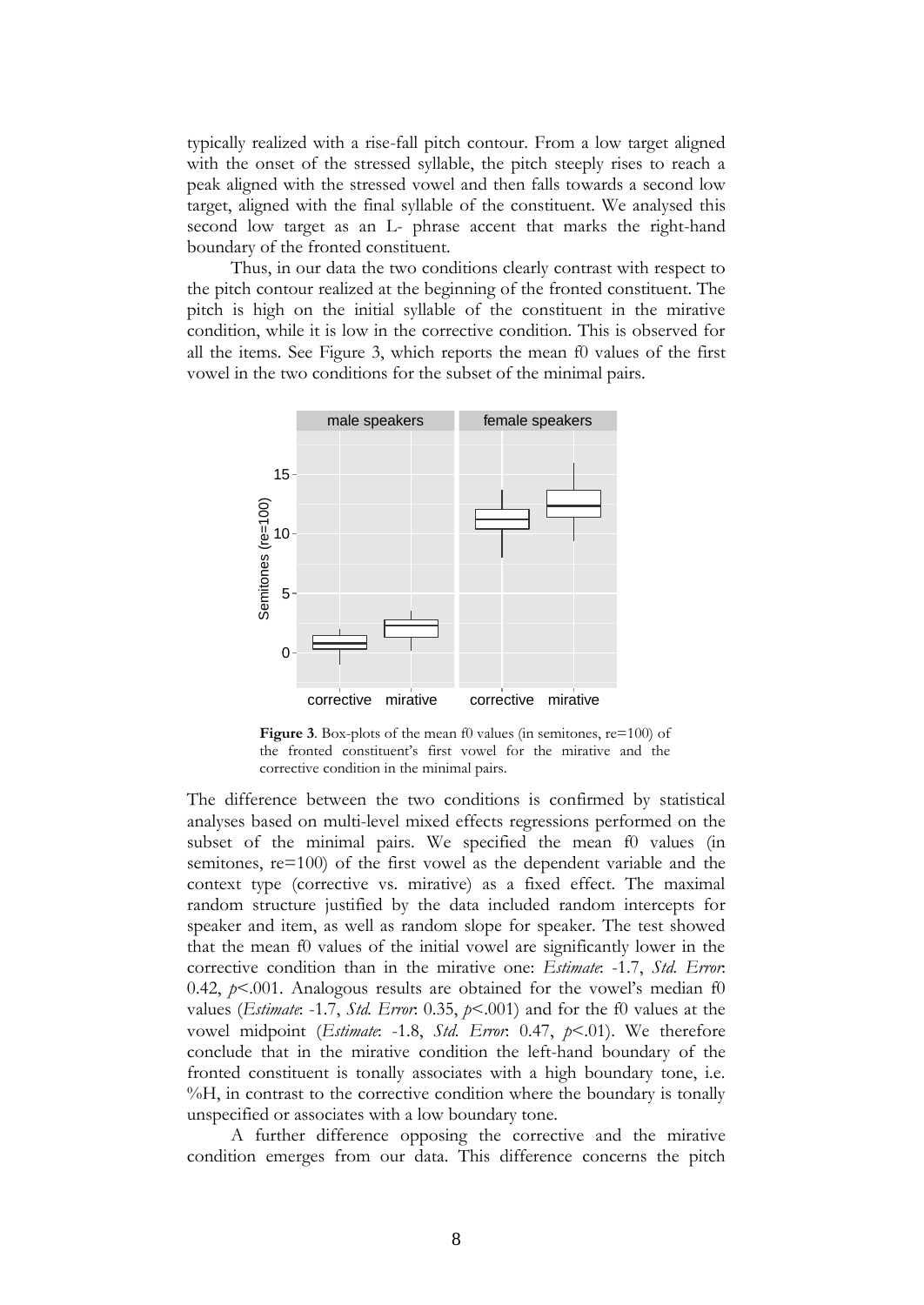typically realized with a rise-fall pitch contour. From a low target aligned with the onset of the stressed syllable, the pitch steeply rises to reach a peak aligned with the stressed vowel and then falls towards a second low target, aligned with the final syllable of the constituent. We analysed this second low target as an L- phrase accent that marks the right-hand boundary of the fronted constituent.

Thus, in our data the two conditions clearly contrast with respect to the pitch contour realized at the beginning of the fronted constituent. The pitch is high on the initial syllable of the constituent in the mirative condition, while it is low in the corrective condition. This is observed for all the items. See Figure 3, which reports the mean f0 values of the first vowel in the two conditions for the subset of the minimal pairs.



**Figure 3.** Box-plots of the mean f0 values (in semitones, re=100) of the fronted constituent's first vowel for the mirative and the corrective condition in the minimal pairs.

The difference between the two conditions is confirmed by statistical analyses based on multi-level mixed effects regressions performed on the subset of the minimal pairs. We specified the mean f0 values (in semitones, re=100) of the first vowel as the dependent variable and the context type (corrective vs. mirative) as a fixed effect. The maximal random structure justified by the data included random intercepts for speaker and item, as well as random slope for speaker. The test showed that the mean f0 values of the initial vowel are significantly lower in the corrective condition than in the mirative one: *Estimate*: -1.7, *Std. Error*: 0.42,  $p<$  0.01. Analogous results are obtained for the vowel's median f0 values (*Estimate*: -1.7, *Std. Error*: 0.35, *p*<.001) and for the f0 values at the vowel midpoint (*Estimate*: -1.8, *Std. Error*: 0.47, *p*<.01). We therefore conclude that in the mirative condition the left-hand boundary of the fronted constituent is tonally associates with a high boundary tone, i.e. %H, in contrast to the corrective condition where the boundary is tonally unspecified or associates with a low boundary tone.

A further difference opposing the corrective and the mirative condition emerges from our data. This difference concerns the pitch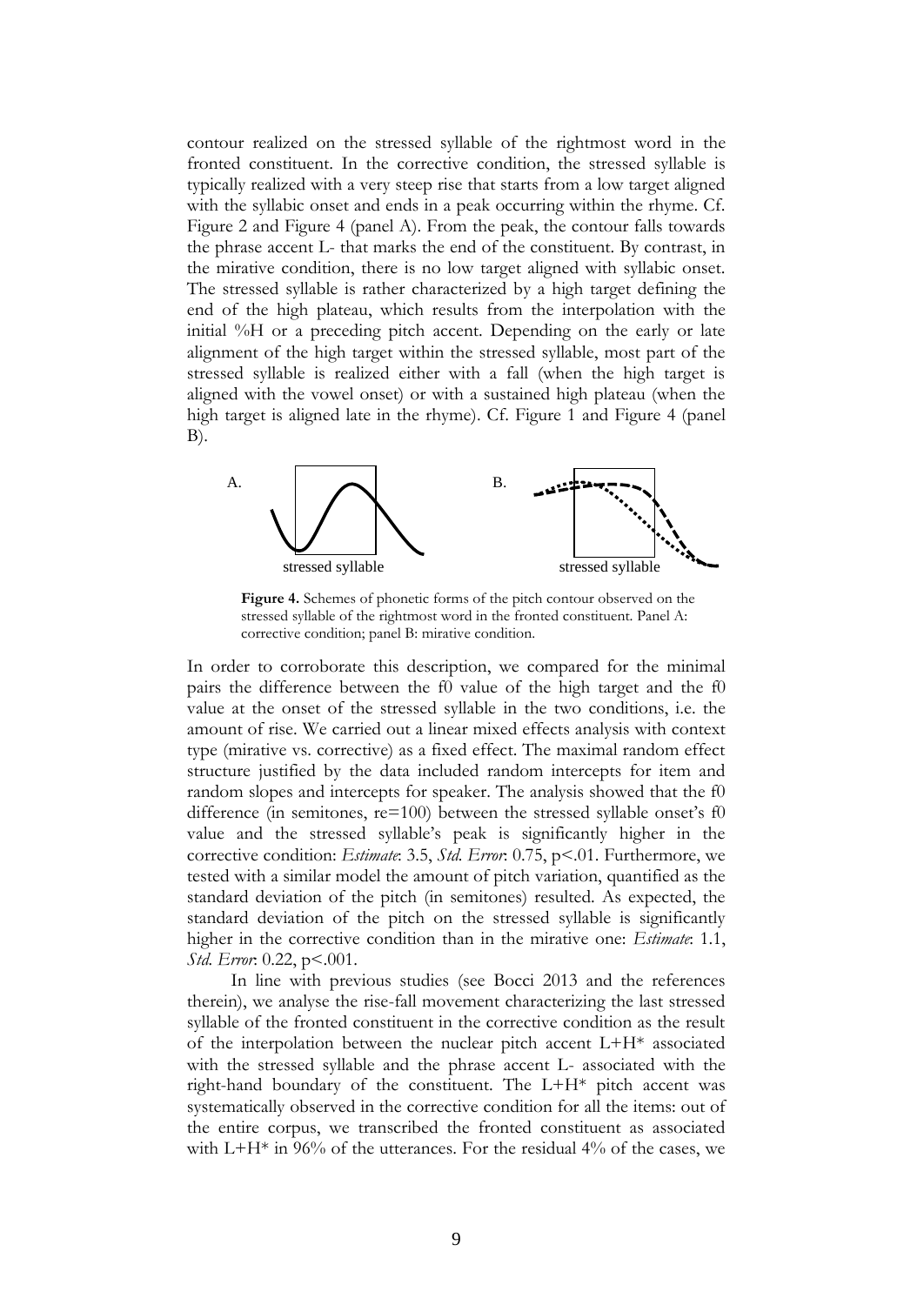contour realized on the stressed syllable of the rightmost word in the fronted constituent. In the corrective condition, the stressed syllable is typically realized with a very steep rise that starts from a low target aligned with the syllabic onset and ends in a peak occurring within the rhyme. Cf. Figure 2 and Figure 4 (panel A). From the peak, the contour falls towards the phrase accent L- that marks the end of the constituent. By contrast, in the mirative condition, there is no low target aligned with syllabic onset. The stressed syllable is rather characterized by a high target defining the end of the high plateau, which results from the interpolation with the initial %H or a preceding pitch accent. Depending on the early or late alignment of the high target within the stressed syllable, most part of the stressed syllable is realized either with a fall (when the high target is aligned with the vowel onset) or with a sustained high plateau (when the high target is aligned late in the rhyme). Cf. Figure 1 and Figure 4 (panel B).



**Figure 4.** Schemes of phonetic forms of the pitch contour observed on the stressed syllable of the rightmost word in the fronted constituent. Panel A: corrective condition; panel B: mirative condition.

In order to corroborate this description, we compared for the minimal pairs the difference between the f0 value of the high target and the f0 value at the onset of the stressed syllable in the two conditions, i.e. the amount of rise. We carried out a linear mixed effects analysis with context type (mirative vs. corrective) as a fixed effect. The maximal random effect structure justified by the data included random intercepts for item and random slopes and intercepts for speaker. The analysis showed that the f0 difference (in semitones, re=100) between the stressed syllable onset's f0 value and the stressed syllable's peak is significantly higher in the corrective condition: *Estimate*: 3.5, *Std. Error*: 0.75, p<.01. Furthermore, we tested with a similar model the amount of pitch variation, quantified as the standard deviation of the pitch (in semitones) resulted. As expected, the standard deviation of the pitch on the stressed syllable is significantly higher in the corrective condition than in the mirative one: *Estimate*: 1.1, *Std. Error*: 0.22, p<.001.

In line with previous studies (see Bocci 2013 and the references therein), we analyse the rise-fall movement characterizing the last stressed syllable of the fronted constituent in the corrective condition as the result of the interpolation between the nuclear pitch accent L+H\* associated with the stressed syllable and the phrase accent L- associated with the right-hand boundary of the constituent. The L+H\* pitch accent was systematically observed in the corrective condition for all the items: out of the entire corpus, we transcribed the fronted constituent as associated with  $L+H^*$  in 96% of the utterances. For the residual 4% of the cases, we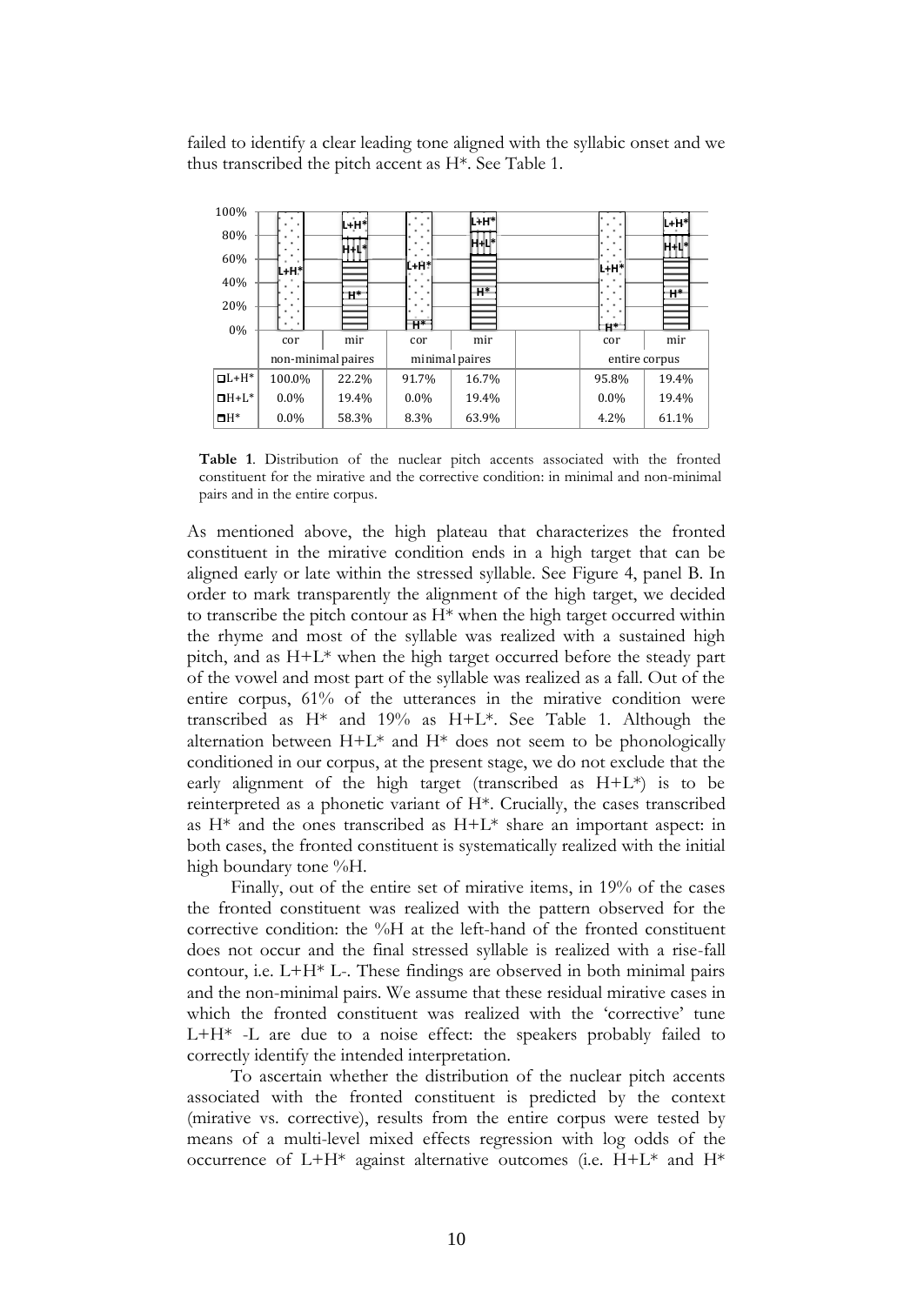failed to identify a clear leading tone aligned with the syllabic onset and we thus transcribed the pitch accent as H\*. See Table 1.

| 100%           |                    | lL+H*l |         | l+H*           |                        | L+H*          |
|----------------|--------------------|--------|---------|----------------|------------------------|---------------|
| 80%            |                    |        | ٠       | H+Li*          |                        |               |
| 60%            |                    | H 10*  |         |                |                        | HН            |
| 40%            | lu H*l             |        | L+H*l   |                | iL+H*l                 |               |
|                |                    | $H^*$  | ٠<br>٠  | $H^*$          |                        | $H^*$         |
| 20%            |                    |        |         |                |                        |               |
| 0%             |                    |        | $H^*$   |                | $\mathbf{H}^{\bullet}$ |               |
|                | cor                | mir    | cor     | mir            | cor                    | mir           |
|                | non-minimal paires |        |         | minimal paires |                        | entire corpus |
| $\Box L + H^*$ | 100.0%             | 22.2%  | 91.7%   | 16.7%          | 95.8%                  | 19.4%         |
| $\Box H + L^*$ | $0.0\%$            | 19.4%  | $0.0\%$ | 19.4%          | $0.0\%$                | 19.4%         |
| $H^*$          | $0.0\%$            | 58.3%  | 8.3%    | 63.9%          | 4.2%                   | 61.1%         |

**Table 1**. Distribution of the nuclear pitch accents associated with the fronted constituent for the mirative and the corrective condition: in minimal and non-minimal pairs and in the entire corpus.

As mentioned above, the high plateau that characterizes the fronted constituent in the mirative condition ends in a high target that can be aligned early or late within the stressed syllable. See Figure 4, panel B. In order to mark transparently the alignment of the high target, we decided to transcribe the pitch contour as H\* when the high target occurred within the rhyme and most of the syllable was realized with a sustained high pitch, and as H+L\* when the high target occurred before the steady part of the vowel and most part of the syllable was realized as a fall. Out of the entire corpus, 61% of the utterances in the mirative condition were transcribed as H\* and 19% as H+L\*. See Table 1. Although the alternation between  $H+L^*$  and  $H^*$  does not seem to be phonologically conditioned in our corpus, at the present stage, we do not exclude that the early alignment of the high target (transcribed as  $H+L^*$ ) is to be reinterpreted as a phonetic variant of H\*. Crucially, the cases transcribed as  $H^*$  and the ones transcribed as  $H^+L^*$  share an important aspect: in both cases, the fronted constituent is systematically realized with the initial high boundary tone %H.

Finally, out of the entire set of mirative items, in 19% of the cases the fronted constituent was realized with the pattern observed for the corrective condition: the %H at the left-hand of the fronted constituent does not occur and the final stressed syllable is realized with a rise-fall contour, i.e. L+H\* L-. These findings are observed in both minimal pairs and the non-minimal pairs. We assume that these residual mirative cases in which the fronted constituent was realized with the 'corrective' tune L+H\* -L are due to a noise effect: the speakers probably failed to correctly identify the intended interpretation.

To ascertain whether the distribution of the nuclear pitch accents associated with the fronted constituent is predicted by the context (mirative vs. corrective), results from the entire corpus were tested by means of a multi-level mixed effects regression with log odds of the occurrence of  $L+H^*$  against alternative outcomes (i.e.  $H+L^*$  and  $H^*$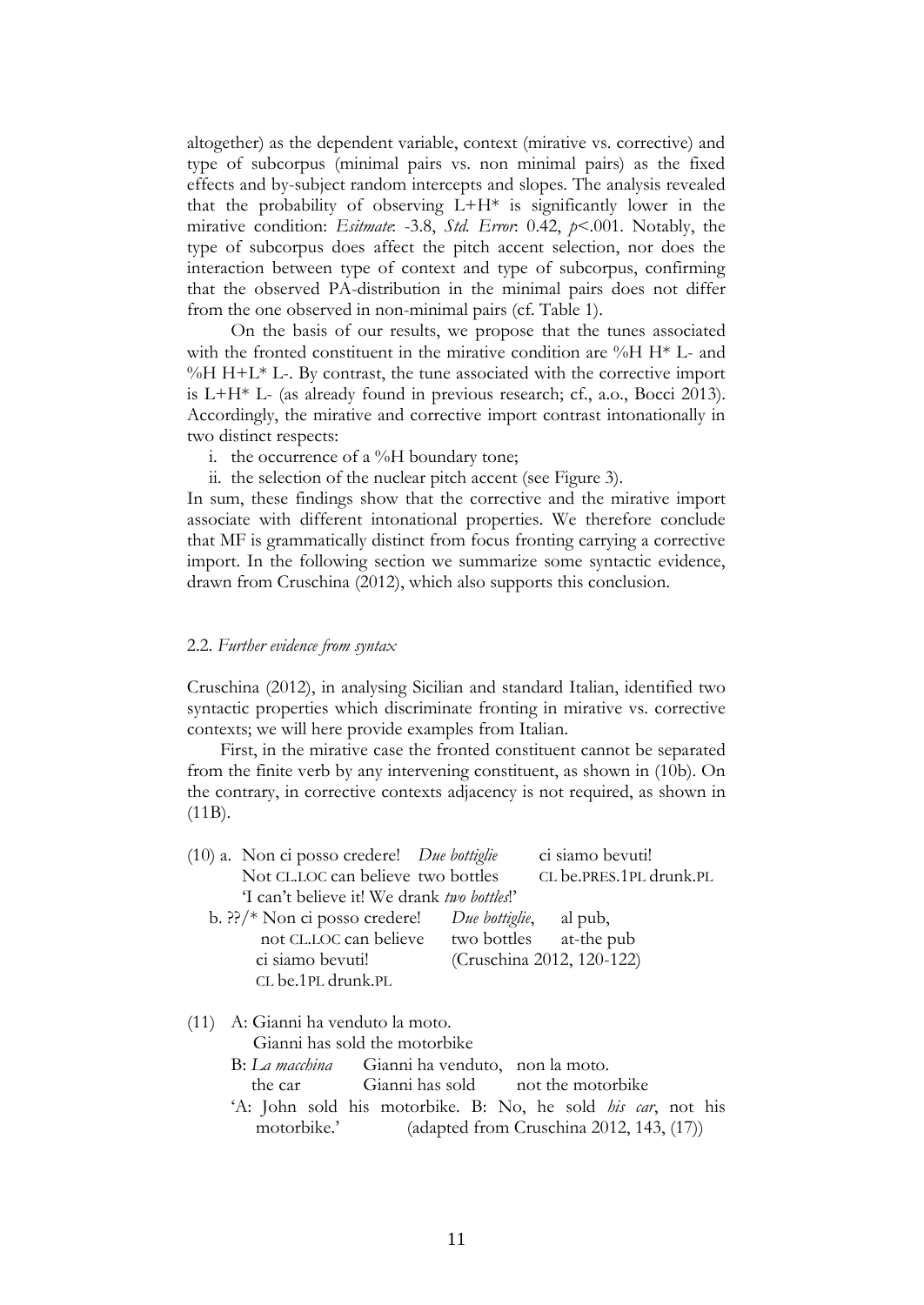altogether) as the dependent variable, context (mirative vs. corrective) and type of subcorpus (minimal pairs vs. non minimal pairs) as the fixed effects and by-subject random intercepts and slopes. The analysis revealed that the probability of observing  $L+H^*$  is significantly lower in the mirative condition: *Esitmate*: -3.8, *Std. Error*: 0.42, *p*<.001. Notably, the type of subcorpus does affect the pitch accent selection, nor does the interaction between type of context and type of subcorpus, confirming that the observed PA-distribution in the minimal pairs does not differ from the one observed in non-minimal pairs (cf. Table 1).

On the basis of our results, we propose that the tunes associated with the fronted constituent in the mirative condition are  $%$ H  $H^*$  L- and  $\%$ H H+L<sup>\*</sup> L-. By contrast, the tune associated with the corrective import is L+H\* L- (as already found in previous research; cf., a.o., Bocci 2013). Accordingly, the mirative and corrective import contrast intonationally in two distinct respects:

- i. the occurrence of a  $\%$ H boundary tone;
- ii. the selection of the nuclear pitch accent (see Figure 3).

In sum, these findings show that the corrective and the mirative import associate with different intonational properties. We therefore conclude that MF is grammatically distinct from focus fronting carrying a corrective import. In the following section we summarize some syntactic evidence, drawn from Cruschina (2012), which also supports this conclusion.

#### 2.2. *Further evidence from syntax*

Cruschina (2012), in analysing Sicilian and standard Italian, identified two syntactic properties which discriminate fronting in mirative vs. corrective contexts; we will here provide examples from Italian.

First, in the mirative case the fronted constituent cannot be separated from the finite verb by any intervening constituent, as shown in (10b). On the contrary, in corrective contexts adjacency is not required, as shown in (11B).

| $(10)$ a. Non ci posso credere! <i>Due bottiglie</i>                 | ci siamo bevuti!          |  |
|----------------------------------------------------------------------|---------------------------|--|
| Not CL.LOC can believe two bottles                                   | CL be.PRES.1PL drunk.PL   |  |
| T can't believe it! We drank <i>two bottles!</i>                     |                           |  |
| b. ??/* Non ci posso credere! <i>Due bottiglie</i> , al pub,         |                           |  |
| not CL.LOC can believe two bottles at-the pub                        |                           |  |
| ci siamo bevuti!                                                     | (Cruschina 2012, 120-122) |  |
| CL be.1PL drunk.PL                                                   |                           |  |
| (11) A: Gianni ha venduto la moto.                                   |                           |  |
| Gianni has sold the motorbike                                        |                           |  |
| B: La macchina Gianni ha venduto, non la moto.                       |                           |  |
| the car Gianni has sold not the motorbike                            |                           |  |
| 'A: John sold his motorbike. B: No, he sold <i>his car</i> , not his |                           |  |

motorbike.' (adapted from Cruschina 2012, 143, (17))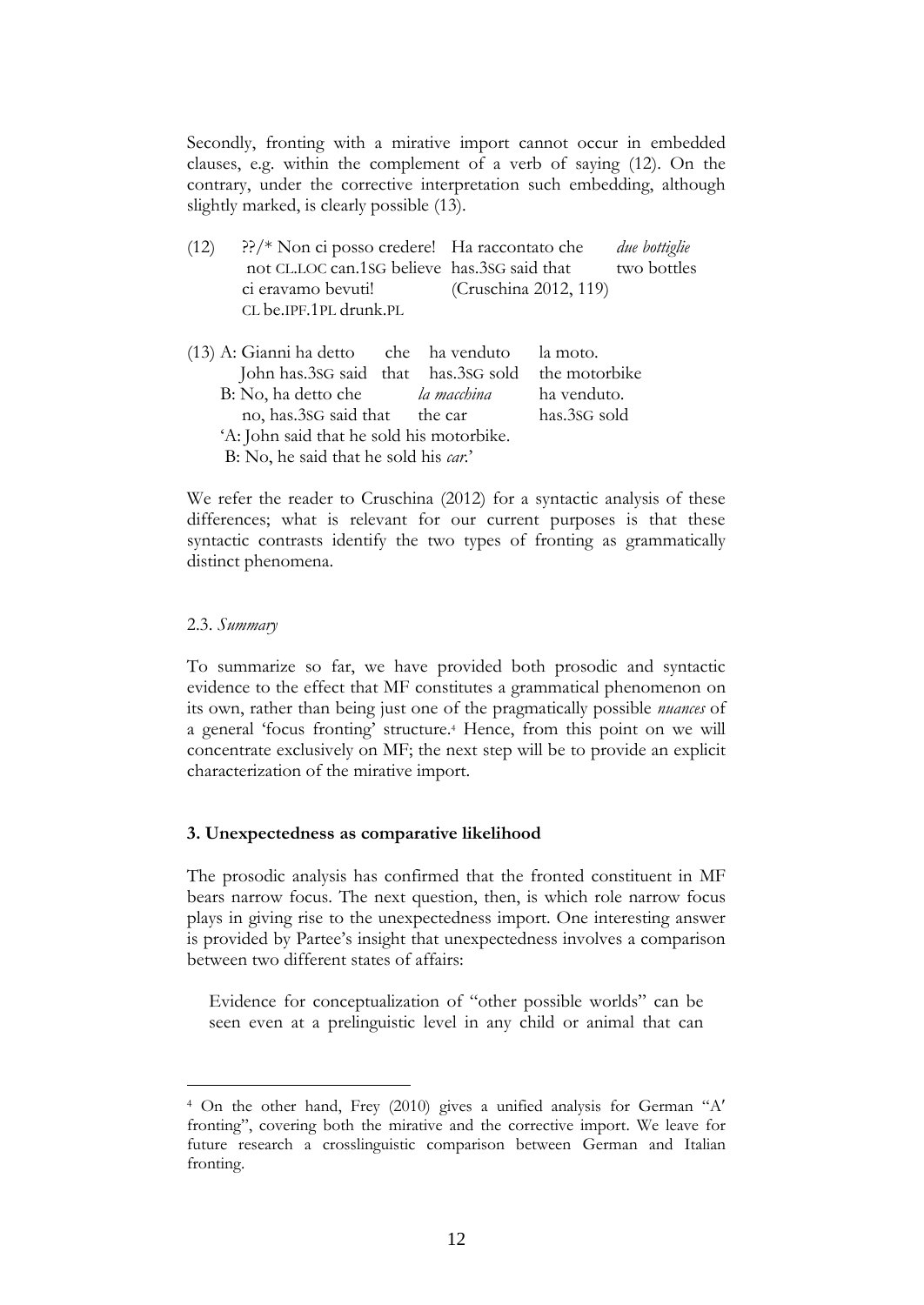Secondly, fronting with a mirative import cannot occur in embedded clauses, e.g. within the complement of a verb of saying (12). On the contrary, under the corrective interpretation such embedding, although slightly marked, is clearly possible (13).

| (12) | $\frac{?}{?}$ Non ci posso credere! Ha raccontato che |                       | due bottiglie |
|------|-------------------------------------------------------|-----------------------|---------------|
|      | not CL.LOC can.1sG believe has 3sG said that          |                       | two bottles   |
|      | ci eravamo bevuti!                                    | (Cruschina 2012, 119) |               |
|      | CL be.IPF.1PL drunk.PL                                |                       |               |

(13) A: Gianni ha detto che ha venduto la moto. John has.3SG said that has.3SG sold the motorbike B: No, ha detto che *la macchina* ha venduto. no, has.3SG said that the car has.3SG sold 'A: John said that he sold his motorbike. B: No, he said that he sold his *car.*'

We refer the reader to Cruschina (2012) for a syntactic analysis of these differences; what is relevant for our current purposes is that these syntactic contrasts identify the two types of fronting as grammatically distinct phenomena.

## 2.3. *Summary*

1

To summarize so far, we have provided both prosodic and syntactic evidence to the effect that MF constitutes a grammatical phenomenon on its own, rather than being just one of the pragmatically possible *nuances* of a general 'focus fronting' structure. <sup>4</sup> Hence, from this point on we will concentrate exclusively on MF; the next step will be to provide an explicit characterization of the mirative import.

#### **3. Unexpectedness as comparative likelihood**

The prosodic analysis has confirmed that the fronted constituent in MF bears narrow focus. The next question, then, is which role narrow focus plays in giving rise to the unexpectedness import. One interesting answer is provided by Partee's insight that unexpectedness involves a comparison between two different states of affairs:

Evidence for conceptualization of "other possible worlds" can be seen even at a prelinguistic level in any child or animal that can

<sup>4</sup> On the other hand, Frey (2010) gives a unified analysis for German "A fronting", covering both the mirative and the corrective import. We leave for future research a crosslinguistic comparison between German and Italian fronting.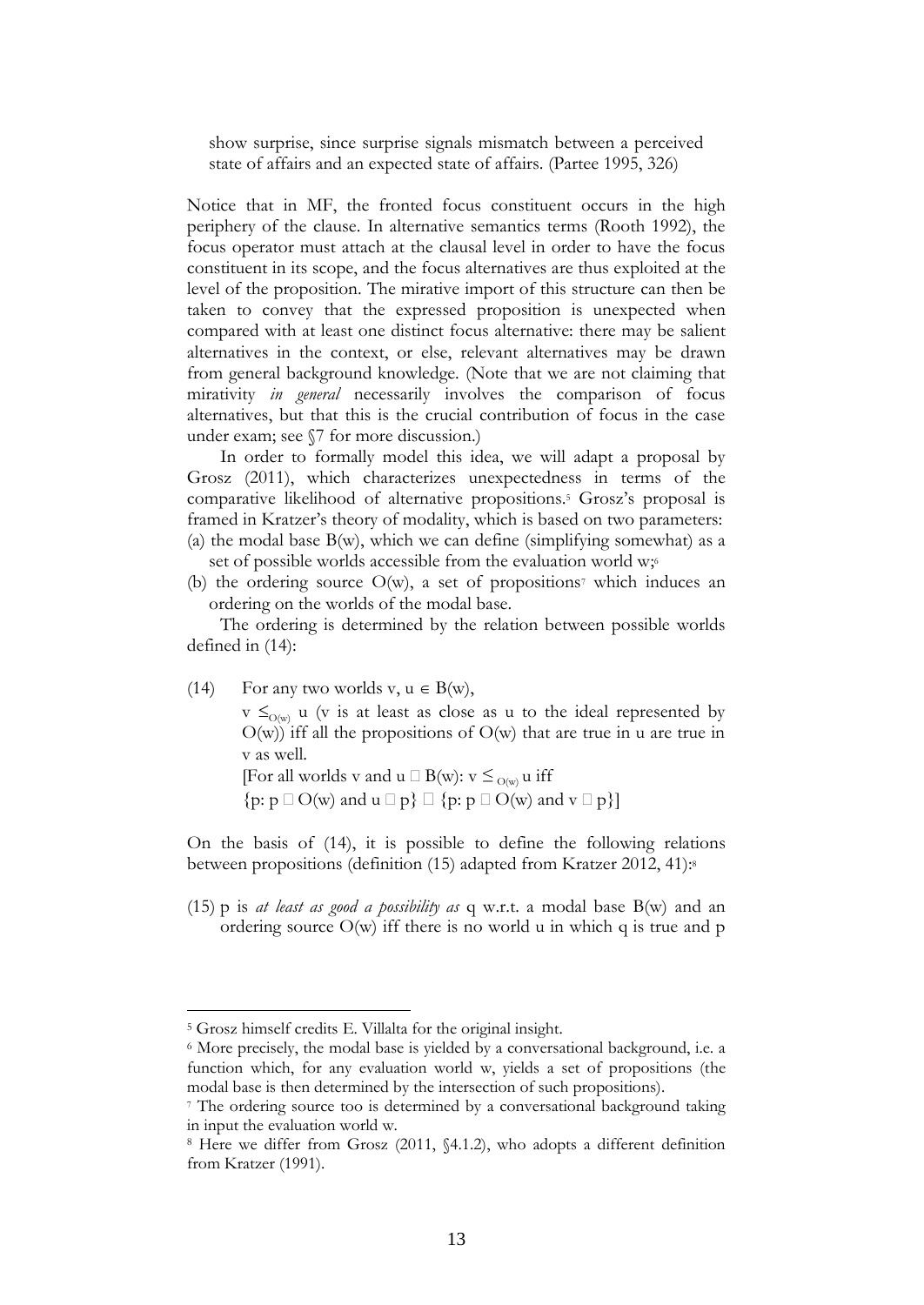show surprise, since surprise signals mismatch between a perceived state of affairs and an expected state of affairs. (Partee 1995, 326)

Notice that in MF, the fronted focus constituent occurs in the high periphery of the clause. In alternative semantics terms (Rooth 1992), the focus operator must attach at the clausal level in order to have the focus constituent in its scope, and the focus alternatives are thus exploited at the level of the proposition. The mirative import of this structure can then be taken to convey that the expressed proposition is unexpected when compared with at least one distinct focus alternative: there may be salient alternatives in the context, or else, relevant alternatives may be drawn from general background knowledge. (Note that we are not claiming that mirativity *in general* necessarily involves the comparison of focus alternatives, but that this is the crucial contribution of focus in the case under exam; see §7 for more discussion.)

In order to formally model this idea, we will adapt a proposal by Grosz (2011), which characterizes unexpectedness in terms of the comparative likelihood of alternative propositions.<sup>5</sup> Grosz's proposal is framed in Kratzer's theory of modality, which is based on two parameters: (a) the modal base  $B(w)$ , which we can define (simplifying somewhat) as a set of possible worlds accessible from the evaluation world w;

(b) the ordering source  $O(w)$ , a set of propositions<sup>7</sup> which induces an ordering on the worlds of the modal base.

The ordering is determined by the relation between possible worlds defined in (14):

(14) For any two worlds v,  $u \in B(w)$ ,

 $v \leq_{\Omega(w)} u$  (v is at least as close as u to the ideal represented by  $O(w)$ ) iff all the propositions of  $O(w)$  that are true in u are true in v as well.

[For all worlds v and  $u \Box B(w)$ :  $v \leq_{O(w)} u$  iff

 $\{p: p \square O(w) \text{ and } u \square p\} \square \{p: p \square O(w) \text{ and } v \square p\}\$ 

On the basis of (14), it is possible to define the following relations between propositions (definition (15) adapted from Kratzer 2012, 41):<sup>8</sup>

(15) p is *at least as good a possibility as* q w.r.t. a modal base B(w) and an ordering source O(w) iff there is no world u in which q is true and p

<sup>5</sup> Grosz himself credits E. Villalta for the original insight.

<sup>6</sup> More precisely, the modal base is yielded by a conversational background, i.e. a function which, for any evaluation world w, yields a set of propositions (the modal base is then determined by the intersection of such propositions).

<sup>&</sup>lt;sup>7</sup> The ordering source too is determined by a conversational background taking in input the evaluation world w.

<sup>8</sup> Here we differ from Grosz (2011, §4.1.2), who adopts a different definition from Kratzer (1991).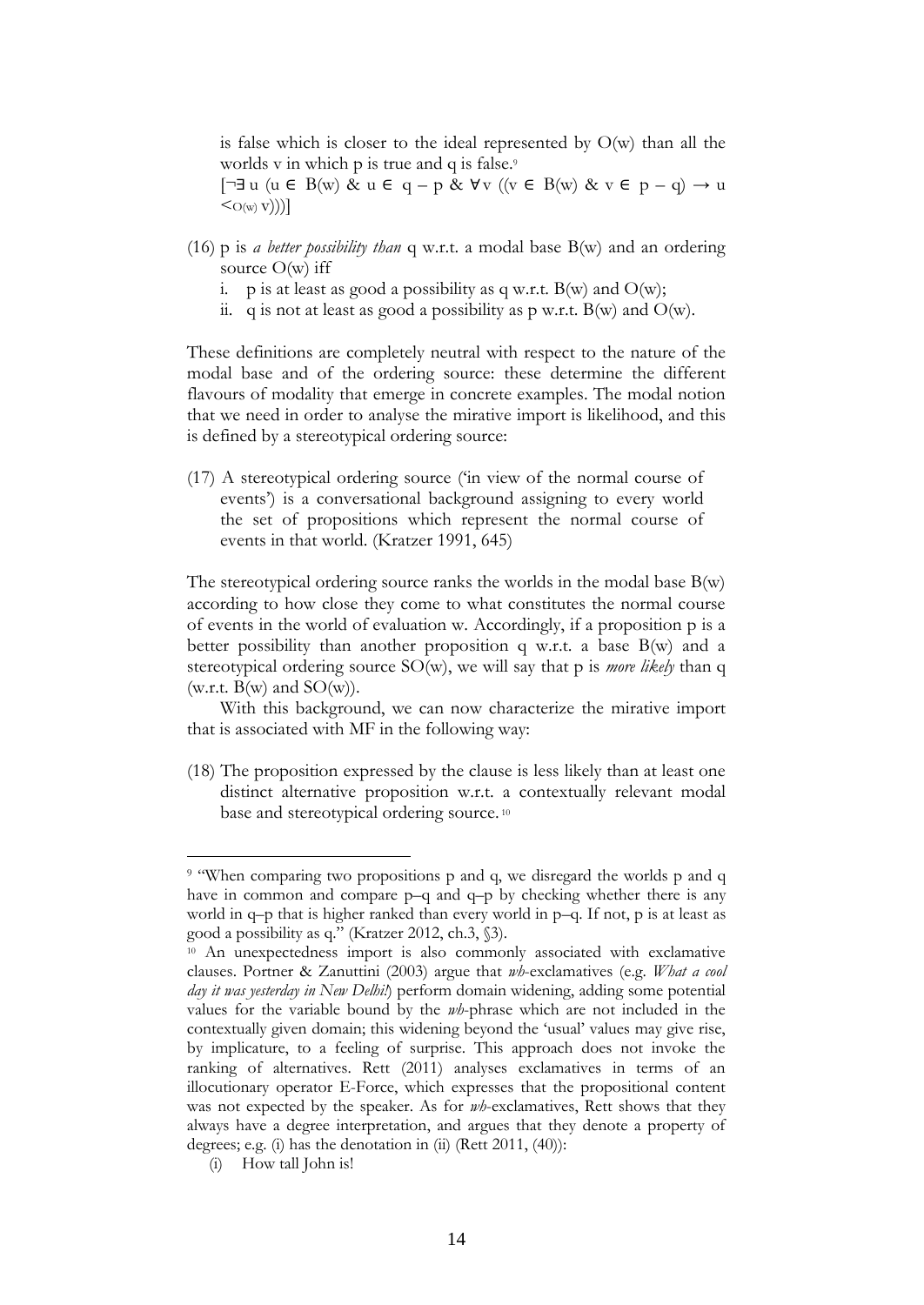is false which is closer to the ideal represented by O(w) than all the worlds v in which p is true and q is false.<sup>9</sup>

[¬∃ u (u ∈ B(w) & u ∈ q – p & ∀v ((v ∈ B(w) & v ∈ p – q) → u  $\langle O(w, v) \rangle$ ]

- (16) p is *a better possibility than* q w.r.t. a modal base B(w) and an ordering source  $O(w)$  iff
	- i. p is at least as good a possibility as q w.r.t.  $B(w)$  and  $O(w)$ ;
	- ii. q is not at least as good a possibility as p w.r.t.  $B(w)$  and  $O(w)$ .

These definitions are completely neutral with respect to the nature of the modal base and of the ordering source: these determine the different flavours of modality that emerge in concrete examples. The modal notion that we need in order to analyse the mirative import is likelihood, and this is defined by a stereotypical ordering source:

(17) A stereotypical ordering source ('in view of the normal course of events') is a conversational background assigning to every world the set of propositions which represent the normal course of events in that world. (Kratzer 1991, 645)

The stereotypical ordering source ranks the worlds in the modal base  $B(w)$ according to how close they come to what constitutes the normal course of events in the world of evaluation w. Accordingly, if a proposition p is a better possibility than another proposition q w.r.t. a base B(w) and a stereotypical ordering source SO(w), we will say that p is *more likely* than q (w.r.t.  $B(w)$  and  $SO(w)$ ).

With this background, we can now characterize the mirative import that is associated with MF in the following way:

(18) The proposition expressed by the clause is less likely than at least one distinct alternative proposition w.r.t. a contextually relevant modal base and stereotypical ordering source. <sup>10</sup>

<sup>9</sup> "When comparing two propositions p and q, we disregard the worlds p and q have in common and compare p–q and q–p by checking whether there is any world in q–p that is higher ranked than every world in p–q. If not, p is at least as good a possibility as q." (Kratzer 2012, ch.3, §3).

<sup>10</sup> An unexpectedness import is also commonly associated with exclamative clauses. Portner & Zanuttini (2003) argue that *wh*-exclamatives (e.g. *What a cool day it was yesterday in New Delhi!*) perform domain widening, adding some potential values for the variable bound by the *wh*-phrase which are not included in the contextually given domain; this widening beyond the 'usual' values may give rise, by implicature, to a feeling of surprise. This approach does not invoke the ranking of alternatives. Rett (2011) analyses exclamatives in terms of an illocutionary operator E-Force, which expresses that the propositional content was not expected by the speaker. As for *wh*-exclamatives, Rett shows that they always have a degree interpretation, and argues that they denote a property of degrees; e.g. (i) has the denotation in (ii) (Rett 2011, (40)):

<sup>(</sup>i) How tall John is!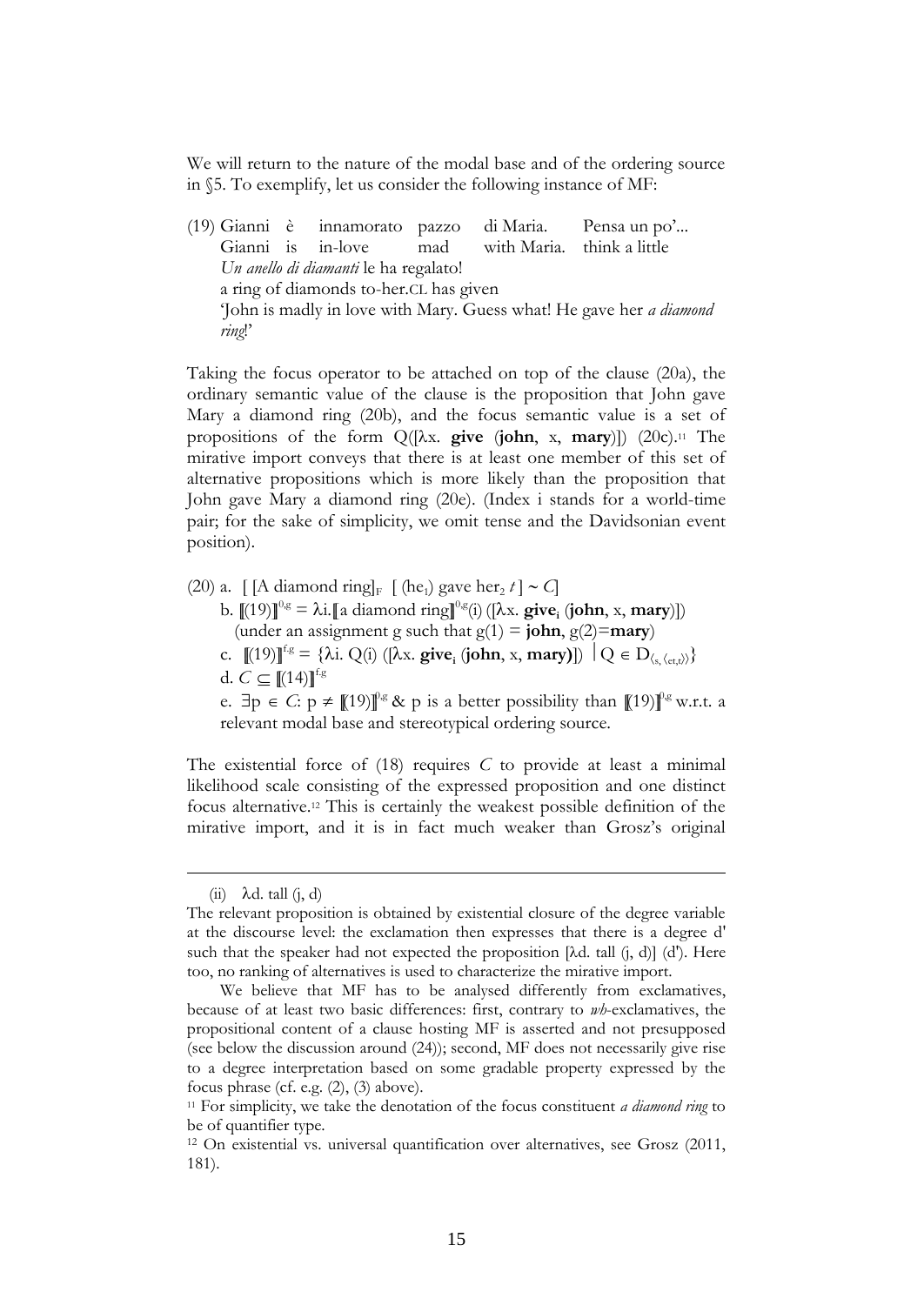We will return to the nature of the modal base and of the ordering source in §5. To exemplify, let us consider the following instance of MF:

(19) Gianni è innamorato pazzo di Maria. Pensa un po'... Gianni is in-love mad with Maria. think a little *Un anello di diamanti* le ha regalato! a ring of diamonds to-her.CL has given 'John is madly in love with Mary. Guess what! He gave her *a diamond ring*!'

Taking the focus operator to be attached on top of the clause (20a), the ordinary semantic value of the clause is the proposition that John gave Mary a diamond ring (20b), and the focus semantic value is a set of propositions of the form Q([x. **give** (**john**, x, **mary**)]) (20c).<sup>11</sup> The mirative import conveys that there is at least one member of this set of alternative propositions which is more likely than the proposition that John gave Mary a diamond ring (20e). (Index i stands for a world-time pair; for the sake of simplicity, we omit tense and the Davidsonian event position).

- (20) a. [[A diamond ring]<sub>F</sub> [(he<sub>1</sub>) gave her<sub>2</sub> t] ~ C]
	- b.  $[(19)]^{\log} = \lambda i$ . [a diamond ring]<sup>0,g</sup>(i) ([ $\lambda$ x. **give**<sub>i</sub> (**john**, x, **mary**)]) (under an assignment g such that  $g(1) = \textbf{john}, g(2) = \textbf{mary}$ )
	- c.  $[(19)]^{\text{fg}} = {\lambda i}$ . Q(i) ([ $\lambda x$ . **give**<sub>i</sub> (**john**, x, **mary**)])  $\big| Q \in D_{\langle s, \langle e, t, t \rangle \rangle} \}$
	- d.  $C \subset [(14)]^{\text{fg}}$

e.  $\exists p \in C: p \neq \mathcal{F}[19] \mathcal{F}^g$  & p is a better possibility than  $\mathcal{F}[19] \mathcal{F}^g$  w.r.t. a relevant modal base and stereotypical ordering source.

The existential force of (18) requires *C* to provide at least a minimal likelihood scale consisting of the expressed proposition and one distinct focus alternative.<sup>12</sup> This is certainly the weakest possible definition of the mirative import, and it is in fact much weaker than Grosz's original

 $(ii)$   $\lambda$ d. tall  $(i, d)$ 

The relevant proposition is obtained by existential closure of the degree variable at the discourse level: the exclamation then expresses that there is a degree d' such that the speaker had not expected the proposition  $[\lambda d \cdot \lambda d]$  (d'). Here too, no ranking of alternatives is used to characterize the mirative import.

We believe that MF has to be analysed differently from exclamatives, because of at least two basic differences: first, contrary to *wh*-exclamatives, the propositional content of a clause hosting MF is asserted and not presupposed (see below the discussion around (24)); second, MF does not necessarily give rise to a degree interpretation based on some gradable property expressed by the focus phrase (cf. e.g. (2), (3) above).

<sup>11</sup> For simplicity, we take the denotation of the focus constituent *a diamond ring* to be of quantifier type.

<sup>12</sup> On existential vs. universal quantification over alternatives, see Grosz (2011, 181).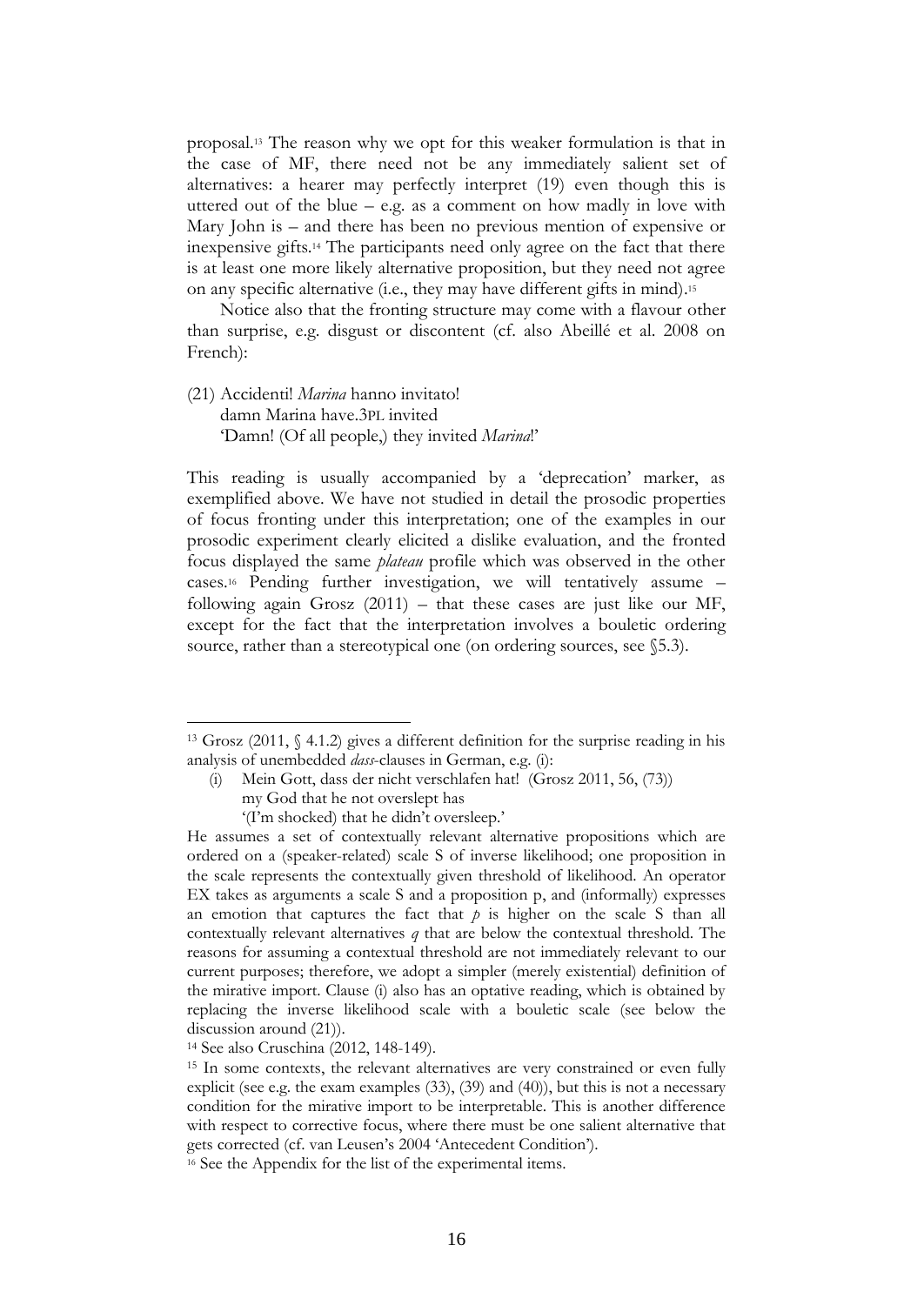proposal. <sup>13</sup> The reason why we opt for this weaker formulation is that in the case of MF, there need not be any immediately salient set of alternatives: a hearer may perfectly interpret (19) even though this is uttered out of the blue  $-$  e.g. as a comment on how madly in love with Mary John is – and there has been no previous mention of expensive or inexpensive gifts.<sup>14</sup> The participants need only agree on the fact that there is at least one more likely alternative proposition, but they need not agree on any specific alternative (i.e., they may have different gifts in mind). 15

Notice also that the fronting structure may come with a flavour other than surprise, e.g. disgust or discontent (cf. also Abeillé et al. 2008 on French):

(21) Accidenti! *Marina* hanno invitato! damn Marina have.3PL invited 'Damn! (Of all people,) they invited *Marina*!'

This reading is usually accompanied by a 'deprecation' marker, as exemplified above. We have not studied in detail the prosodic properties of focus fronting under this interpretation; one of the examples in our prosodic experiment clearly elicited a dislike evaluation, and the fronted focus displayed the same *plateau* profile which was observed in the other cases.<sup>16</sup> Pending further investigation, we will tentatively assume – following again Grosz  $(2011)$  – that these cases are just like our MF, except for the fact that the interpretation involves a bouletic ordering source, rather than a stereotypical one (on ordering sources, see  $\S$ 5.3).

<u>.</u>

<sup>13</sup> Grosz (2011, § 4.1.2) gives a different definition for the surprise reading in his analysis of unembedded *dass*-clauses in German, e.g. (i):

<sup>(</sup>i) Mein Gott, dass der nicht verschlafen hat! (Grosz 2011, 56, (73))

my God that he not overslept has

<sup>&#</sup>x27;(I'm shocked) that he didn't oversleep.'

He assumes a set of contextually relevant alternative propositions which are ordered on a (speaker-related) scale S of inverse likelihood; one proposition in the scale represents the contextually given threshold of likelihood. An operator EX takes as arguments a scale S and a proposition p, and (informally) expresses an emotion that captures the fact that  $p$  is higher on the scale S than all contextually relevant alternatives *q* that are below the contextual threshold. The reasons for assuming a contextual threshold are not immediately relevant to our current purposes; therefore, we adopt a simpler (merely existential) definition of the mirative import. Clause (i) also has an optative reading, which is obtained by replacing the inverse likelihood scale with a bouletic scale (see below the discussion around (21)).

<sup>14</sup> See also Cruschina (2012, 148-149).

<sup>&</sup>lt;sup>15</sup> In some contexts, the relevant alternatives are very constrained or even fully explicit (see e.g. the exam examples (33), (39) and (40)), but this is not a necessary condition for the mirative import to be interpretable. This is another difference with respect to corrective focus, where there must be one salient alternative that gets corrected (cf. van Leusen's 2004 'Antecedent Condition').

<sup>&</sup>lt;sup>16</sup> See the Appendix for the list of the experimental items.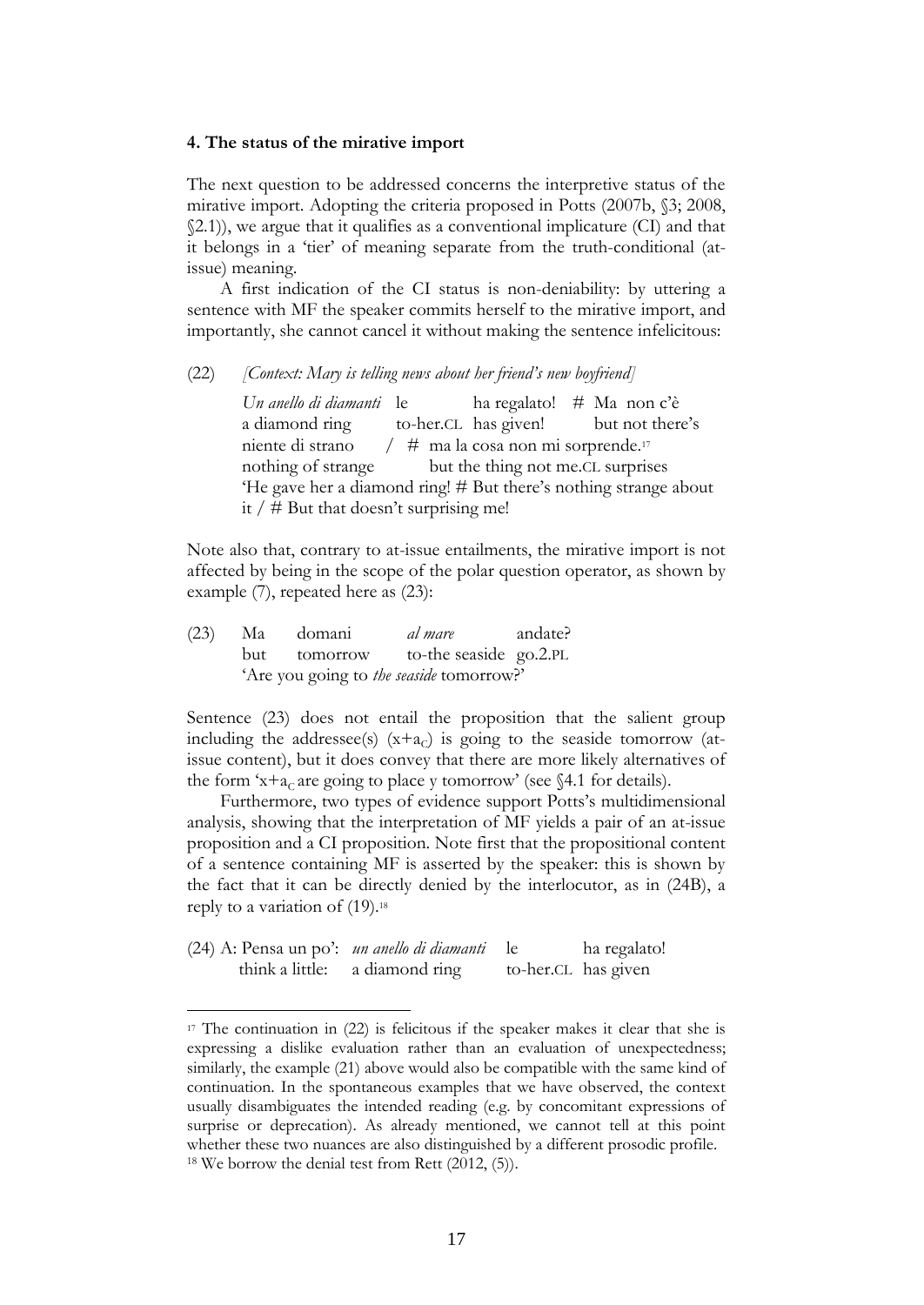#### **4. The status of the mirative import**

The next question to be addressed concerns the interpretive status of the mirative import. Adopting the criteria proposed in Potts (2007b, §3; 2008, §2.1)), we argue that it qualifies as a conventional implicature (CI) and that it belongs in a 'tier' of meaning separate from the truth-conditional (atissue) meaning.

A first indication of the CI status is non-deniability: by uttering a sentence with MF the speaker commits herself to the mirative import, and importantly, she cannot cancel it without making the sentence infelicitous:

#### (22) *[Context: Mary is telling news about her friend's new boyfriend]*

*Un anello di diamanti* le ha regalato! # Ma non c'è a diamond ring to-her.CL has given! but not there's niente di strano  $/$  # ma la cosa non mi sorprende.<sup>17</sup> nothing of strange but the thing not me.CL surprises 'He gave her a diamond ring! # But there's nothing strange about it  $/$  # But that doesn't surprising me!

Note also that, contrary to at-issue entailments, the mirative import is not affected by being in the scope of the polar question operator, as shown by example (7), repeated here as (23):

|  | (23) Ma domani                           | <i>al mare</i> andate? |  |
|--|------------------------------------------|------------------------|--|
|  | but tomorrow to-the seaside go.2.PL      |                        |  |
|  | 'Are you going to the seaside tomorrow?' |                        |  |

Sentence (23) does not entail the proposition that the salient group including the addressee(s)  $(x+a<sub>C</sub>)$  is going to the seaside tomorrow (atissue content), but it does convey that there are more likely alternatives of the form 'x+a<sub>c</sub> are going to place y tomorrow' (see §4.1 for details).

Furthermore, two types of evidence support Potts's multidimensional analysis, showing that the interpretation of MF yields a pair of an at-issue proposition and a CI proposition. Note first that the propositional content of a sentence containing MF is asserted by the speaker: this is shown by the fact that it can be directly denied by the interlocutor, as in (24B), a reply to a variation of (19). 18

| (24) A: Pensa un po': <i>un anello di diamanti</i> le |                                |                     | ha regalato! |
|-------------------------------------------------------|--------------------------------|---------------------|--------------|
|                                                       | think a little: a diamond ring | to-her.CL has given |              |

 $17$  The continuation in (22) is felicitous if the speaker makes it clear that she is expressing a dislike evaluation rather than an evaluation of unexpectedness; similarly, the example (21) above would also be compatible with the same kind of continuation. In the spontaneous examples that we have observed, the context usually disambiguates the intended reading (e.g. by concomitant expressions of surprise or deprecation). As already mentioned, we cannot tell at this point whether these two nuances are also distinguished by a different prosodic profile.  $18$  We borrow the denial test from Rett (2012, (5)).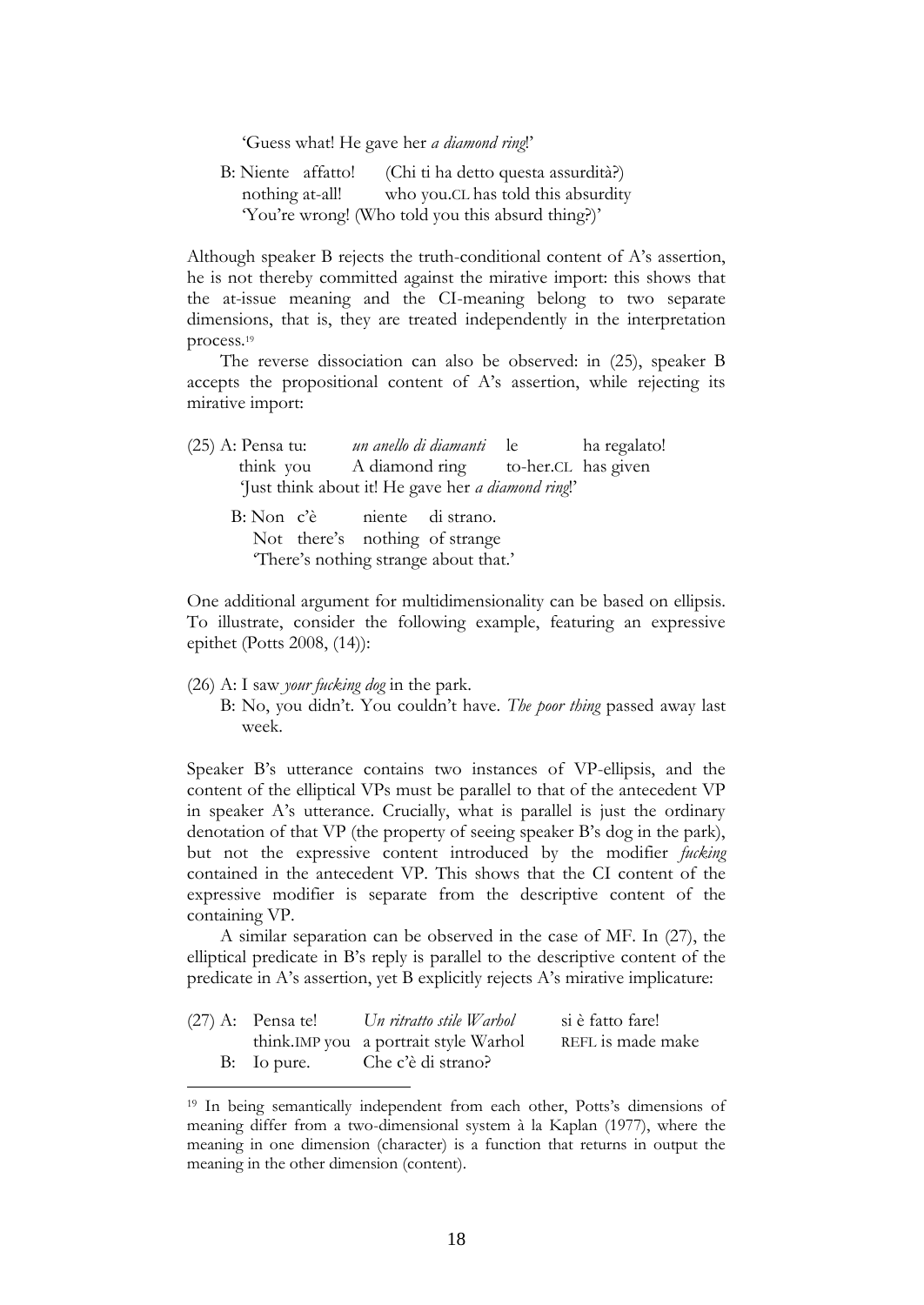'Guess what! He gave her *a diamond ring*!'

B: Niente affatto! (Chi ti ha detto questa assurdità?) nothing at-all! who you.CL has told this absurdity 'You're wrong! (Who told you this absurd thing?)'

Although speaker B rejects the truth-conditional content of A's assertion, he is not thereby committed against the mirative import: this shows that the at-issue meaning and the CI-meaning belong to two separate dimensions, that is, they are treated independently in the interpretation process.<sup>19</sup>

The reverse dissociation can also be observed: in (25), speaker B accepts the propositional content of A's assertion, while rejecting its mirative import:

| $(25)$ A: Pensa tu:                                        | un anello di diamanti le la regalato!        |  |  |
|------------------------------------------------------------|----------------------------------------------|--|--|
|                                                            | think you A diamond ring to-her.CL has given |  |  |
| 'Just think about it! He gave her <i>a diamond ring</i> !' |                                              |  |  |
|                                                            | B: Non c'è niente di strano.                 |  |  |
|                                                            | Not there's nothing of strange               |  |  |
|                                                            | There's nothing strange about that.'         |  |  |

One additional argument for multidimensionality can be based on ellipsis. To illustrate, consider the following example, featuring an expressive epithet (Potts 2008, (14)):

(26) A: I saw *your fucking dog* in the park.

1

B: No, you didn't. You couldn't have. *The poor thing* passed away last week.

Speaker B's utterance contains two instances of VP-ellipsis, and the content of the elliptical VPs must be parallel to that of the antecedent VP in speaker A's utterance. Crucially, what is parallel is just the ordinary denotation of that VP (the property of seeing speaker B's dog in the park), but not the expressive content introduced by the modifier *fucking* contained in the antecedent VP. This shows that the CI content of the expressive modifier is separate from the descriptive content of the containing VP.

A similar separation can be observed in the case of MF. In (27), the elliptical predicate in B's reply is parallel to the descriptive content of the predicate in A's assertion, yet B explicitly rejects A's mirative implicature:

| $(27)$ A: Pensa te! | Un ritratto stile Warhol               | si è fatto fare!  |
|---------------------|----------------------------------------|-------------------|
|                     | think. IMP you a portrait style Warhol | REFL is made make |
|                     | B: Io pure. Che c'è di strano?         |                   |

<sup>19</sup> In being semantically independent from each other, Potts's dimensions of meaning differ from a two-dimensional system à la Kaplan (1977), where the meaning in one dimension (character) is a function that returns in output the meaning in the other dimension (content).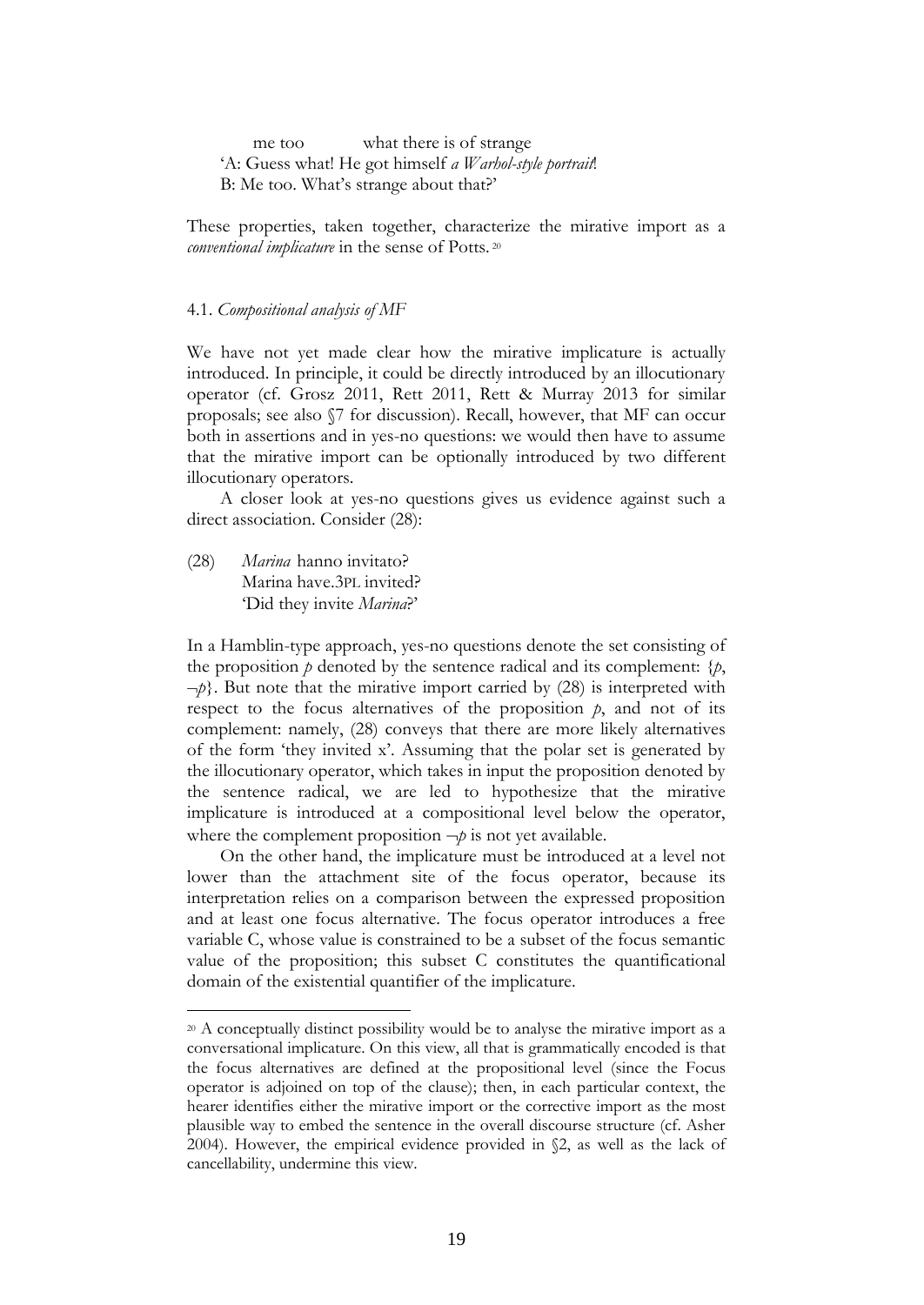me too what there is of strange 'A: Guess what! He got himself *a Warhol-style portrait*! B: Me too. What's strange about that?'

These properties, taken together, characterize the mirative import as a *conventional implicature* in the sense of Potts. 20

#### 4.1. *Compositional analysis of MF*

We have not yet made clear how the mirative implicature is actually introduced. In principle, it could be directly introduced by an illocutionary operator (cf. Grosz 2011, Rett 2011, Rett & Murray 2013 for similar proposals; see also §7 for discussion). Recall, however, that MF can occur both in assertions and in yes-no questions: we would then have to assume that the mirative import can be optionally introduced by two different illocutionary operators.

A closer look at yes-no questions gives us evidence against such a direct association. Consider (28):

(28) *Marina* hanno invitato? Marina have.3PL invited? 'Did they invite *Marina*?'

1

In a Hamblin-type approach, yes-no questions denote the set consisting of the proposition  $p$  denoted by the sentence radical and its complement:  $\{p,$  $-p$ . But note that the mirative import carried by  $(28)$  is interpreted with respect to the focus alternatives of the proposition *p*, and not of its complement: namely, (28) conveys that there are more likely alternatives of the form 'they invited x'. Assuming that the polar set is generated by the illocutionary operator, which takes in input the proposition denoted by the sentence radical, we are led to hypothesize that the mirative implicature is introduced at a compositional level below the operator, where the complement proposition  $\neg p$  is not yet available.

On the other hand, the implicature must be introduced at a level not lower than the attachment site of the focus operator, because its interpretation relies on a comparison between the expressed proposition and at least one focus alternative. The focus operator introduces a free variable C, whose value is constrained to be a subset of the focus semantic value of the proposition; this subset C constitutes the quantificational domain of the existential quantifier of the implicature.

<sup>&</sup>lt;sup>20</sup> A conceptually distinct possibility would be to analyse the mirative import as a conversational implicature. On this view, all that is grammatically encoded is that the focus alternatives are defined at the propositional level (since the Focus operator is adjoined on top of the clause); then, in each particular context, the hearer identifies either the mirative import or the corrective import as the most plausible way to embed the sentence in the overall discourse structure (cf. Asher 2004). However, the empirical evidence provided in §2, as well as the lack of cancellability, undermine this view.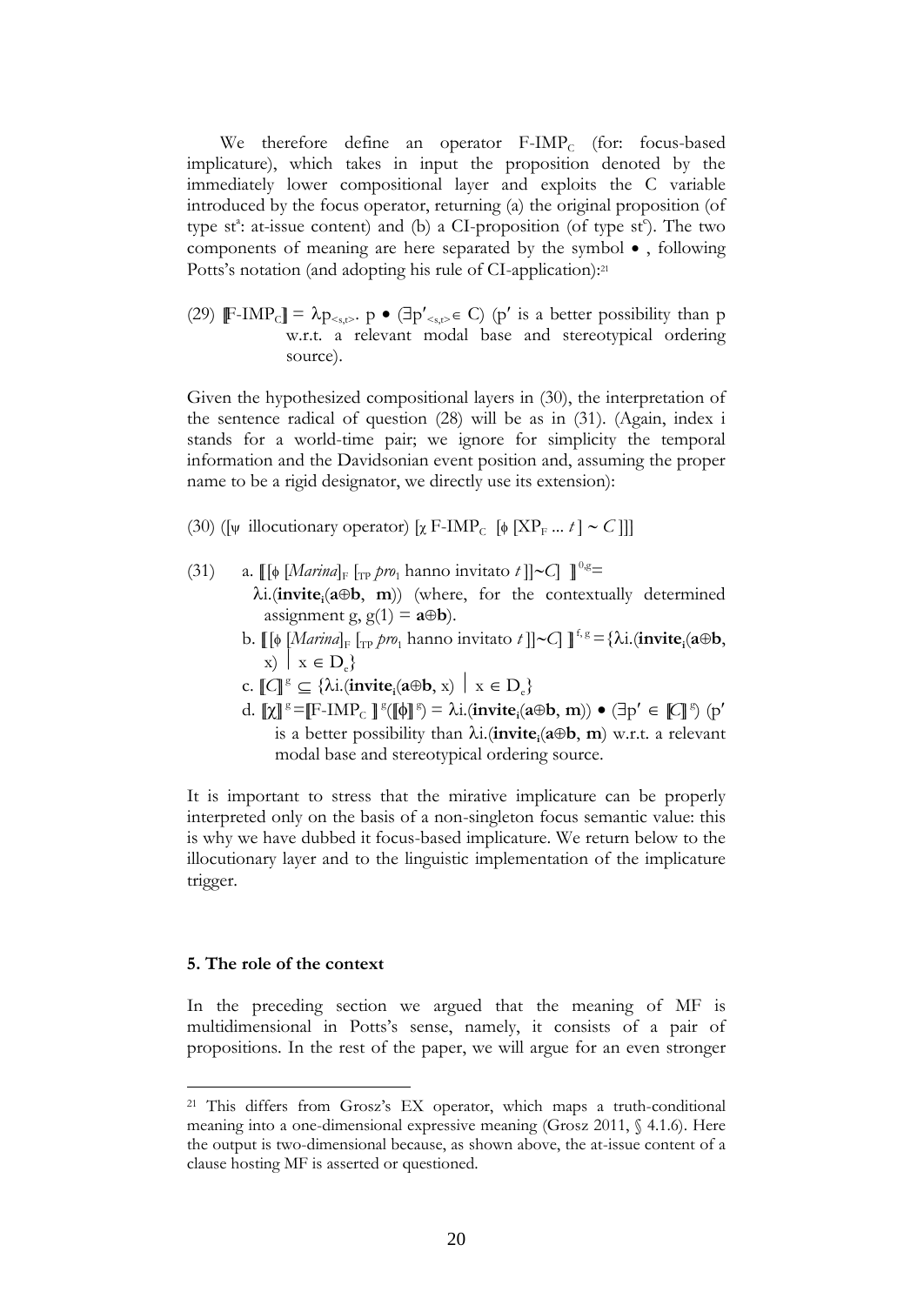We therefore define an operator  $F\text{-IMP}_C$  (for: focus-based implicature), which takes in input the proposition denoted by the immediately lower compositional layer and exploits the C variable introduced by the focus operator, returning (a) the original proposition (of type st<sup>a</sup>: at-issue content) and (b) a CI-proposition (of type st<sup>e</sup>). The two components of meaning are here separated by the symbol  $\bullet$ , following Potts's notation (and adopting his rule of CI-application):<sup>21</sup>

(29)  $\mathbb{F}\text{-}\mathrm{IMP}_{\text{C}} \mathbb{I} = \lambda p_{\text{s,s}}$ ,  $p \bullet (\exists p'_{\text{s,s}} \in C)$  (p' is a better possibility than p w.r.t. a relevant modal base and stereotypical ordering source).

Given the hypothesized compositional layers in (30), the interpretation of the sentence radical of question (28) will be as in (31). (Again, index i stands for a world-time pair; we ignore for simplicity the temporal information and the Davidsonian event position and, assuming the proper name to be a rigid designator, we directly use its extension):

- (30) ([ $\psi$  illocutionary operator)  $[\chi \text{ F-IMP}_{C}$  [ $\phi$  [XP<sub>F</sub> ... *t*] ~ *C*]]]
- (31) a.  $[[\phi \left[ \frac{Marina}{\ln \rho} \right]_{F} \left[ \frac{Tr}{\rho} \right]_{F}$  hanno invitato  $t$ ] $\sim$ C]  $]$ <sup>0,g=</sup> i.(**invite<sup>i</sup>** (**ab**, **m**)) (where, for the contextually determined assignment g,  $g(1) = a \oplus b$ .
	- b.  $[\![\phi \left[ \text{Marinal}_F \left[ \text{TP } \text{pro}_1 \text{ hanno invitato } t \right\] ]\! \sim \text{C} \right] ]\!]^{\text{f.g}} = {\lambda i}.(\text{invite}_i(a \oplus b))$  $x) \mid x \in D$
	- c.  $\llbracket \mathcal{C} \rrbracket^g \subseteq \{ \lambda \text{i}.(\text{invite}_i(a \oplus b, x) \mid x \in D_e \}$
	- d.  $[\chi]]^g = [F IMP_C]^g([\phi]]^g = \lambda i.(\text{invite}_i(a \oplus b, m)) \bullet (\exists p' \in [\mathbb{C}]\mathbb{S}) (p'$ is a better possibility than i.(**invite<sup>i</sup>** (**ab**, **m**) w.r.t. a relevant modal base and stereotypical ordering source.

It is important to stress that the mirative implicature can be properly interpreted only on the basis of a non-singleton focus semantic value: this is why we have dubbed it focus-based implicature. We return below to the illocutionary layer and to the linguistic implementation of the implicature trigger.

#### **5. The role of the context**

1

In the preceding section we argued that the meaning of MF is multidimensional in Potts's sense, namely, it consists of a pair of propositions. In the rest of the paper, we will argue for an even stronger

<sup>&</sup>lt;sup>21</sup> This differs from Grosz's EX operator, which maps a truth-conditional meaning into a one-dimensional expressive meaning (Grosz 2011, § 4.1.6). Here the output is two-dimensional because, as shown above, the at-issue content of a clause hosting MF is asserted or questioned.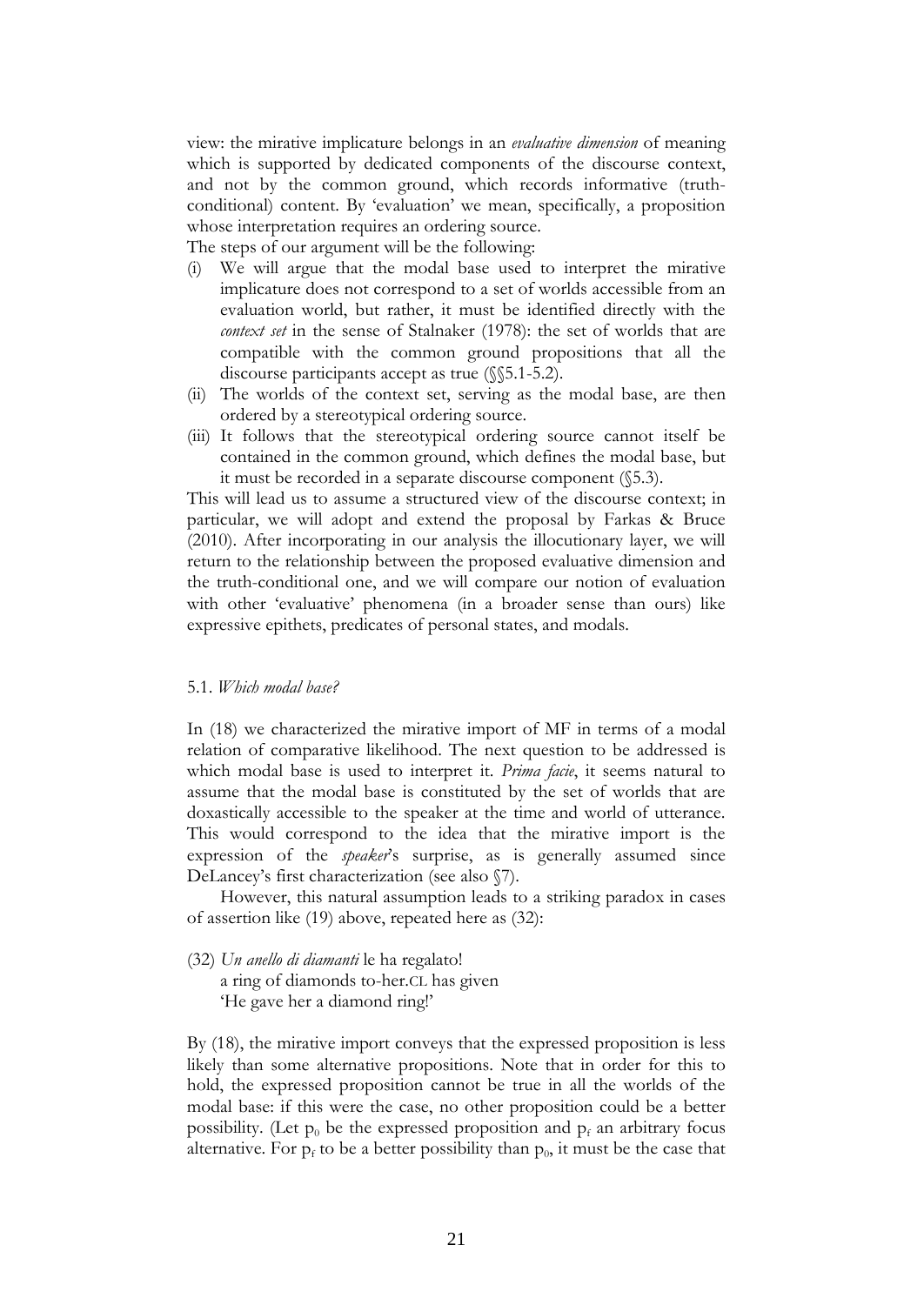view: the mirative implicature belongs in an *evaluative dimension* of meaning which is supported by dedicated components of the discourse context, and not by the common ground, which records informative (truthconditional) content. By 'evaluation' we mean, specifically, a proposition whose interpretation requires an ordering source.

The steps of our argument will be the following:

- (i) We will argue that the modal base used to interpret the mirative implicature does not correspond to a set of worlds accessible from an evaluation world, but rather, it must be identified directly with the *context set* in the sense of Stalnaker (1978): the set of worlds that are compatible with the common ground propositions that all the discourse participants accept as true (§§5.1-5.2).
- (ii) The worlds of the context set, serving as the modal base, are then ordered by a stereotypical ordering source.
- (iii) It follows that the stereotypical ordering source cannot itself be contained in the common ground, which defines the modal base, but it must be recorded in a separate discourse component (§5.3).

This will lead us to assume a structured view of the discourse context; in particular, we will adopt and extend the proposal by Farkas & Bruce (2010). After incorporating in our analysis the illocutionary layer, we will return to the relationship between the proposed evaluative dimension and the truth-conditional one, and we will compare our notion of evaluation with other 'evaluative' phenomena (in a broader sense than ours) like expressive epithets, predicates of personal states, and modals.

#### 5.1. *Which modal base?*

In (18) we characterized the mirative import of MF in terms of a modal relation of comparative likelihood. The next question to be addressed is which modal base is used to interpret it. *Prima facie*, it seems natural to assume that the modal base is constituted by the set of worlds that are doxastically accessible to the speaker at the time and world of utterance. This would correspond to the idea that the mirative import is the expression of the *speaker*'s surprise, as is generally assumed since DeLancey's first characterization (see also §7).

However, this natural assumption leads to a striking paradox in cases of assertion like (19) above, repeated here as (32):

- (32) *Un anello di diamanti* le ha regalato!
	- a ring of diamonds to-her.CL has given 'He gave her a diamond ring!'

By (18), the mirative import conveys that the expressed proposition is less likely than some alternative propositions. Note that in order for this to hold, the expressed proposition cannot be true in all the worlds of the modal base: if this were the case, no other proposition could be a better possibility. (Let  $p_0$  be the expressed proposition and  $p_f$  an arbitrary focus alternative. For  $p_f$  to be a better possibility than  $p_0$ , it must be the case that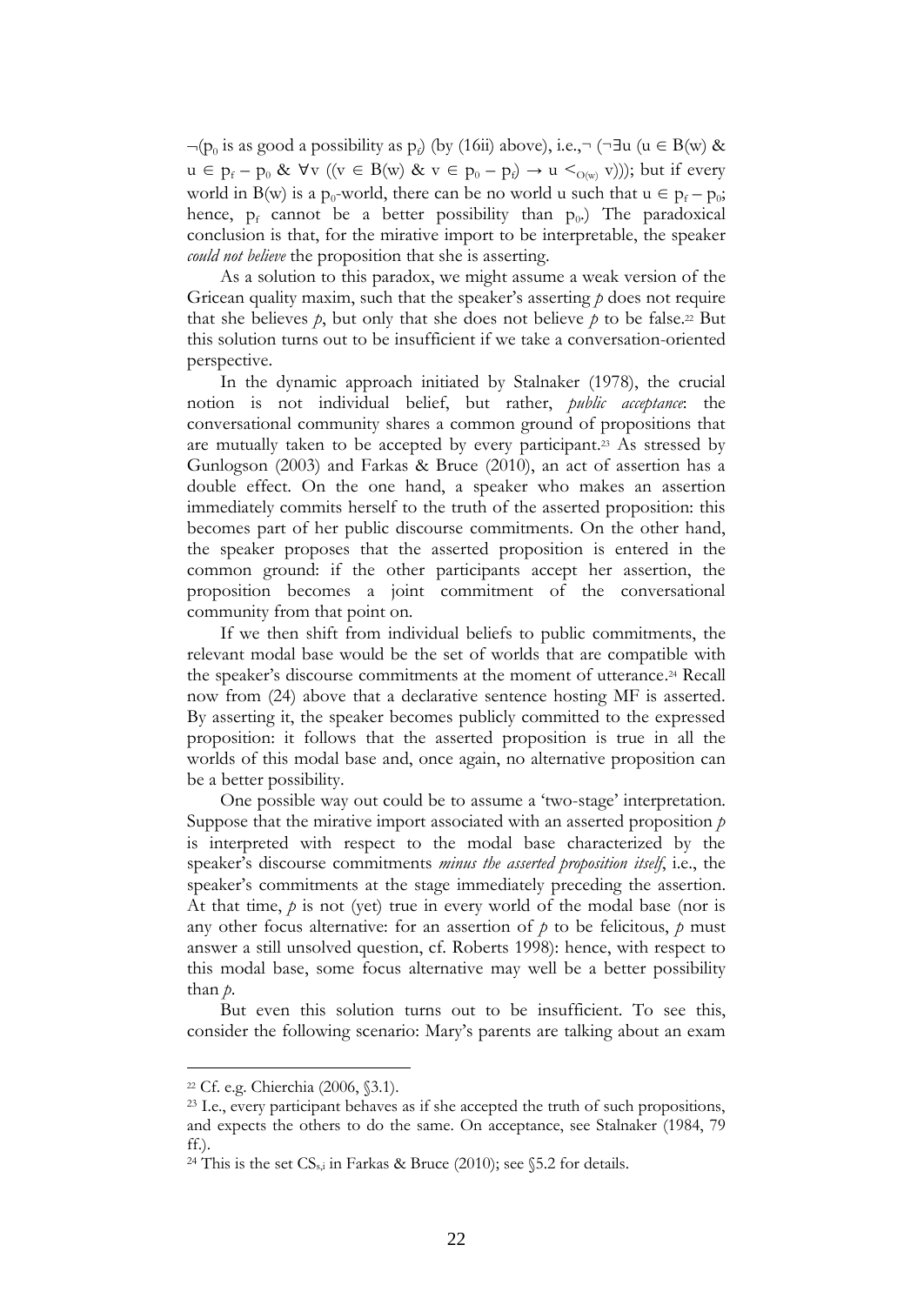$\neg(p_0$  is as good a possibility as  $p_i$ ) (by (16ii) above), i.e.,¬ (¬∃u (u ∈ B(w) &  $u \in p_f - p_0 \& \forall v \ ((v \in B(w) \& v \in p_0 - p_f) \rightarrow u \leq_{O(w)} v)))$ ; but if every world in B(w) is a p<sub>0</sub>-world, there can be no world u such that  $u \in p_f - p_0$ ; hence,  $p_f$  cannot be a better possibility than  $p_0$ .) The paradoxical conclusion is that, for the mirative import to be interpretable, the speaker *could not believe* the proposition that she is asserting.

As a solution to this paradox, we might assume a weak version of the Gricean quality maxim, such that the speaker's asserting *p* does not require that she believes  $p$ , but only that she does not believe  $p$  to be false.<sup>22</sup> But this solution turns out to be insufficient if we take a conversation-oriented perspective.

In the dynamic approach initiated by Stalnaker (1978), the crucial notion is not individual belief, but rather, *public acceptance*: the conversational community shares a common ground of propositions that are mutually taken to be accepted by every participant. <sup>23</sup> As stressed by Gunlogson (2003) and Farkas & Bruce (2010), an act of assertion has a double effect. On the one hand, a speaker who makes an assertion immediately commits herself to the truth of the asserted proposition: this becomes part of her public discourse commitments. On the other hand, the speaker proposes that the asserted proposition is entered in the common ground: if the other participants accept her assertion, the proposition becomes a joint commitment of the conversational community from that point on.

If we then shift from individual beliefs to public commitments, the relevant modal base would be the set of worlds that are compatible with the speaker's discourse commitments at the moment of utterance. <sup>24</sup> Recall now from (24) above that a declarative sentence hosting MF is asserted. By asserting it, the speaker becomes publicly committed to the expressed proposition: it follows that the asserted proposition is true in all the worlds of this modal base and, once again, no alternative proposition can be a better possibility.

One possible way out could be to assume a 'two-stage' interpretation. Suppose that the mirative import associated with an asserted proposition *p*  is interpreted with respect to the modal base characterized by the speaker's discourse commitments *minus the asserted proposition itself*, i.e., the speaker's commitments at the stage immediately preceding the assertion. At that time,  $p$  is not (yet) true in every world of the modal base (nor is any other focus alternative: for an assertion of  $p$  to be felicitous,  $p$  must answer a still unsolved question, cf. Roberts 1998): hence, with respect to this modal base, some focus alternative may well be a better possibility than *p*.

But even this solution turns out to be insufficient. To see this, consider the following scenario: Mary's parents are talking about an exam

<sup>22</sup> Cf. e.g. Chierchia (2006, §3.1).

<sup>23</sup> I.e., every participant behaves as if she accepted the truth of such propositions, and expects the others to do the same. On acceptance, see Stalnaker (1984, 79 ff.).

<sup>&</sup>lt;sup>24</sup> This is the set  $CS_{s,i}$  in Farkas & Bruce (2010); see §5.2 for details.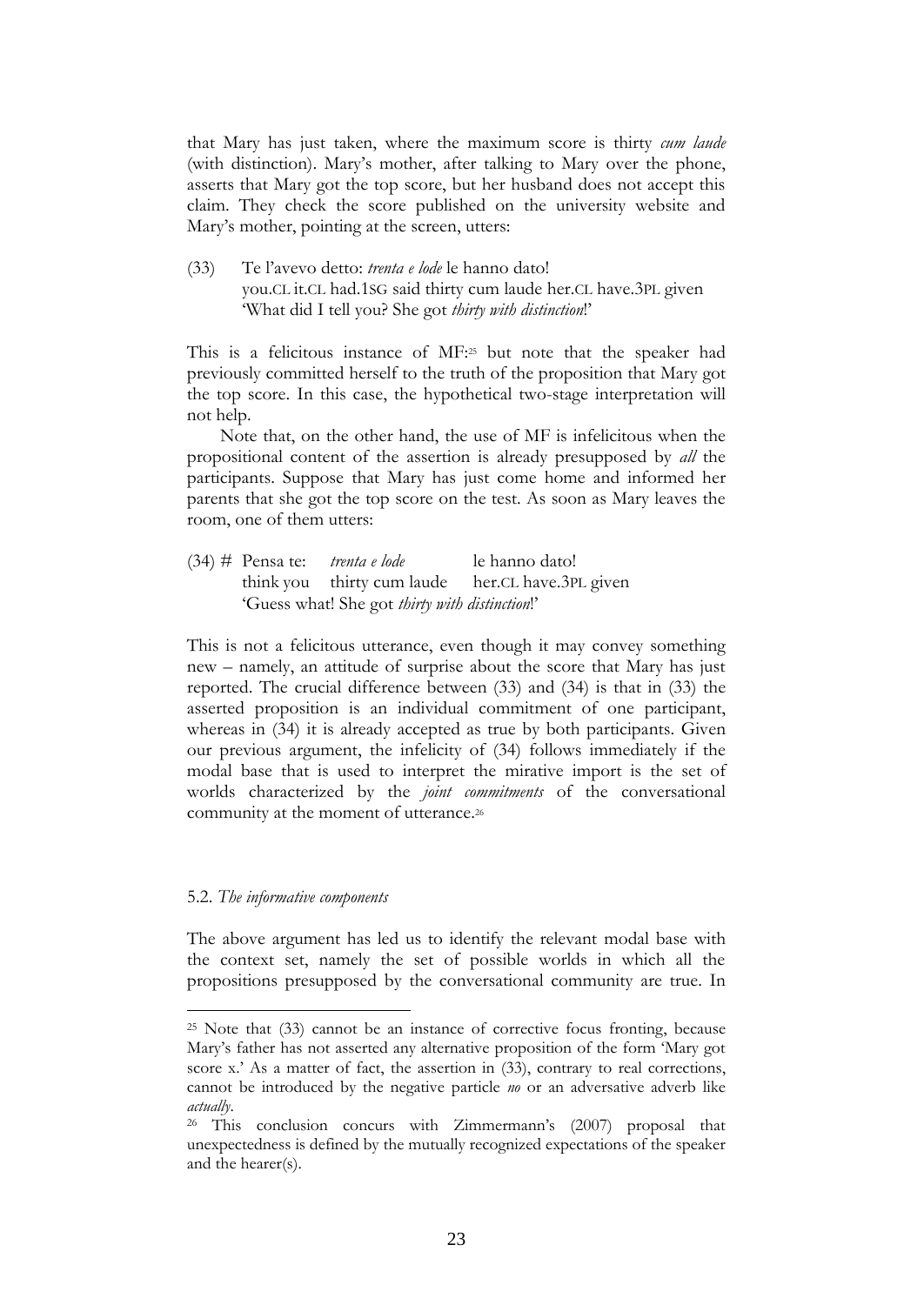that Mary has just taken, where the maximum score is thirty *cum laude* (with distinction). Mary's mother, after talking to Mary over the phone, asserts that Mary got the top score, but her husband does not accept this claim. They check the score published on the university website and Mary's mother, pointing at the screen, utters:

(33) Te l'avevo detto: *trenta e lode* le hanno dato! you.CL it.CL had.1SG said thirty cum laude her.CL have.3PL given 'What did I tell you? She got *thirty with distinction*!'

This is a felicitous instance of MF: <sup>25</sup> but note that the speaker had previously committed herself to the truth of the proposition that Mary got the top score. In this case, the hypothetical two-stage interpretation will not help.

Note that, on the other hand, the use of MF is infelicitous when the propositional content of the assertion is already presupposed by *all* the participants. Suppose that Mary has just come home and informed her parents that she got the top score on the test. As soon as Mary leaves the room, one of them utters:

(34) # Pensa te: *trenta e lode* le hanno dato! think you thirty cum laude her.CL have.3PL given 'Guess what! She got *thirty with distinction*!'

This is not a felicitous utterance, even though it may convey something new – namely, an attitude of surprise about the score that Mary has just reported. The crucial difference between (33) and (34) is that in (33) the asserted proposition is an individual commitment of one participant, whereas in (34) it is already accepted as true by both participants. Given our previous argument, the infelicity of (34) follows immediately if the modal base that is used to interpret the mirative import is the set of worlds characterized by the *joint commitments* of the conversational community at the moment of utterance.<sup>26</sup>

#### 5.2. *The informative components*

1

The above argument has led us to identify the relevant modal base with the context set, namely the set of possible worlds in which all the propositions presupposed by the conversational community are true. In

<sup>25</sup> Note that (33) cannot be an instance of corrective focus fronting, because Mary's father has not asserted any alternative proposition of the form 'Mary got score x.' As a matter of fact, the assertion in (33), contrary to real corrections, cannot be introduced by the negative particle *no* or an adversative adverb like *actually*.

<sup>26</sup> This conclusion concurs with Zimmermann's (2007) proposal that unexpectedness is defined by the mutually recognized expectations of the speaker and the hearer(s).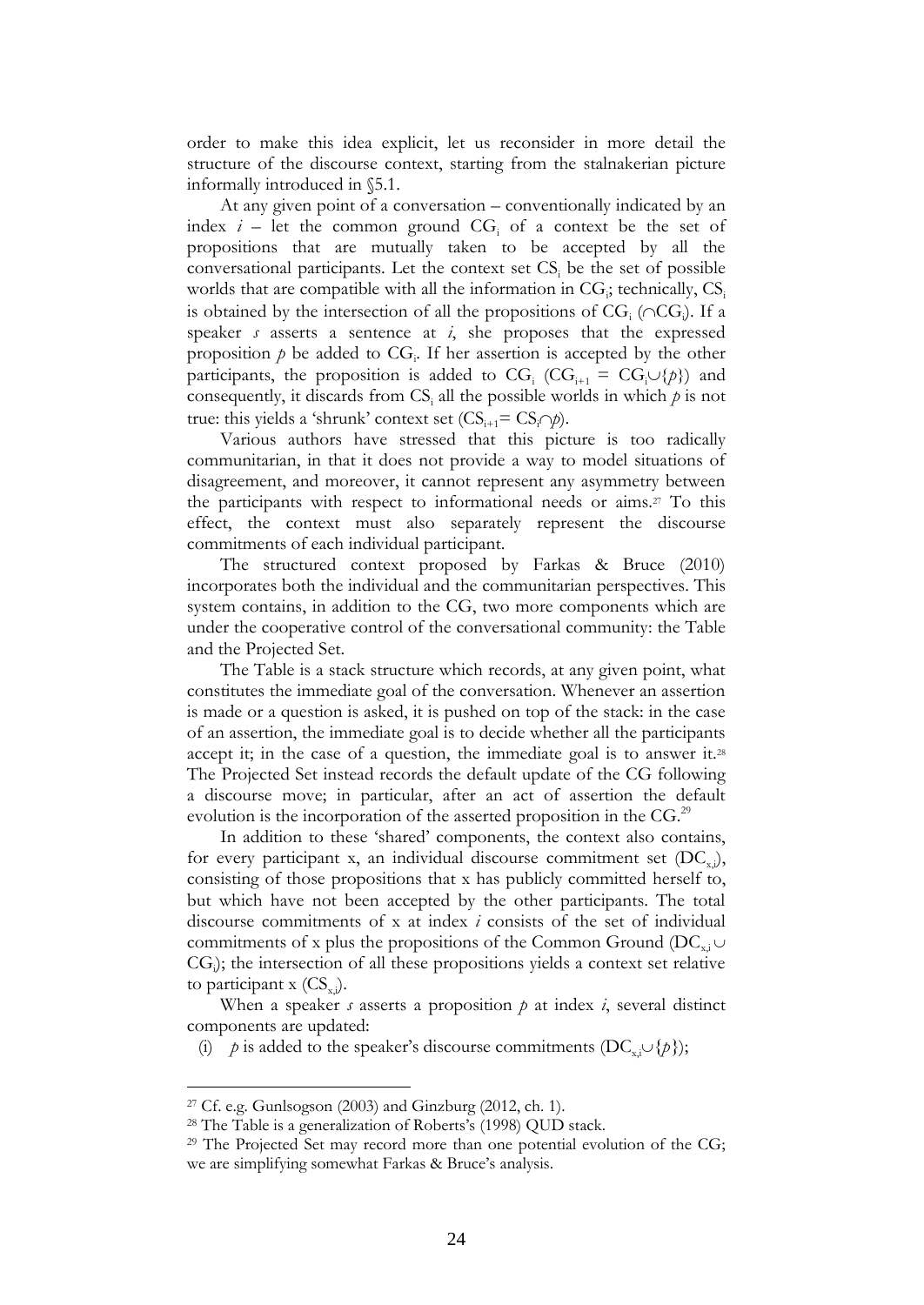order to make this idea explicit, let us reconsider in more detail the structure of the discourse context, starting from the stalnakerian picture informally introduced in §5.1.

At any given point of a conversation – conventionally indicated by an index  $i$  – let the common ground  $CG<sub>i</sub>$  of a context be the set of propositions that are mutually taken to be accepted by all the conversational participants. Let the context set CS; be the set of possible worlds that are compatible with all the information in  $CG_i$ ; technically,  $CS_i$ is obtained by the intersection of all the propositions of  $CG<sub>i</sub>$  ( $\cap CG<sub>j</sub>$ ). If a speaker *s* asserts a sentence at *i*, she proposes that the expressed proposition  $p$  be added to  $CG_i$ . If her assertion is accepted by the other participants, the proposition is added to  $CG_i (CG_{i+1} = CG_i \cup \{p\})$  and consequently, it discards from  $CS_i$  all the possible worlds in which  $p$  is not true: this yields a 'shrunk' context set  $(CS_{i+1} = CS_i \cap p)$ .

Various authors have stressed that this picture is too radically communitarian, in that it does not provide a way to model situations of disagreement, and moreover, it cannot represent any asymmetry between the participants with respect to informational needs or aims.<sup>27</sup> To this effect, the context must also separately represent the discourse commitments of each individual participant.

The structured context proposed by Farkas & Bruce (2010) incorporates both the individual and the communitarian perspectives. This system contains, in addition to the CG, two more components which are under the cooperative control of the conversational community: the Table and the Projected Set.

The Table is a stack structure which records, at any given point, what constitutes the immediate goal of the conversation. Whenever an assertion is made or a question is asked, it is pushed on top of the stack: in the case of an assertion, the immediate goal is to decide whether all the participants accept it; in the case of a question, the immediate goal is to answer it.<sup>28</sup> The Projected Set instead records the default update of the CG following a discourse move; in particular, after an act of assertion the default evolution is the incorporation of the asserted proposition in the  $CG<sup>29</sup>$ 

In addition to these 'shared' components, the context also contains, for every participant x, an individual discourse commitment set  $(DC_{x,i})$ , consisting of those propositions that x has publicly committed herself to, but which have not been accepted by the other participants. The total discourse commitments of x at index *i* consists of the set of individual commitments of x plus the propositions of the Common Ground ( $DC_{x,i} \cup$ CG<sub>i</sub>); the intersection of all these propositions yields a context set relative to participant  $x$  (CS<sub>xi</sub>).

When a speaker *s* asserts a proposition *p* at index *i*, several distinct components are updated:

(i) *p* is added to the speaker's discourse commitments (DC<sub>x</sub>, $\cup$ {*p*});

 $27$  Cf. e.g. Gunlsogson (2003) and Ginzburg (2012, ch. 1).

<sup>28</sup> The Table is a generalization of Roberts's (1998) QUD stack.

<sup>&</sup>lt;sup>29</sup> The Projected Set may record more than one potential evolution of the CG; we are simplifying somewhat Farkas & Bruce's analysis.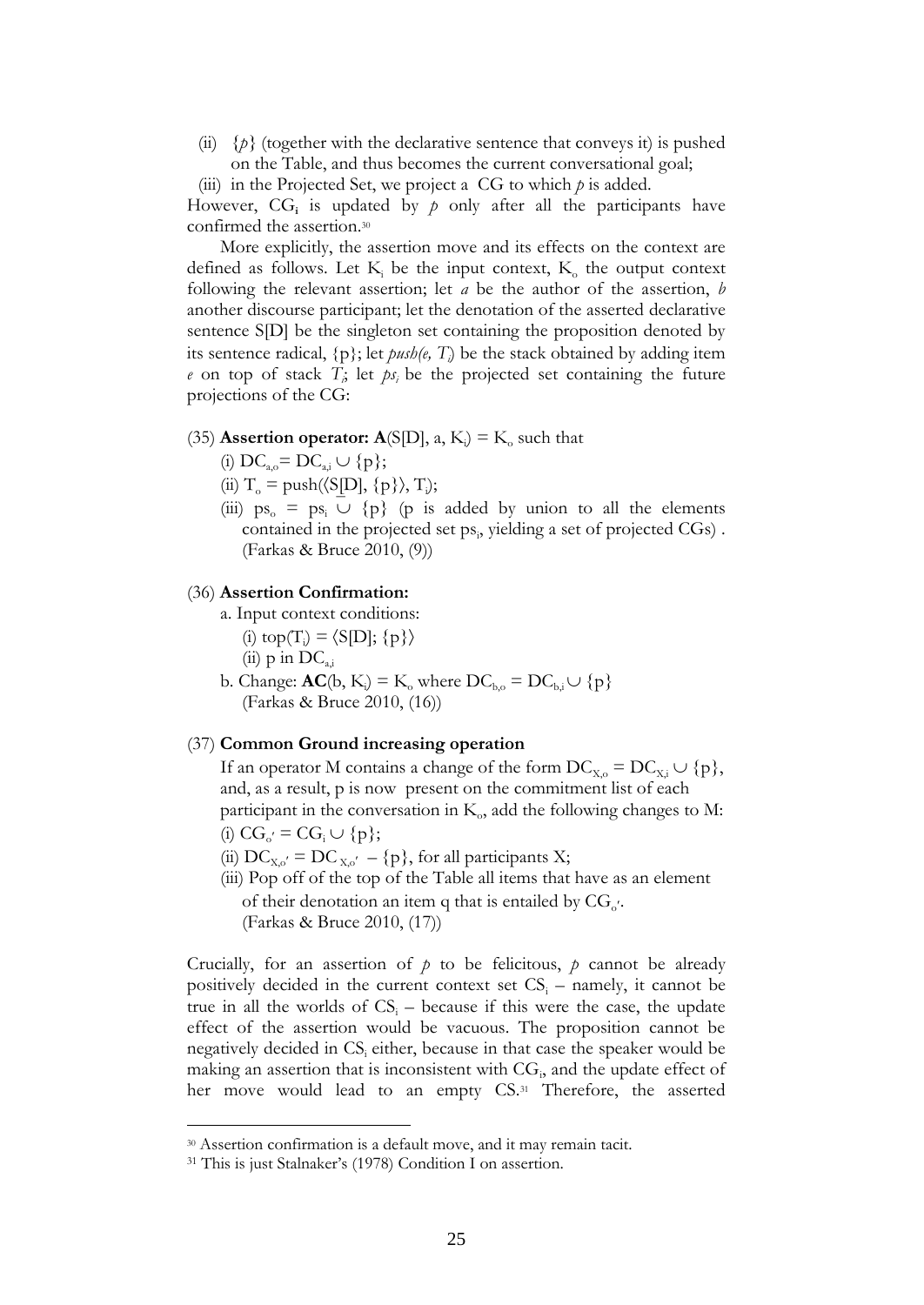- (ii)  $\{p\}$  (together with the declarative sentence that conveys it) is pushed on the Table, and thus becomes the current conversational goal;
- (iii) in the Projected Set, we project a CG to which *p* is added.

However,  $CG_i$  is updated by  $p$  only after all the participants have confirmed the assertion.<sup>30</sup>

More explicitly, the assertion move and its effects on the context are defined as follows. Let  $K_i$  be the input context,  $K_o$  the output context following the relevant assertion; let *a* be the author of the assertion, *b* another discourse participant; let the denotation of the asserted declarative sentence S[D] be the singleton set containing the proposition denoted by its sentence radical,  $\{p\}$ ; let  $push(e, T_i)$  be the stack obtained by adding item  $e$  on top of stack  $T$ *i*, let  $ps$ *i* be the projected set containing the future projections of the CG:

# (35) **Assertion operator:**  $\mathbf{A}(\text{SID}$ ,  $a, K_i$ ) =  $K_o$  such that

- (i)  $DC_{a} = DC_{a} \cup \{p\};$
- (ii)  $T_o = \text{push}(\langle SD], \{p\}\rangle, T_i);$
- (iii)  $ps_0 = ps_1 \cup \{p\}$  (p is added by union to all the elements contained in the projected set ps<sub>i</sub>, yielding a set of projected CGs). (Farkas & Bruce 2010, (9))

# (36) **Assertion Confirmation:**

- a. Input context conditions:
	- (i)  $top(T_i) = \langle S[D]; \{p\} \rangle$
	- (ii)  $p$  in  $DC_{a,i}$
- b. Change:  $AC(b, K_i) = K_0$  where  $DC_{b,0} = DC_{b,i} \cup \{p\}$ (Farkas & Bruce 2010, (16))

# (37) **Common Ground increasing operation**

If an operator M contains a change of the form  $DC_{X_0} = DC_{X_i} \cup \{p\},\$ and, as a result, p is now present on the commitment list of each participant in the conversation in  $K_0$ , add the following changes to M: (i)  $CG_{o'} = CG_i \cup \{p\};$ 

- (ii)  $DC_{X,o'} = DC_{X,o'} {p}$ , for all participants X;
- (iii) Pop off of the top of the Table all items that have as an element of their denotation an item q that is entailed by  $CG_{o'}$ . (Farkas & Bruce 2010, (17))

Crucially, for an assertion of  $p$  to be felicitous,  $p$  cannot be already positively decided in the current context set  $CS<sub>i</sub>$  – namely, it cannot be true in all the worlds of  $CS<sub>i</sub>$  – because if this were the case, the update effect of the assertion would be vacuous. The proposition cannot be negatively decided in CS<sub>i</sub> either, because in that case the speaker would be making an assertion that is inconsistent with  $CG_i$ , and the update effect of her move would lead to an empty CS.<sup>31</sup> Therefore, the asserted

<sup>30</sup> Assertion confirmation is a default move, and it may remain tacit.

<sup>31</sup> This is just Stalnaker's (1978) Condition I on assertion.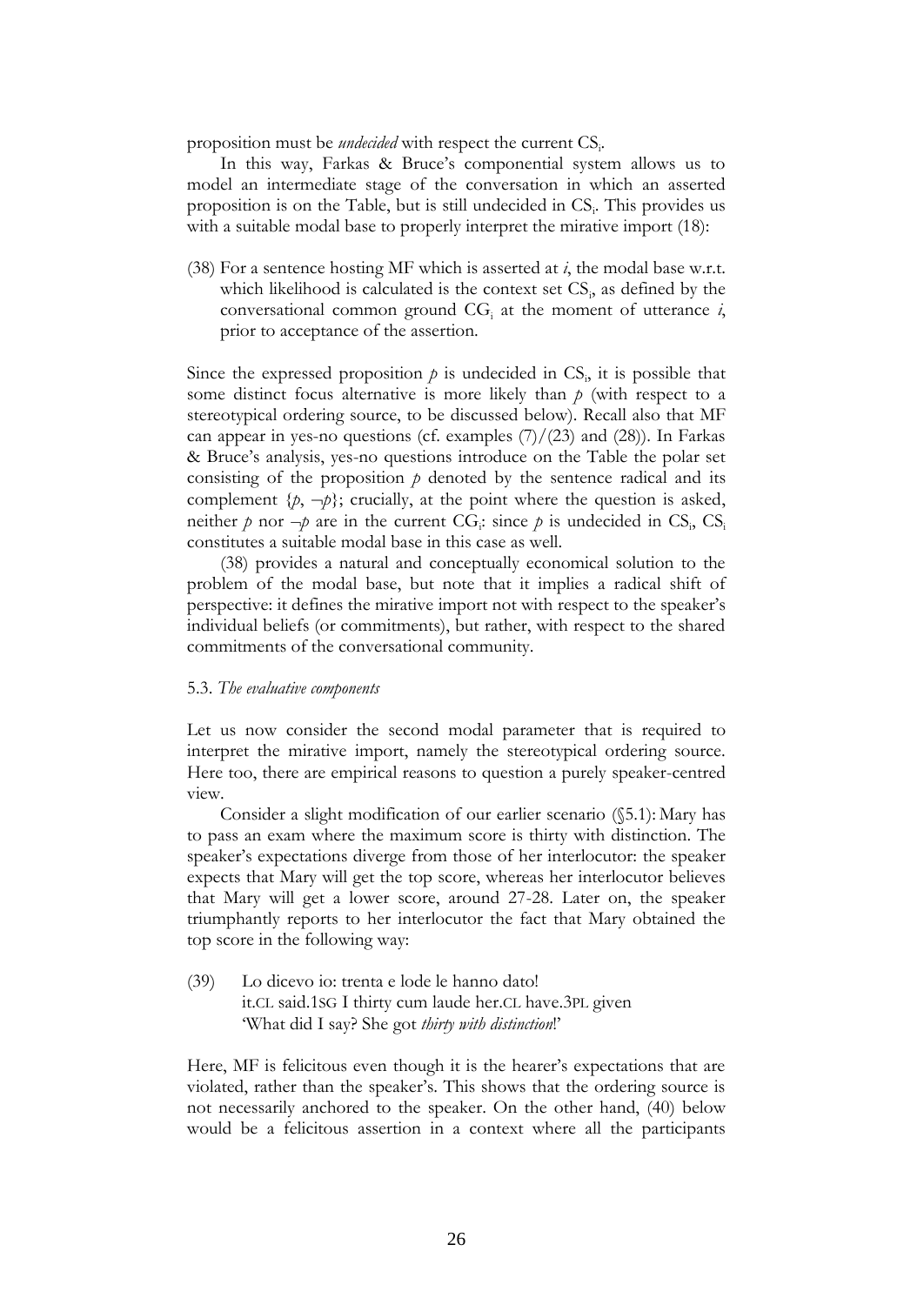proposition must be *undecided* with respect the current CS<sub>i</sub>.

In this way, Farkas & Bruce's componential system allows us to model an intermediate stage of the conversation in which an asserted proposition is on the Table, but is still undecided in CS<sub>i</sub>. This provides us with a suitable modal base to properly interpret the mirative import (18):

(38) For a sentence hosting MF which is asserted at *i*, the modal base w.r.t. which likelihood is calculated is the context set  $CS_i$ , as defined by the conversational common ground  $CG<sub>i</sub>$  at the moment of utterance  $i$ , prior to acceptance of the assertion.

Since the expressed proposition  $p$  is undecided in  $CS$ <sub>i</sub>, it is possible that some distinct focus alternative is more likely than *p* (with respect to a stereotypical ordering source, to be discussed below). Recall also that MF can appear in yes-no questions (cf. examples  $(7)/(23)$  and  $(28)$ ). In Farkas & Bruce's analysis, yes-no questions introduce on the Table the polar set consisting of the proposition  $p$  denoted by the sentence radical and its complement  $\{p, \neg p\}$ ; crucially, at the point where the question is asked, neither  $p$  nor  $\neg p$  are in the current CG<sub>i</sub>: since  $p$  is undecided in CS<sub>i</sub>, CS<sub>i</sub> constitutes a suitable modal base in this case as well.

(38) provides a natural and conceptually economical solution to the problem of the modal base, but note that it implies a radical shift of perspective: it defines the mirative import not with respect to the speaker's individual beliefs (or commitments), but rather, with respect to the shared commitments of the conversational community.

#### 5.3. *The evaluative components*

Let us now consider the second modal parameter that is required to interpret the mirative import, namely the stereotypical ordering source. Here too, there are empirical reasons to question a purely speaker-centred view.

Consider a slight modification of our earlier scenario (§5.1): Mary has to pass an exam where the maximum score is thirty with distinction. The speaker's expectations diverge from those of her interlocutor: the speaker expects that Mary will get the top score, whereas her interlocutor believes that Mary will get a lower score, around 27-28. Later on, the speaker triumphantly reports to her interlocutor the fact that Mary obtained the top score in the following way:

(39) Lo dicevo io: trenta e lode le hanno dato! it.CL said.1SG I thirty cum laude her.CL have.3PL given 'What did I say? She got *thirty with distinction*!'

Here, MF is felicitous even though it is the hearer's expectations that are violated, rather than the speaker's. This shows that the ordering source is not necessarily anchored to the speaker. On the other hand, (40) below would be a felicitous assertion in a context where all the participants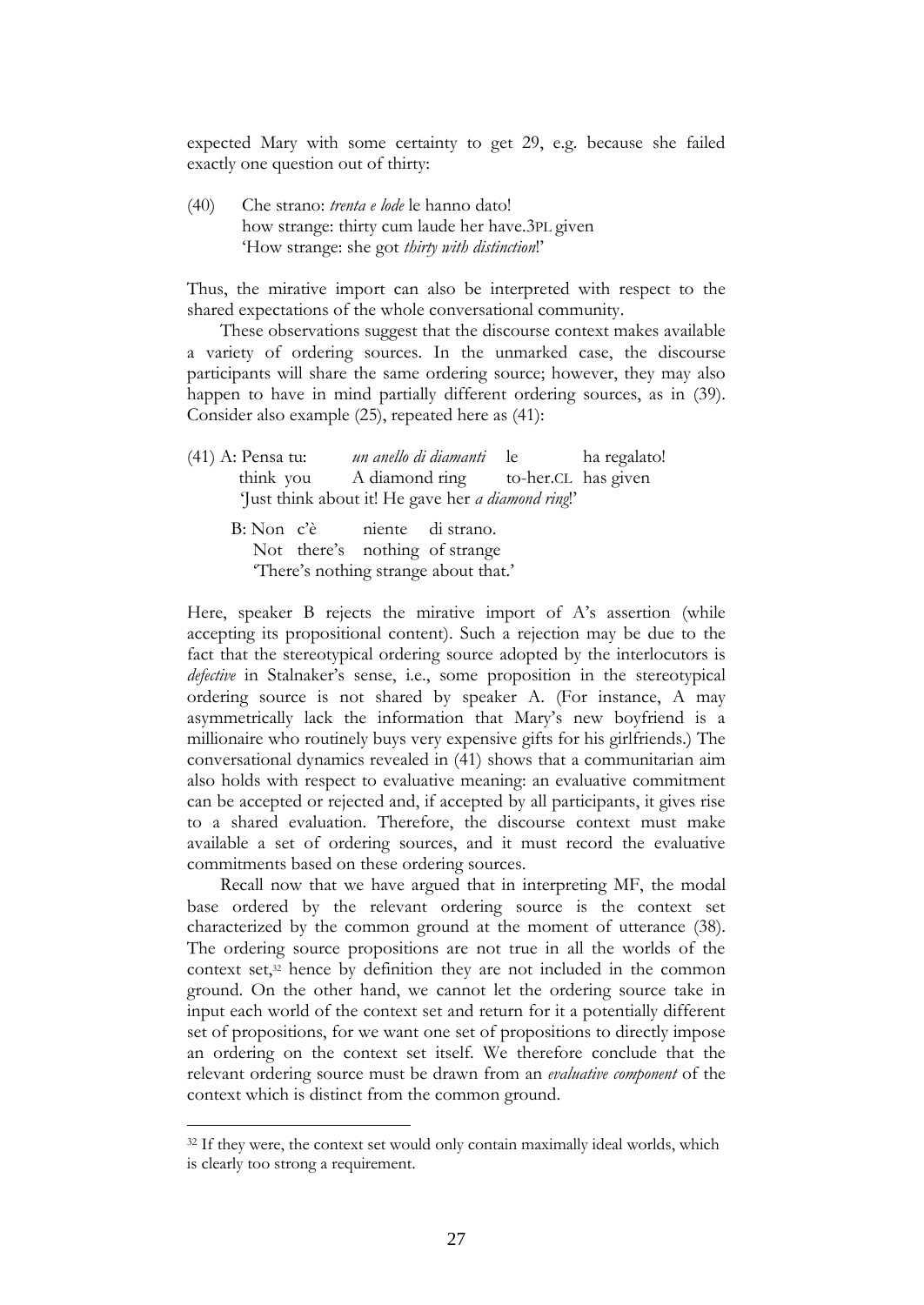expected Mary with some certainty to get 29, e.g. because she failed exactly one question out of thirty:

(40) Che strano: *trenta e lode* le hanno dato! how strange: thirty cum laude her have.3PL given 'How strange: she got *thirty with distinction*!'

Thus, the mirative import can also be interpreted with respect to the shared expectations of the whole conversational community.

These observations suggest that the discourse context makes available a variety of ordering sources. In the unmarked case, the discourse participants will share the same ordering source; however, they may also happen to have in mind partially different ordering sources, as in (39). Consider also example (25), repeated here as (41):

| (41) A: Pensa tu: | un anello di diamanti le                                                                                                                                                                                                                                                                     | ha regalato! |
|-------------------|----------------------------------------------------------------------------------------------------------------------------------------------------------------------------------------------------------------------------------------------------------------------------------------------|--------------|
|                   | think you A diamond ring to-her.CL has given                                                                                                                                                                                                                                                 |              |
|                   | 'Just think about it! He gave her <i>a diamond ring</i> !'                                                                                                                                                                                                                                   |              |
|                   | $D.$ $N_{\text{max}} = 22$ where $\frac{1}{2}$ and $\frac{1}{2}$ and $\frac{1}{2}$ and $\frac{1}{2}$ and $\frac{1}{2}$ and $\frac{1}{2}$ and $\frac{1}{2}$ and $\frac{1}{2}$ and $\frac{1}{2}$ and $\frac{1}{2}$ and $\frac{1}{2}$ and $\frac{1}{2}$ and $\frac{1}{2}$ and $\frac{1}{2}$ and |              |

B: Non c'è niente di strano. Not there's nothing of strange 'There's nothing strange about that.'

Here, speaker B rejects the mirative import of A's assertion (while accepting its propositional content). Such a rejection may be due to the fact that the stereotypical ordering source adopted by the interlocutors is *defective* in Stalnaker's sense, i.e., some proposition in the stereotypical ordering source is not shared by speaker A. (For instance, A may asymmetrically lack the information that Mary's new boyfriend is a millionaire who routinely buys very expensive gifts for his girlfriends.) The conversational dynamics revealed in (41) shows that a communitarian aim also holds with respect to evaluative meaning: an evaluative commitment can be accepted or rejected and, if accepted by all participants, it gives rise to a shared evaluation. Therefore, the discourse context must make available a set of ordering sources, and it must record the evaluative commitments based on these ordering sources.

Recall now that we have argued that in interpreting MF, the modal base ordered by the relevant ordering source is the context set characterized by the common ground at the moment of utterance (38). The ordering source propositions are not true in all the worlds of the context set,<sup>32</sup> hence by definition they are not included in the common ground. On the other hand, we cannot let the ordering source take in input each world of the context set and return for it a potentially different set of propositions, for we want one set of propositions to directly impose an ordering on the context set itself. We therefore conclude that the relevant ordering source must be drawn from an *evaluative component* of the context which is distinct from the common ground.

<sup>&</sup>lt;sup>32</sup> If they were, the context set would only contain maximally ideal worlds, which is clearly too strong a requirement.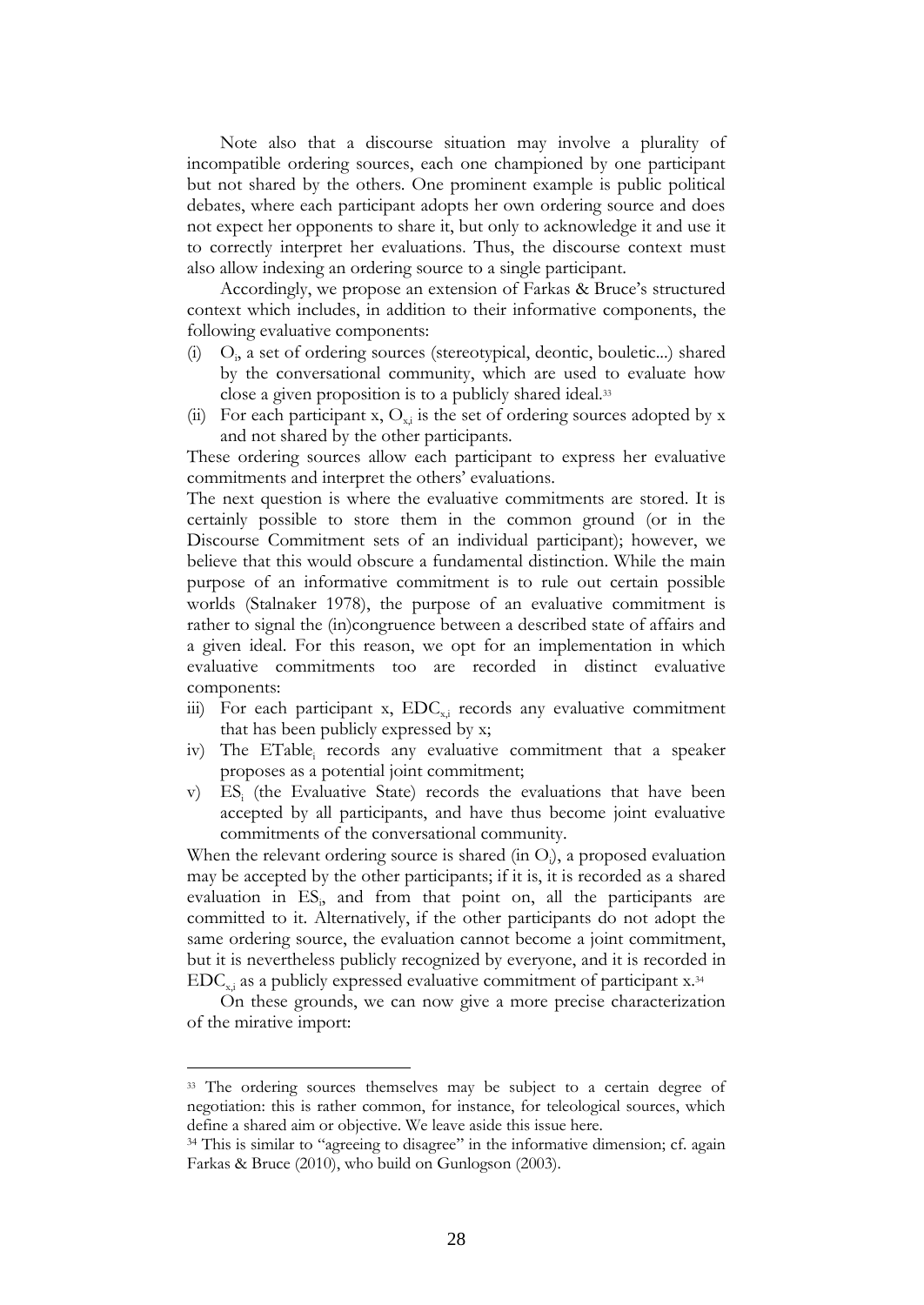Note also that a discourse situation may involve a plurality of incompatible ordering sources, each one championed by one participant but not shared by the others. One prominent example is public political debates, where each participant adopts her own ordering source and does not expect her opponents to share it, but only to acknowledge it and use it to correctly interpret her evaluations. Thus, the discourse context must also allow indexing an ordering source to a single participant.

Accordingly, we propose an extension of Farkas & Bruce's structured context which includes, in addition to their informative components, the following evaluative components:

- (i) O<sub>i</sub>, a set of ordering sources (stereotypical, deontic, bouletic...) shared by the conversational community, which are used to evaluate how close a given proposition is to a publicly shared ideal.<sup>33</sup>
- (ii) For each participant x,  $O_{xi}$  is the set of ordering sources adopted by x and not shared by the other participants.

These ordering sources allow each participant to express her evaluative commitments and interpret the others' evaluations.

The next question is where the evaluative commitments are stored. It is certainly possible to store them in the common ground (or in the Discourse Commitment sets of an individual participant); however, we believe that this would obscure a fundamental distinction. While the main purpose of an informative commitment is to rule out certain possible worlds (Stalnaker 1978), the purpose of an evaluative commitment is rather to signal the (in)congruence between a described state of affairs and a given ideal. For this reason, we opt for an implementation in which evaluative commitments too are recorded in distinct evaluative components:

- iii) For each participant x,  $EDC_{x,i}$  records any evaluative commitment that has been publicly expressed by x;
- iv) The ETable, records any evaluative commitment that a speaker proposes as a potential joint commitment;
- v) ES<sub>i</sub> (the Evaluative State) records the evaluations that have been accepted by all participants, and have thus become joint evaluative commitments of the conversational community.

When the relevant ordering source is shared (in O<sub>i</sub>), a proposed evaluation may be accepted by the other participants; if it is, it is recorded as a shared evaluation in ES<sub>i</sub>, and from that point on, all the participants are committed to it. Alternatively, if the other participants do not adopt the same ordering source, the evaluation cannot become a joint commitment, but it is nevertheless publicly recognized by everyone, and it is recorded in  $EDC_{x,i}$  as a publicly expressed evaluative commitment of participant x.<sup>34</sup>

On these grounds, we can now give a more precise characterization of the mirative import:

<sup>&</sup>lt;sup>33</sup> The ordering sources themselves may be subject to a certain degree of negotiation: this is rather common, for instance, for teleological sources, which define a shared aim or objective. We leave aside this issue here.

<sup>&</sup>lt;sup>34</sup> This is similar to "agreeing to disagree" in the informative dimension; cf. again Farkas & Bruce (2010), who build on Gunlogson (2003).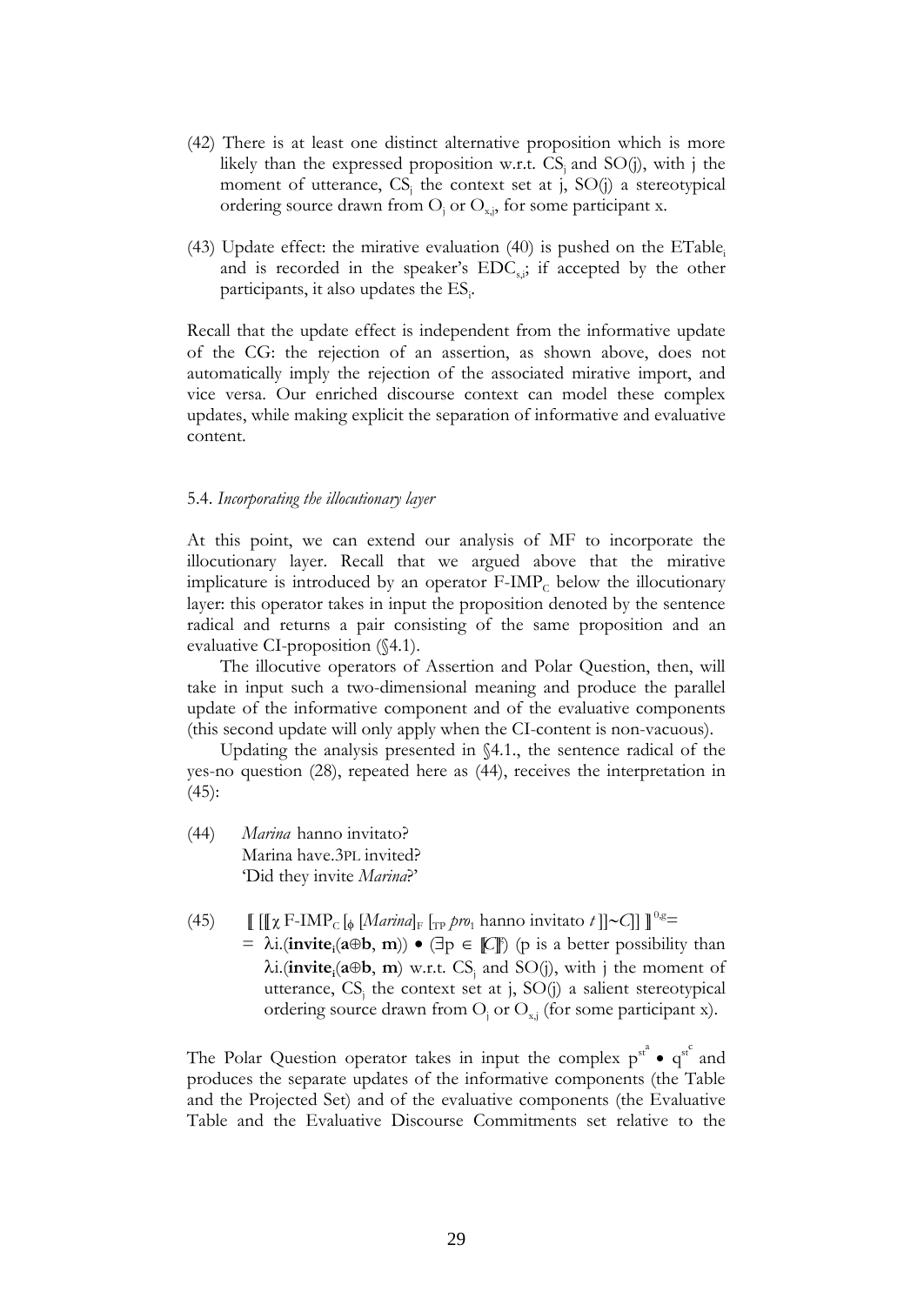- (42) There is at least one distinct alternative proposition which is more likely than the expressed proposition w.r.t.  $CS_i$  and  $SO(j)$ , with j the moment of utterance,  $CS_j$  the context set at j,  $SO(j)$  a stereotypical ordering source drawn from  $O_i$  or  $O_{xi}$ , for some participant x.
- $(43)$  Update effect: the mirative evaluation  $(40)$  is pushed on the ETable. and is recorded in the speaker's  $EDC<sub>s</sub>$ ; if accepted by the other participants, it also updates the ES.

Recall that the update effect is independent from the informative update of the CG: the rejection of an assertion, as shown above, does not automatically imply the rejection of the associated mirative import, and vice versa. Our enriched discourse context can model these complex updates, while making explicit the separation of informative and evaluative content.

#### 5.4. *Incorporating the illocutionary layer*

At this point, we can extend our analysis of MF to incorporate the illocutionary layer. Recall that we argued above that the mirative implicature is introduced by an operator  $F\text{-IMP}_C$  below the illocutionary layer: this operator takes in input the proposition denoted by the sentence radical and returns a pair consisting of the same proposition and an evaluative CI-proposition (§4.1).

The illocutive operators of Assertion and Polar Question, then, will take in input such a two-dimensional meaning and produce the parallel update of the informative component and of the evaluative components (this second update will only apply when the CI-content is non-vacuous).

Updating the analysis presented in §4.1., the sentence radical of the yes-no question (28), repeated here as (44), receives the interpretation in (45):

- (44) *Marina* hanno invitato? Marina have.3PL invited? 'Did they invite *Marina*?'
- (45)  $\left[\left[\left[\chi F\text{-IMP}_c\right]\phi\left[\text{Marinal}_F\right]\right]_{\text{TP}}\text{pro}_1 \text{ hanno invitato } t\right]\right] \sim C\right]\right] \int^{0.8} =$  $= \lambda i$ .(**invite**<sub>i</sub>( $a \oplus b$ , **m**))  $\bullet$  ( $\exists p \in \mathbb{C} \mathbb{F}$ ) (p is a better possibility than  $\lambda$ **i.(invite**<sub>i</sub>( $a \oplus b$ , **m**) w.r.t. CS<sub>j</sub> and SO(j), with j the moment of utterance,  $CS_j$  the context set at j,  $SO(j)$  a salient stereotypical ordering source drawn from  $O_i$  or  $O_{x,i}$  (for some participant x).

The Polar Question operator takes in input the complex  $p^{st^a} \cdot q^{st^c}$  and produces the separate updates of the informative components (the Table and the Projected Set) and of the evaluative components (the Evaluative Table and the Evaluative Discourse Commitments set relative to the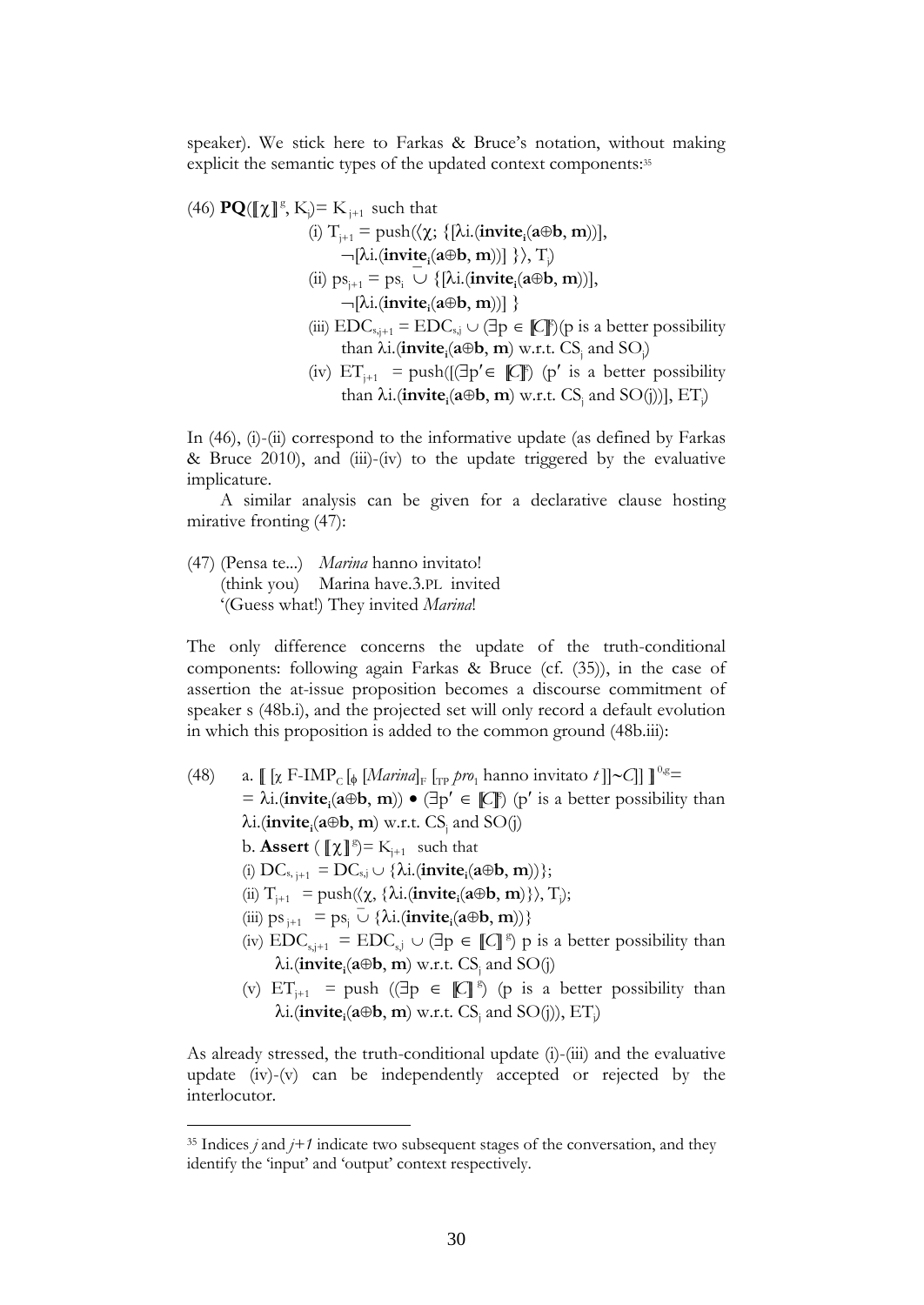speaker). We stick here to Farkas & Bruce's notation, without making explicit the semantic types of the updated context components:<sup>35</sup>

(46)  $\mathbf{PQ}(\llbracket \chi \rrbracket^g, K_j) = K_{j+1}$  such that  $(i)$   $T_{j+1}$  = push $(\langle \chi; \{[\lambda i.(\text{invite}_{i}(a \oplus b, m))], \chi \rangle\}$  $\neg$ [ $\lambda$ **i**.(**invite**<sub>i</sub>( $a \oplus b$ , **m**))]  $\}$ ), T<sub>i</sub>)  $(i)$   $ps_{j+1} = ps_i \cup \{[\lambda i.(\text{invite}_i(a \oplus b, m))],\}$  $\neg$ [ $\lambda$ i.(**invite**<sub>i</sub>( $a \oplus b$ , **m**))] } (iii)  $EDC_{s,j+1} = EDC_{s,j} \cup (\exists p \in \llbracket C \rrbracket)(p \text{ is a better possibility})$ than  $\lambda$ **i**.(**invite**<sub>i</sub>( $\mathbf{a} \oplus \mathbf{b}$ , **m**) w.r.t.  $CS_j$  and  $SO_j$ ) (iv)  $ET_{j+1}$  = push( $[(\exists p' \in \mathbb{C}])$  (p' is a better possibility than  $\lambda$ **i**.(**invite**<sub>i</sub>( $a \oplus b$ , **m**) w.r.t.  $CS$ <sub>i</sub> and  $SO(j)$ ],  $ET$ <sub>*j*</sub>

In (46), (i)-(ii) correspond to the informative update (as defined by Farkas & Bruce 2010), and (iii)-(iv) to the update triggered by the evaluative implicature.

A similar analysis can be given for a declarative clause hosting mirative fronting (47):

(47) (Pensa te...) *Marina* hanno invitato! (think you) Marina have.3.PL invited '(Guess what!) They invited *Marina*!

The only difference concerns the update of the truth-conditional components: following again Farkas & Bruce (cf. (35)), in the case of assertion the at-issue proposition becomes a discourse commitment of speaker s (48b.i), and the projected set will only record a default evolution in which this proposition is added to the common ground (48b.iii):

- (48) a.  $[[x F-IMP_C]_{\phi}$  [*Marina*]<sub>F</sub>  $[T_P$  *pro*<sub>1</sub> hanno invitato *t* ]]~C]]  $]^{0,g}$ =  $= \lambda i$ .(**invite**<sub>i</sub>( $a \oplus b$ , **m**))  $\bullet$  ( $\exists p' \in \mathbb{C} \mathbb{F}$ ) (p' is a better possibility than  $\lambda$ **i.**(**invite**<sub>i</sub>( $a \oplus b$ , **m**) w.r.t. CS<sub>j</sub> and SO(j)
	- b. **Assert** ( $[\![\chi]\!]^g$ ) =  $K_{j+1}$  such that

1

- $(i)$   $DC_{s, j+1} = DC_{s, j} \cup \{ \lambda i.(\text{invite}_i(a \oplus b, m)) \};$
- $(\text{ii})$  T<sub>j+1</sub> = push( $\langle \chi, {\lambda}$ **i.**(**invite**<sub>i</sub>( $\text{a} \oplus \text{b}$ , **m**) $\}$ ), T<sub>i</sub>);
- $\langle \text{iii} \rangle \text{ps}_{j+1} = \text{ps}_j \overline{\cup} \{ \lambda \text{i}.(\text{invite}_i(\mathbf{a} \oplus \mathbf{b}, \mathbf{m})) \}$
- (iv)  $EDC_{s,j+1} = EDC_{s,j} \cup (\exists p \in [[C]]^s) p$  is a better possibility than  $\lambda$ **i.**(**invite**<sub>i</sub>( $a \oplus b$ , **m**) w.r.t. CS<sub>j</sub> and SO(j)
- (v)  $ET_{j+1}$  = push ( $\exists p \in \mathbb{C} \mid s$ ) (p is a better possibility than  $\lambda$ **i.(invite**<sub>i</sub>( $a \oplus b$ , **m**) w.r.t. CS<sub>j</sub> and SO(j)), ET<sub>i</sub>)

As already stressed, the truth-conditional update (i)-(iii) and the evaluative update (iv)-(v) can be independently accepted or rejected by the interlocutor.

<sup>35</sup> Indices *j* and *j+1* indicate two subsequent stages of the conversation, and they identify the 'input' and 'output' context respectively.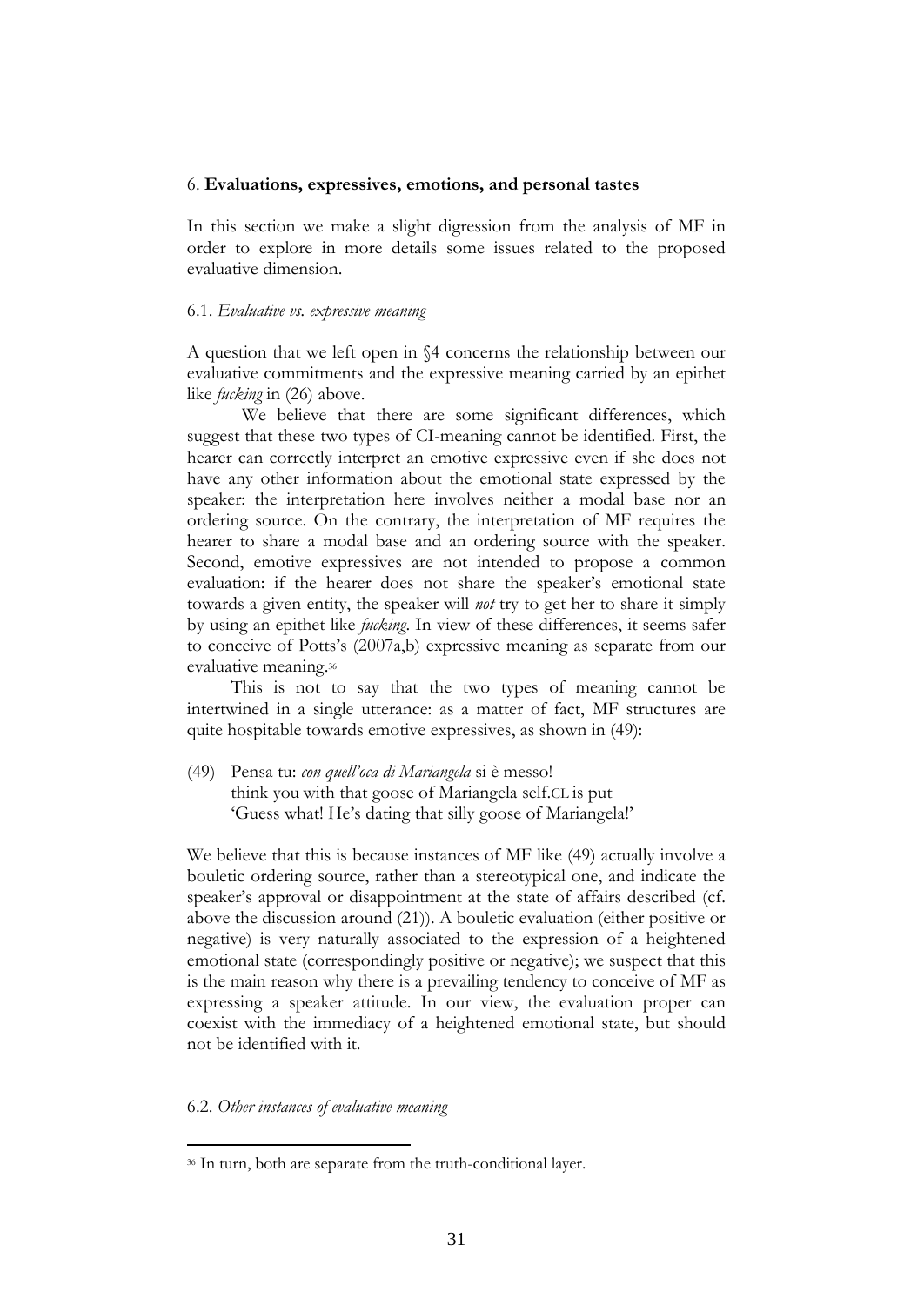#### 6. **Evaluations, expressives, emotions, and personal tastes**

In this section we make a slight digression from the analysis of MF in order to explore in more details some issues related to the proposed evaluative dimension.

#### 6.1. *Evaluative vs. expressive meaning*

A question that we left open in §4 concerns the relationship between our evaluative commitments and the expressive meaning carried by an epithet like *fucking* in (26) above.

We believe that there are some significant differences, which suggest that these two types of CI-meaning cannot be identified. First, the hearer can correctly interpret an emotive expressive even if she does not have any other information about the emotional state expressed by the speaker: the interpretation here involves neither a modal base nor an ordering source. On the contrary, the interpretation of MF requires the hearer to share a modal base and an ordering source with the speaker. Second, emotive expressives are not intended to propose a common evaluation: if the hearer does not share the speaker's emotional state towards a given entity, the speaker will *not* try to get her to share it simply by using an epithet like *fucking*. In view of these differences, it seems safer to conceive of Potts's (2007a,b) expressive meaning as separate from our evaluative meaning.<sup>36</sup>

This is not to say that the two types of meaning cannot be intertwined in a single utterance: as a matter of fact, MF structures are quite hospitable towards emotive expressives, as shown in (49):

(49) Pensa tu: *con quell'oca di Mariangela* si è messo! think you with that goose of Mariangela self.CL is put 'Guess what! He's dating that silly goose of Mariangela!'

We believe that this is because instances of MF like (49) actually involve a bouletic ordering source, rather than a stereotypical one, and indicate the speaker's approval or disappointment at the state of affairs described (cf. above the discussion around (21)). A bouletic evaluation (either positive or negative) is very naturally associated to the expression of a heightened emotional state (correspondingly positive or negative); we suspect that this is the main reason why there is a prevailing tendency to conceive of MF as expressing a speaker attitude. In our view, the evaluation proper can coexist with the immediacy of a heightened emotional state, but should not be identified with it.

### 6.2. *Other instances of evaluative meaning*

<sup>36</sup> In turn, both are separate from the truth-conditional layer.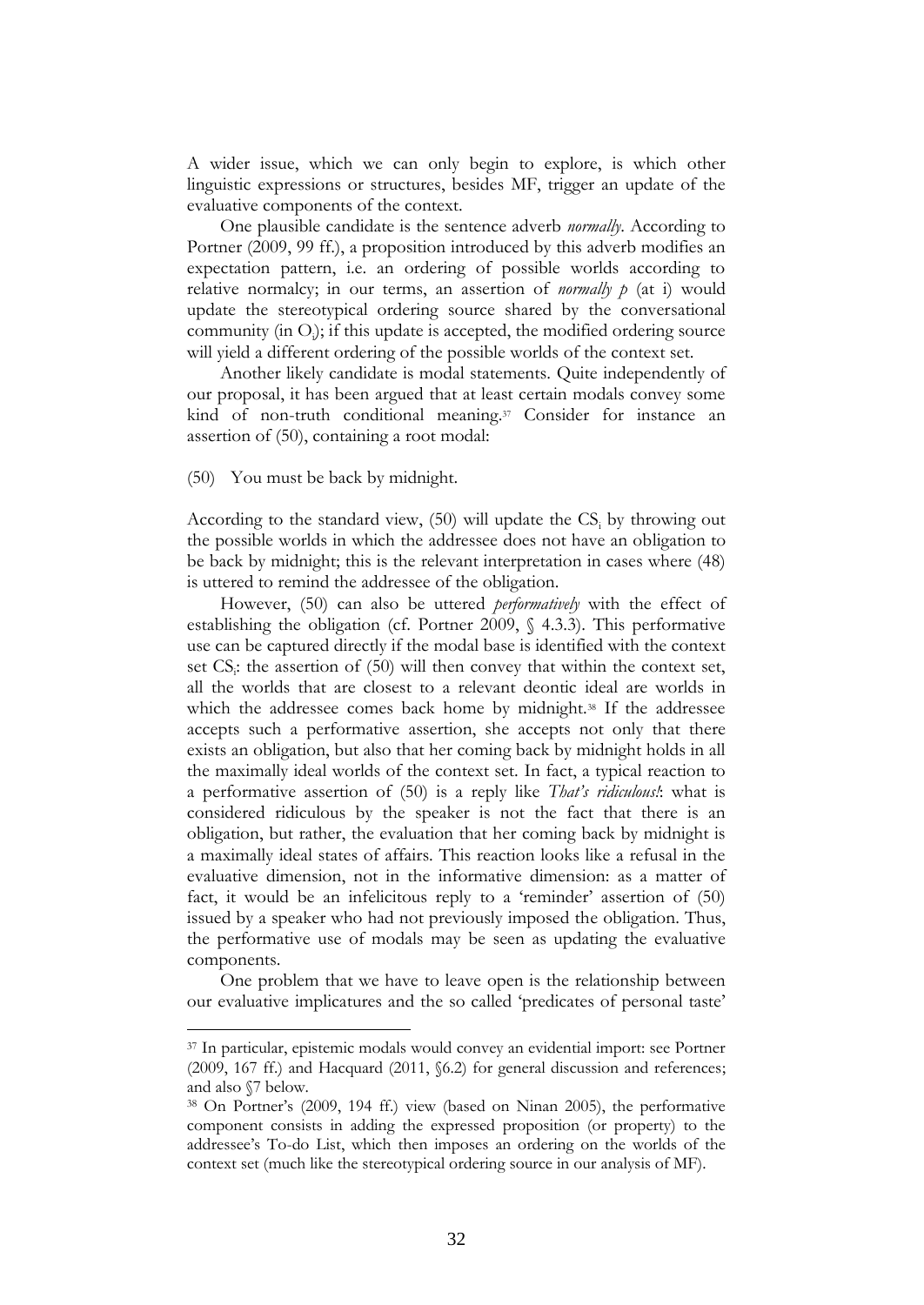A wider issue, which we can only begin to explore, is which other linguistic expressions or structures, besides MF, trigger an update of the evaluative components of the context.

One plausible candidate is the sentence adverb *normally*. According to Portner (2009, 99 ff.), a proposition introduced by this adverb modifies an expectation pattern, i.e. an ordering of possible worlds according to relative normalcy; in our terms, an assertion of *normally p* (at i) would update the stereotypical ordering source shared by the conversational community (in O<sub>i</sub>); if this update is accepted, the modified ordering source will yield a different ordering of the possible worlds of the context set.

Another likely candidate is modal statements. Quite independently of our proposal, it has been argued that at least certain modals convey some kind of non-truth conditional meaning.<sup>37</sup> Consider for instance an assertion of (50), containing a root modal:

#### (50) You must be back by midnight.

1

According to the standard view,  $(50)$  will update the CS<sub>i</sub> by throwing out the possible worlds in which the addressee does not have an obligation to be back by midnight; this is the relevant interpretation in cases where (48) is uttered to remind the addressee of the obligation.

However, (50) can also be uttered *performatively* with the effect of establishing the obligation (cf. Portner 2009, § 4.3.3). This performative use can be captured directly if the modal base is identified with the context set CS<sub>i</sub>: the assertion of (50) will then convey that within the context set, all the worlds that are closest to a relevant deontic ideal are worlds in which the addressee comes back home by midnight.<sup>38</sup> If the addressee accepts such a performative assertion, she accepts not only that there exists an obligation, but also that her coming back by midnight holds in all the maximally ideal worlds of the context set. In fact, a typical reaction to a performative assertion of (50) is a reply like *That's ridiculous!*: what is considered ridiculous by the speaker is not the fact that there is an obligation, but rather, the evaluation that her coming back by midnight is a maximally ideal states of affairs. This reaction looks like a refusal in the evaluative dimension, not in the informative dimension: as a matter of fact, it would be an infelicitous reply to a 'reminder' assertion of (50) issued by a speaker who had not previously imposed the obligation. Thus, the performative use of modals may be seen as updating the evaluative components.

One problem that we have to leave open is the relationship between our evaluative implicatures and the so called 'predicates of personal taste'

<sup>37</sup> In particular, epistemic modals would convey an evidential import: see Portner (2009, 167 ff.) and Hacquard (2011, §6.2) for general discussion and references; and also §7 below.

<sup>38</sup> On Portner's (2009, 194 ff.) view (based on Ninan 2005), the performative component consists in adding the expressed proposition (or property) to the addressee's To-do List, which then imposes an ordering on the worlds of the context set (much like the stereotypical ordering source in our analysis of MF).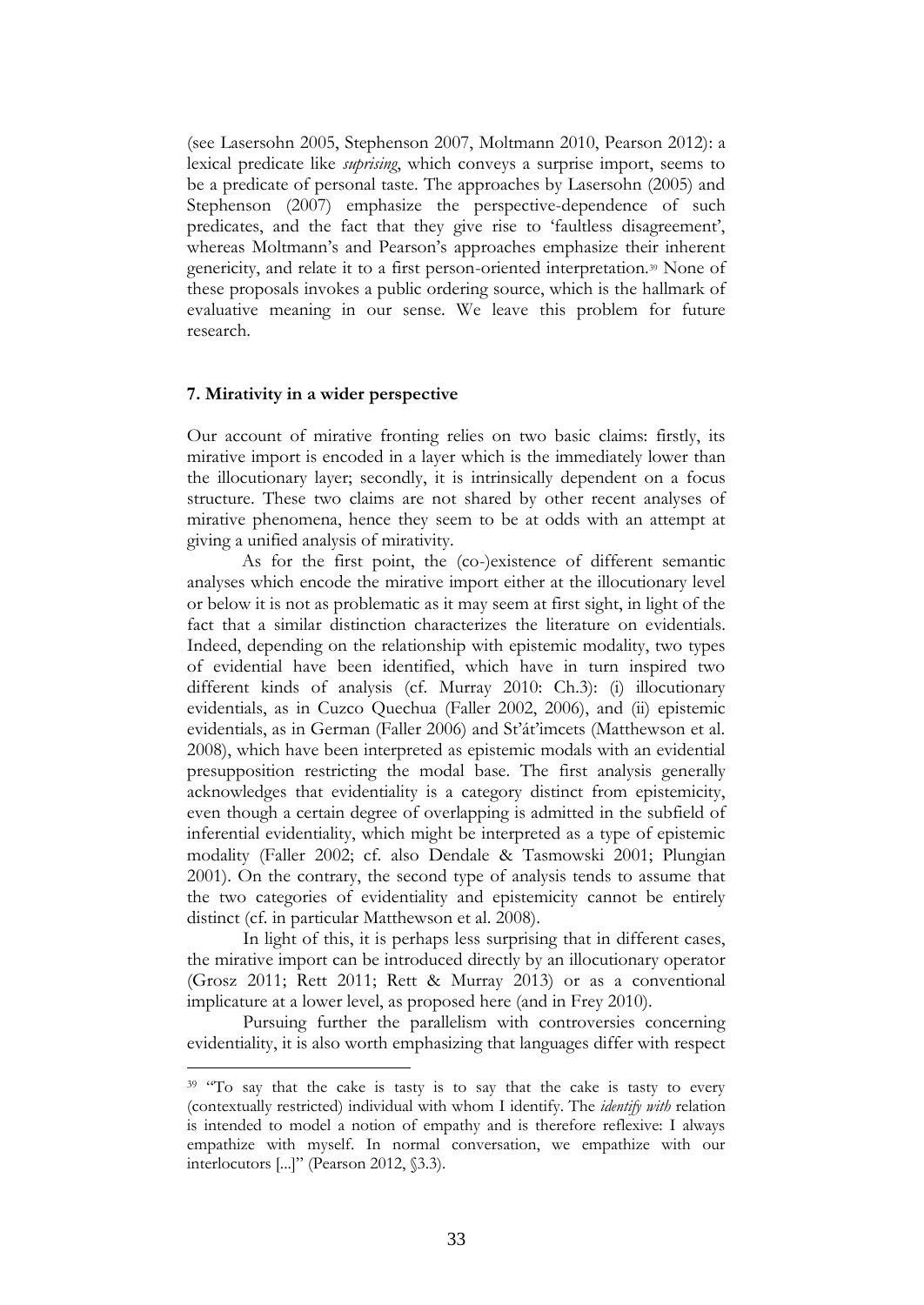(see Lasersohn 2005, Stephenson 2007, Moltmann 2010, Pearson 2012): a lexical predicate like *suprising*, which conveys a surprise import, seems to be a predicate of personal taste. The approaches by Lasersohn (2005) and Stephenson (2007) emphasize the perspective-dependence of such predicates, and the fact that they give rise to 'faultless disagreement', whereas Moltmann's and Pearson's approaches emphasize their inherent genericity, and relate it to a first person-oriented interpretation.<sup>39</sup> None of these proposals invokes a public ordering source, which is the hallmark of evaluative meaning in our sense. We leave this problem for future research.

#### **7. Mirativity in a wider perspective**

1

Our account of mirative fronting relies on two basic claims: firstly, its mirative import is encoded in a layer which is the immediately lower than the illocutionary layer; secondly, it is intrinsically dependent on a focus structure. These two claims are not shared by other recent analyses of mirative phenomena, hence they seem to be at odds with an attempt at giving a unified analysis of mirativity.

As for the first point, the (co-)existence of different semantic analyses which encode the mirative import either at the illocutionary level or below it is not as problematic as it may seem at first sight, in light of the fact that a similar distinction characterizes the literature on evidentials. Indeed, depending on the relationship with epistemic modality, two types of evidential have been identified, which have in turn inspired two different kinds of analysis (cf. Murray 2010: Ch.3): (i) illocutionary evidentials, as in Cuzco Quechua (Faller 2002, 2006), and (ii) epistemic evidentials, as in German (Faller 2006) and St'át'imcets (Matthewson et al. 2008), which have been interpreted as epistemic modals with an evidential presupposition restricting the modal base. The first analysis generally acknowledges that evidentiality is a category distinct from epistemicity, even though a certain degree of overlapping is admitted in the subfield of inferential evidentiality, which might be interpreted as a type of epistemic modality (Faller 2002; cf. also Dendale & Tasmowski 2001; Plungian 2001). On the contrary, the second type of analysis tends to assume that the two categories of evidentiality and epistemicity cannot be entirely distinct (cf. in particular Matthewson et al. 2008).

In light of this, it is perhaps less surprising that in different cases, the mirative import can be introduced directly by an illocutionary operator (Grosz 2011; Rett 2011; Rett & Murray 2013) or as a conventional implicature at a lower level, as proposed here (and in Frey 2010).

Pursuing further the parallelism with controversies concerning evidentiality, it is also worth emphasizing that languages differ with respect

<sup>&</sup>lt;sup>39</sup> "To say that the cake is tasty is to say that the cake is tasty to every (contextually restricted) individual with whom I identify. The *identify with* relation is intended to model a notion of empathy and is therefore reflexive: I always empathize with myself. In normal conversation, we empathize with our interlocutors [...]" (Pearson 2012, §3.3).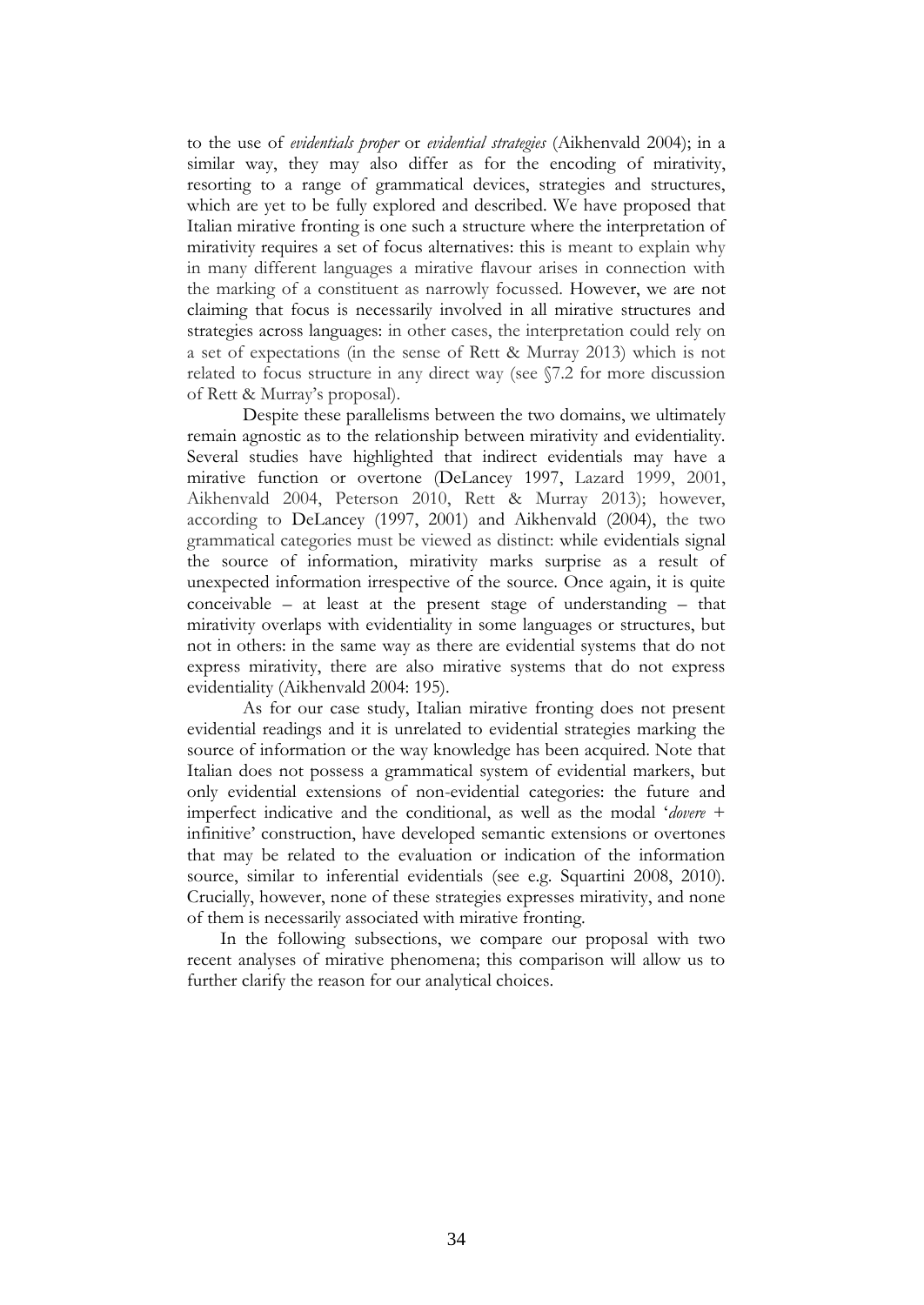to the use of *evidentials proper* or *evidential strategies* (Aikhenvald 2004); in a similar way, they may also differ as for the encoding of mirativity, resorting to a range of grammatical devices, strategies and structures, which are yet to be fully explored and described. We have proposed that Italian mirative fronting is one such a structure where the interpretation of mirativity requires a set of focus alternatives: this is meant to explain why in many different languages a mirative flavour arises in connection with the marking of a constituent as narrowly focussed. However, we are not claiming that focus is necessarily involved in all mirative structures and strategies across languages: in other cases, the interpretation could rely on a set of expectations (in the sense of Rett & Murray 2013) which is not related to focus structure in any direct way (see §7.2 for more discussion of Rett & Murray's proposal).

Despite these parallelisms between the two domains, we ultimately remain agnostic as to the relationship between mirativity and evidentiality. Several studies have highlighted that indirect evidentials may have a mirative function or overtone (DeLancey 1997, Lazard 1999, 2001, Aikhenvald 2004, Peterson 2010, Rett & Murray 2013); however, according to DeLancey (1997, 2001) and Aikhenvald (2004), the two grammatical categories must be viewed as distinct: while evidentials signal the source of information, mirativity marks surprise as a result of unexpected information irrespective of the source. Once again, it is quite conceivable – at least at the present stage of understanding – that mirativity overlaps with evidentiality in some languages or structures, but not in others: in the same way as there are evidential systems that do not express mirativity, there are also mirative systems that do not express evidentiality (Aikhenvald 2004: 195).

As for our case study, Italian mirative fronting does not present evidential readings and it is unrelated to evidential strategies marking the source of information or the way knowledge has been acquired. Note that Italian does not possess a grammatical system of evidential markers, but only evidential extensions of non-evidential categories: the future and imperfect indicative and the conditional, as well as the modal '*dovere* + infinitive' construction, have developed semantic extensions or overtones that may be related to the evaluation or indication of the information source, similar to inferential evidentials (see e.g. Squartini 2008, 2010). Crucially, however, none of these strategies expresses mirativity, and none of them is necessarily associated with mirative fronting.

In the following subsections, we compare our proposal with two recent analyses of mirative phenomena; this comparison will allow us to further clarify the reason for our analytical choices.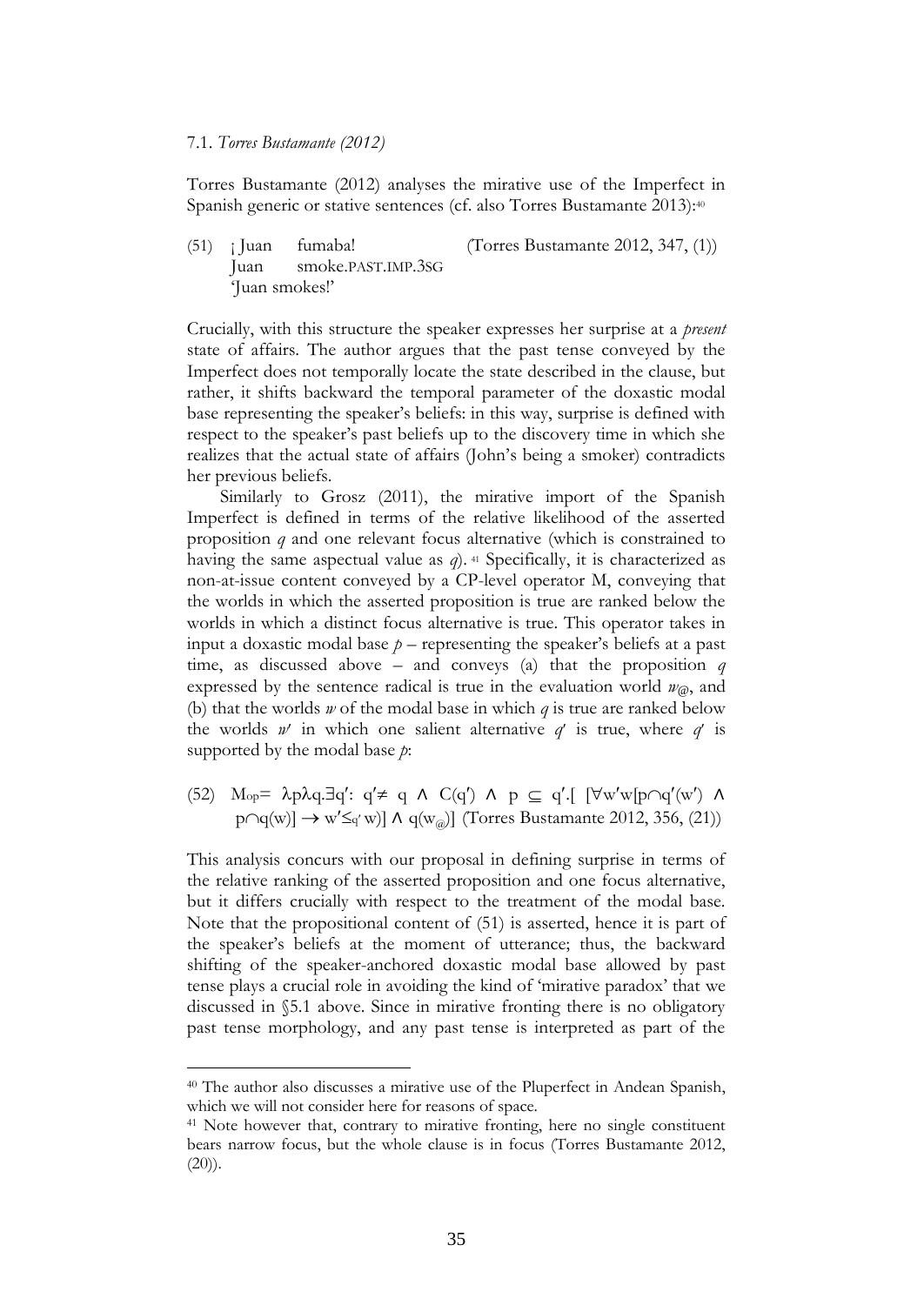#### 7.1. *Torres Bustamante (2012)*

Torres Bustamante (2012) analyses the mirative use of the Imperfect in Spanish generic or stative sentences (cf. also Torres Bustamante 2013): 40

 $(51)$  ; Juan fumaba! (Torres Bustamante 2012, 347, (1)) Juan smoke.PAST.IMP.3SG 'Juan smokes!'

Crucially, with this structure the speaker expresses her surprise at a *present* state of affairs. The author argues that the past tense conveyed by the Imperfect does not temporally locate the state described in the clause, but rather, it shifts backward the temporal parameter of the doxastic modal base representing the speaker's beliefs: in this way, surprise is defined with respect to the speaker's past beliefs up to the discovery time in which she realizes that the actual state of affairs (John's being a smoker) contradicts her previous beliefs.

Similarly to Grosz (2011), the mirative import of the Spanish Imperfect is defined in terms of the relative likelihood of the asserted proposition *q* and one relevant focus alternative (which is constrained to having the same aspectual value as *q*). <sup>41</sup> Specifically, it is characterized as non-at-issue content conveyed by a CP-level operator M, conveying that the worlds in which the asserted proposition is true are ranked below the worlds in which a distinct focus alternative is true. This operator takes in input a doxastic modal base  $p$  – representing the speaker's beliefs at a past time, as discussed above – and conveys (a) that the proposition *q*  expressed by the sentence radical is true in the evaluation world  $w_{\varphi}$ , and (b) that the worlds *w* of the modal base in which *q* is true are ranked below the worlds  $w'$  in which one salient alternative  $q'$  is true, where  $q'$  is supported by the modal base *p*:

(52) M<sub>op</sub>=  $\lambda p \lambda q \exists q' : q' \neq q \land C(q') \land p \subseteq q'$ .  $[\forall w'w[p \cap q'(w') \land q']$  $p \cap q(w) \rightarrow w' \leq q' w$ ]  $\land q(w_{\text{av}})$  (Torres Bustamante 2012, 356, (21))

This analysis concurs with our proposal in defining surprise in terms of the relative ranking of the asserted proposition and one focus alternative, but it differs crucially with respect to the treatment of the modal base. Note that the propositional content of (51) is asserted, hence it is part of the speaker's beliefs at the moment of utterance; thus, the backward shifting of the speaker-anchored doxastic modal base allowed by past tense plays a crucial role in avoiding the kind of 'mirative paradox' that we discussed in §5.1 above. Since in mirative fronting there is no obligatory past tense morphology, and any past tense is interpreted as part of the

<sup>40</sup> The author also discusses a mirative use of the Pluperfect in Andean Spanish, which we will not consider here for reasons of space.

<sup>&</sup>lt;sup>41</sup> Note however that, contrary to mirative fronting, here no single constituent bears narrow focus, but the whole clause is in focus (Torres Bustamante 2012,  $(20)$ ).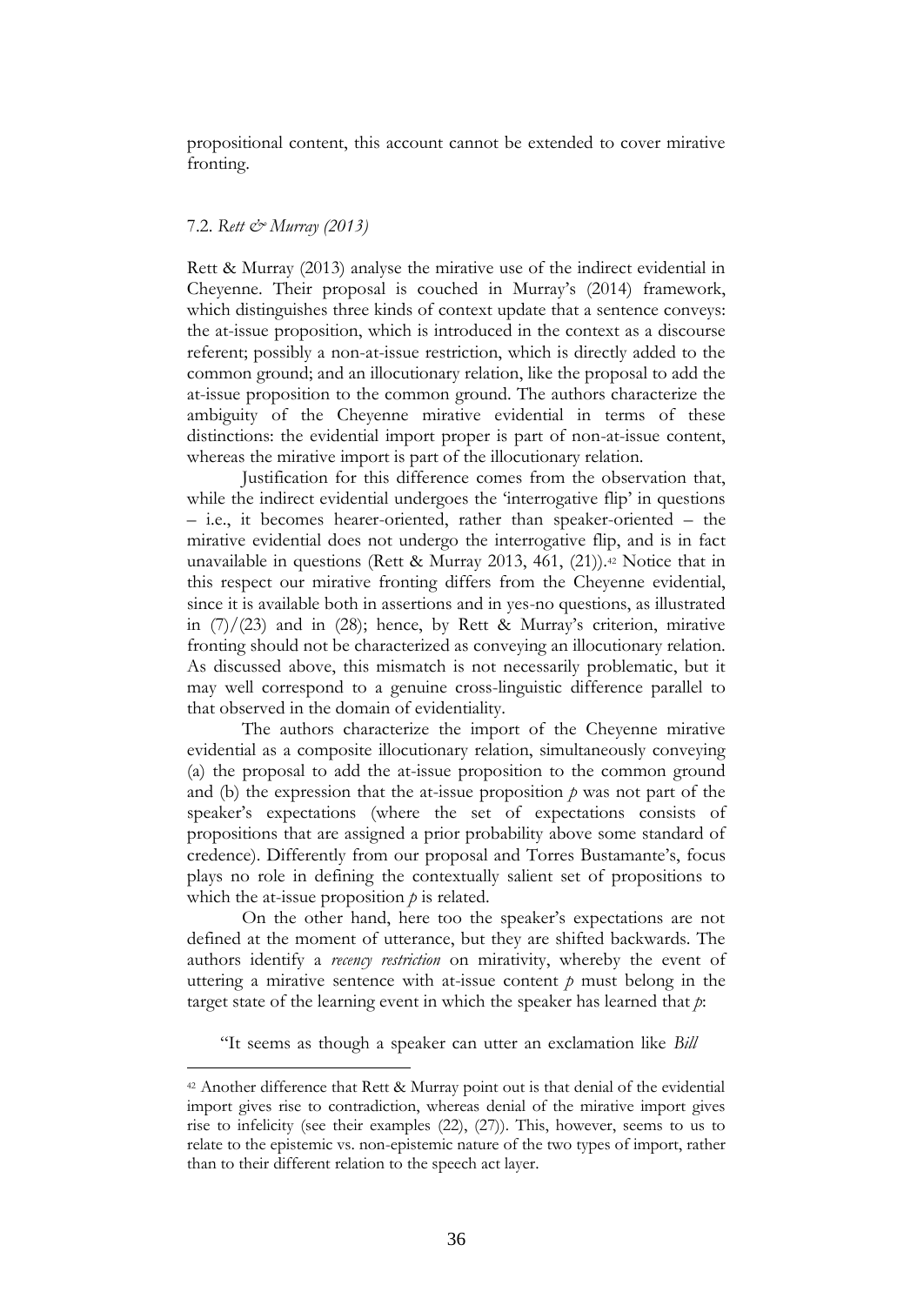propositional content, this account cannot be extended to cover mirative fronting.

#### 7.2. *Rett & Murray (2013)*

1

Rett & Murray (2013) analyse the mirative use of the indirect evidential in Cheyenne. Their proposal is couched in Murray's (2014) framework, which distinguishes three kinds of context update that a sentence conveys: the at-issue proposition, which is introduced in the context as a discourse referent; possibly a non-at-issue restriction, which is directly added to the common ground; and an illocutionary relation, like the proposal to add the at-issue proposition to the common ground. The authors characterize the ambiguity of the Cheyenne mirative evidential in terms of these distinctions: the evidential import proper is part of non-at-issue content, whereas the mirative import is part of the illocutionary relation.

Justification for this difference comes from the observation that, while the indirect evidential undergoes the 'interrogative flip' in questions – i.e., it becomes hearer-oriented, rather than speaker-oriented – the mirative evidential does not undergo the interrogative flip, and is in fact unavailable in questions (Rett & Murray 2013, 461, (21)).<sup>42</sup> Notice that in this respect our mirative fronting differs from the Cheyenne evidential, since it is available both in assertions and in yes-no questions, as illustrated in  $(7)/(23)$  and in (28); hence, by Rett & Murray's criterion, mirative fronting should not be characterized as conveying an illocutionary relation. As discussed above, this mismatch is not necessarily problematic, but it may well correspond to a genuine cross-linguistic difference parallel to that observed in the domain of evidentiality.

The authors characterize the import of the Cheyenne mirative evidential as a composite illocutionary relation, simultaneously conveying (a) the proposal to add the at-issue proposition to the common ground and (b) the expression that the at-issue proposition  $p$  was not part of the speaker's expectations (where the set of expectations consists of propositions that are assigned a prior probability above some standard of credence). Differently from our proposal and Torres Bustamante's, focus plays no role in defining the contextually salient set of propositions to which the at-issue proposition *p* is related.

On the other hand, here too the speaker's expectations are not defined at the moment of utterance, but they are shifted backwards. The authors identify a *recency restriction* on mirativity, whereby the event of uttering a mirative sentence with at-issue content  $p$  must belong in the target state of the learning event in which the speaker has learned that *p*:

"It seems as though a speaker can utter an exclamation like *Bill* 

<sup>42</sup> Another difference that Rett & Murray point out is that denial of the evidential import gives rise to contradiction, whereas denial of the mirative import gives rise to infelicity (see their examples (22), (27)). This, however, seems to us to relate to the epistemic vs. non-epistemic nature of the two types of import, rather than to their different relation to the speech act layer.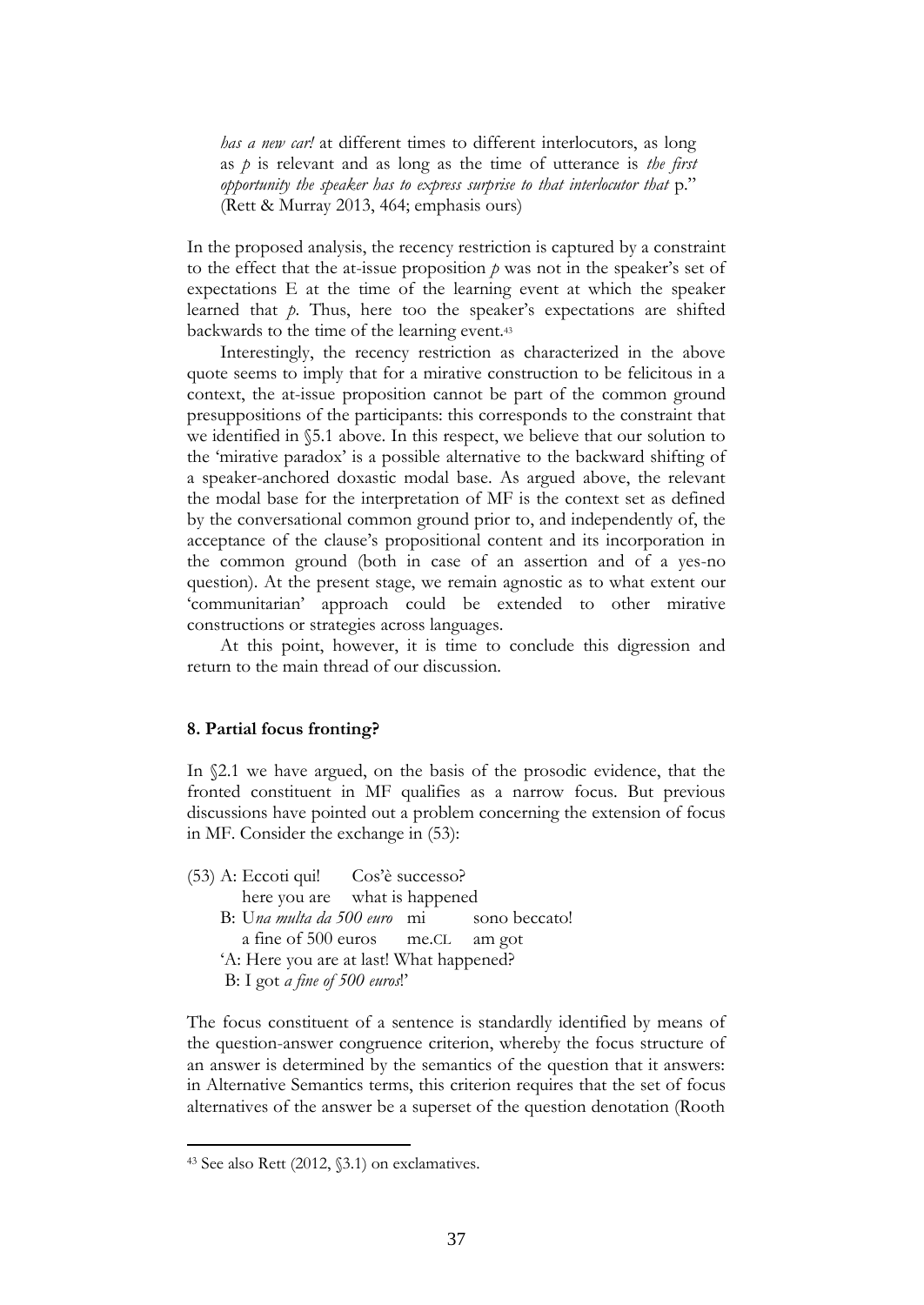*has a new car!* at different times to different interlocutors, as long as *p* is relevant and as long as the time of utterance is *the first opportunity the speaker has to express surprise to that interlocutor that* p." (Rett & Murray 2013, 464; emphasis ours)

In the proposed analysis, the recency restriction is captured by a constraint to the effect that the at-issue proposition *p* was not in the speaker's set of expectations E at the time of the learning event at which the speaker learned that *p*. Thus, here too the speaker's expectations are shifted backwards to the time of the learning event.<sup>43</sup>

Interestingly, the recency restriction as characterized in the above quote seems to imply that for a mirative construction to be felicitous in a context, the at-issue proposition cannot be part of the common ground presuppositions of the participants: this corresponds to the constraint that we identified in §5.1 above. In this respect, we believe that our solution to the 'mirative paradox' is a possible alternative to the backward shifting of a speaker-anchored doxastic modal base. As argued above, the relevant the modal base for the interpretation of MF is the context set as defined by the conversational common ground prior to, and independently of, the acceptance of the clause's propositional content and its incorporation in the common ground (both in case of an assertion and of a yes-no question). At the present stage, we remain agnostic as to what extent our 'communitarian' approach could be extended to other mirative constructions or strategies across languages.

At this point, however, it is time to conclude this digression and return to the main thread of our discussion.

#### **8. Partial focus fronting?**

In §2.1 we have argued, on the basis of the prosodic evidence, that the fronted constituent in MF qualifies as a narrow focus. But previous discussions have pointed out a problem concerning the extension of focus in MF. Consider the exchange in (53):

| $(53)$ A: Eccoti qui! Cos'è successo?     |  |  |
|-------------------------------------------|--|--|
| here you are what is happened             |  |  |
| B: Una multa da 500 euro mi sono beccato! |  |  |
| a fine of 500 euros me.CL am got          |  |  |
| 'A: Here you are at last! What happened?  |  |  |
| B: I got a fine of 500 euros!'            |  |  |

The focus constituent of a sentence is standardly identified by means of the question-answer congruence criterion, whereby the focus structure of an answer is determined by the semantics of the question that it answers: in Alternative Semantics terms, this criterion requires that the set of focus alternatives of the answer be a superset of the question denotation (Rooth

<sup>43</sup> See also Rett (2012, §3.1) on exclamatives.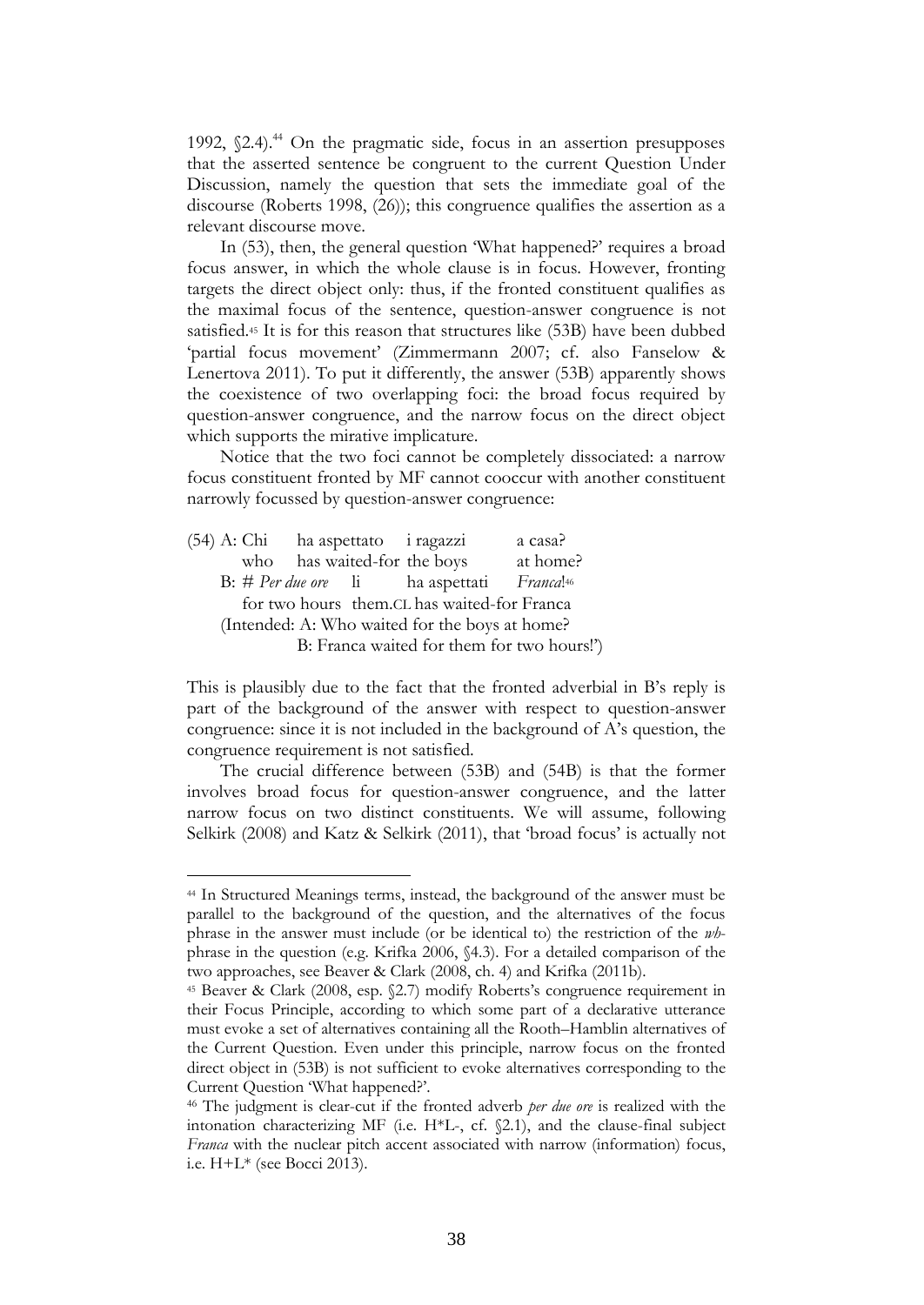1992,  $(2.4)$ .<sup>44</sup> On the pragmatic side, focus in an assertion presupposes that the asserted sentence be congruent to the current Question Under Discussion, namely the question that sets the immediate goal of the discourse (Roberts 1998, (26)); this congruence qualifies the assertion as a relevant discourse move.

In (53), then, the general question 'What happened?' requires a broad focus answer, in which the whole clause is in focus. However, fronting targets the direct object only: thus, if the fronted constituent qualifies as the maximal focus of the sentence, question-answer congruence is not satisfied.<sup>45</sup> It is for this reason that structures like (53B) have been dubbed 'partial focus movement' (Zimmermann 2007; cf. also Fanselow & Lenertova 2011). To put it differently, the answer (53B) apparently shows the coexistence of two overlapping foci: the broad focus required by question-answer congruence, and the narrow focus on the direct object which supports the mirative implicature.

Notice that the two foci cannot be completely dissociated: a narrow focus constituent fronted by MF cannot cooccur with another constituent narrowly focussed by question-answer congruence:

|  | (54) A: Chi ha aspettato i ragazzi |                                                                         | a casa?  |
|--|------------------------------------|-------------------------------------------------------------------------|----------|
|  |                                    | who has waited-for the boys                                             | at home? |
|  |                                    | $B: \#$ <i>Per due ore</i> li ha aspettati <i>Franca</i> <sup>146</sup> |          |
|  |                                    | for two hours them.CL has waited-for Franca                             |          |
|  |                                    | (Intended: A: Who waited for the boys at home?                          |          |
|  |                                    | B: Franca waited for them for two hours!')                              |          |

<u>.</u>

This is plausibly due to the fact that the fronted adverbial in B's reply is part of the background of the answer with respect to question-answer congruence: since it is not included in the background of A's question, the congruence requirement is not satisfied.

The crucial difference between (53B) and (54B) is that the former involves broad focus for question-answer congruence, and the latter narrow focus on two distinct constituents. We will assume, following Selkirk (2008) and Katz & Selkirk (2011), that 'broad focus' is actually not

<sup>44</sup> In Structured Meanings terms, instead, the background of the answer must be parallel to the background of the question, and the alternatives of the focus phrase in the answer must include (or be identical to) the restriction of the *wh*phrase in the question (e.g. Krifka 2006, §4.3). For a detailed comparison of the two approaches, see Beaver & Clark (2008, ch. 4) and Krifka (2011b).

<sup>45</sup> Beaver & Clark (2008, esp. §2.7) modify Roberts's congruence requirement in their Focus Principle, according to which some part of a declarative utterance must evoke a set of alternatives containing all the Rooth–Hamblin alternatives of the Current Question. Even under this principle, narrow focus on the fronted direct object in (53B) is not sufficient to evoke alternatives corresponding to the Current Question 'What happened?'.

<sup>46</sup> The judgment is clear-cut if the fronted adverb *per due ore* is realized with the intonation characterizing MF (i.e.  $H^*L$ -, cf.  $\S 2.1$ ), and the clause-final subject *Franca* with the nuclear pitch accent associated with narrow (information) focus, i.e. H+L\* (see Bocci 2013).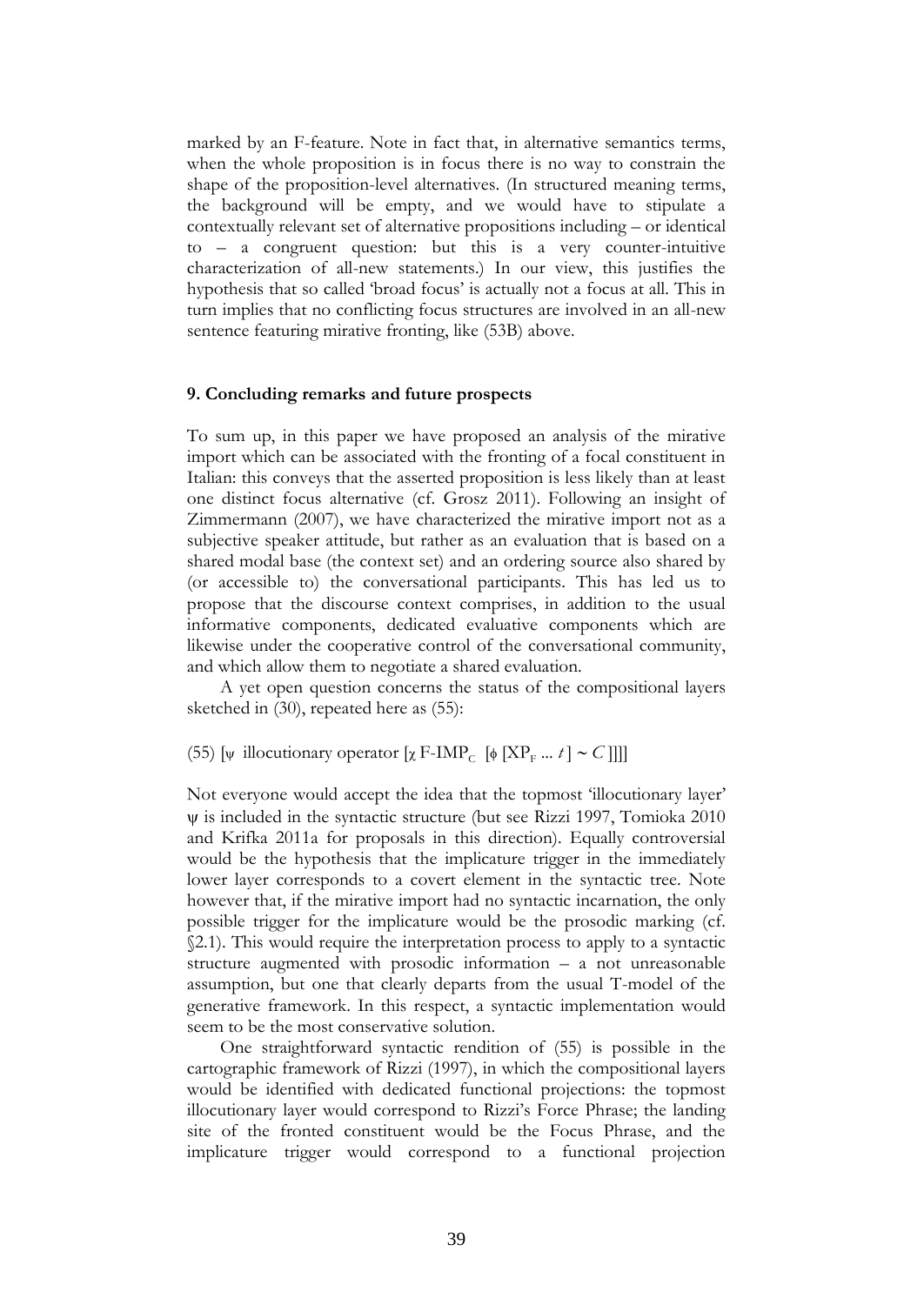marked by an F-feature. Note in fact that, in alternative semantics terms, when the whole proposition is in focus there is no way to constrain the shape of the proposition-level alternatives. (In structured meaning terms, the background will be empty, and we would have to stipulate a contextually relevant set of alternative propositions including – or identical to – a congruent question: but this is a very counter-intuitive characterization of all-new statements.) In our view, this justifies the hypothesis that so called 'broad focus' is actually not a focus at all. This in turn implies that no conflicting focus structures are involved in an all-new sentence featuring mirative fronting, like (53B) above.

# **9. Concluding remarks and future prospects**

To sum up, in this paper we have proposed an analysis of the mirative import which can be associated with the fronting of a focal constituent in Italian: this conveys that the asserted proposition is less likely than at least one distinct focus alternative (cf. Grosz 2011). Following an insight of Zimmermann (2007), we have characterized the mirative import not as a subjective speaker attitude, but rather as an evaluation that is based on a shared modal base (the context set) and an ordering source also shared by (or accessible to) the conversational participants. This has led us to propose that the discourse context comprises, in addition to the usual informative components, dedicated evaluative components which are likewise under the cooperative control of the conversational community, and which allow them to negotiate a shared evaluation.

A yet open question concerns the status of the compositional layers sketched in (30), repeated here as (55):

(55) [ $\psi$  illocutionary operator  $[\chi \text{ F-IMP}_{\text{C}}$  [ $\phi$  [XP<sub>F</sub> ... *t*] ~ *C*]]]]

Not everyone would accept the idea that the topmost 'illocutionary layer' is included in the syntactic structure (but see Rizzi 1997, Tomioka 2010 and Krifka 2011a for proposals in this direction). Equally controversial would be the hypothesis that the implicature trigger in the immediately lower layer corresponds to a covert element in the syntactic tree. Note however that, if the mirative import had no syntactic incarnation, the only possible trigger for the implicature would be the prosodic marking (cf. §2.1). This would require the interpretation process to apply to a syntactic structure augmented with prosodic information – a not unreasonable assumption, but one that clearly departs from the usual T-model of the generative framework. In this respect, a syntactic implementation would seem to be the most conservative solution.

One straightforward syntactic rendition of (55) is possible in the cartographic framework of Rizzi (1997), in which the compositional layers would be identified with dedicated functional projections: the topmost illocutionary layer would correspond to Rizzi's Force Phrase; the landing site of the fronted constituent would be the Focus Phrase, and the implicature trigger would correspond to a functional projection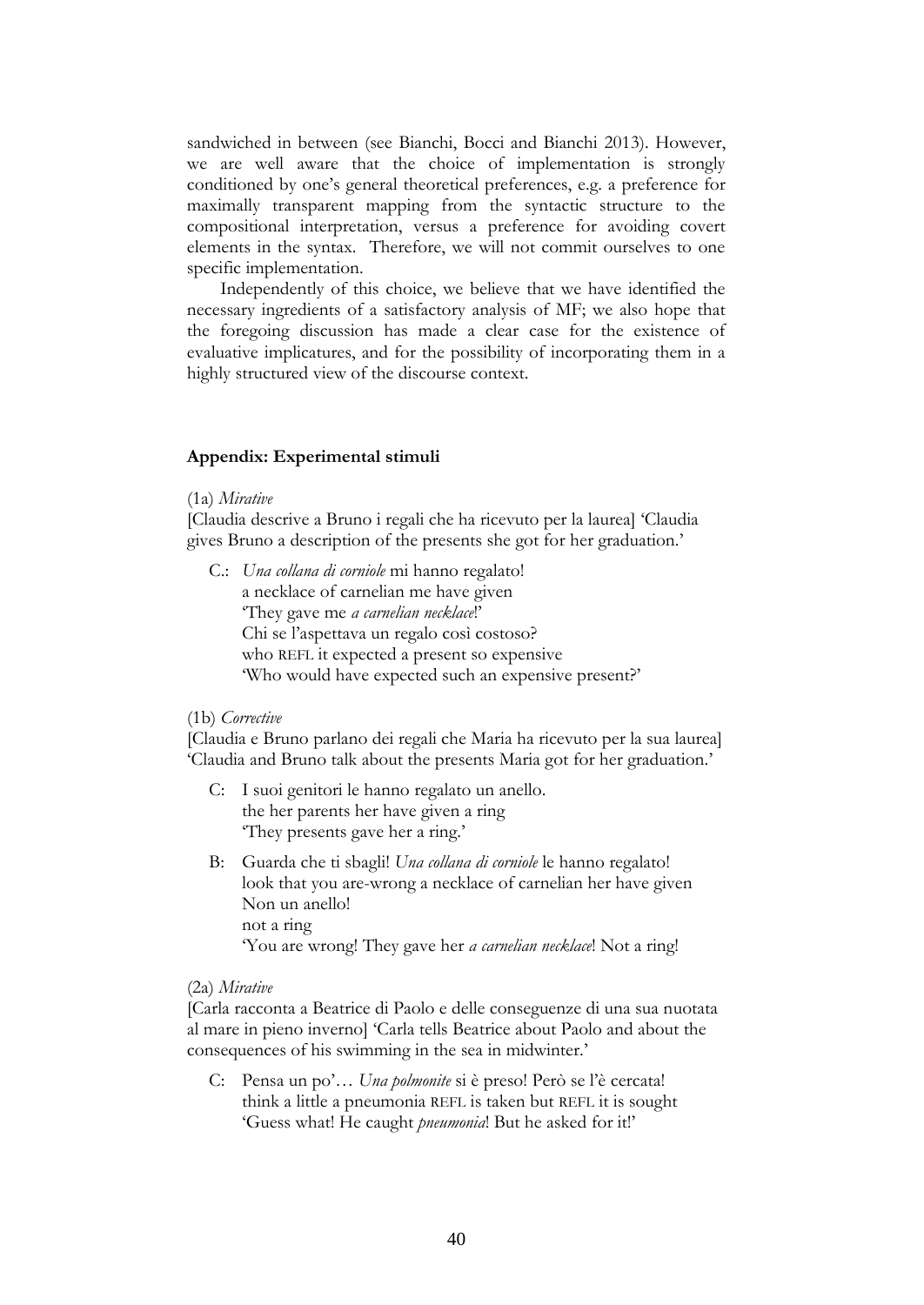sandwiched in between (see Bianchi, Bocci and Bianchi 2013). However, we are well aware that the choice of implementation is strongly conditioned by one's general theoretical preferences, e.g. a preference for maximally transparent mapping from the syntactic structure to the compositional interpretation, versus a preference for avoiding covert elements in the syntax. Therefore, we will not commit ourselves to one specific implementation.

Independently of this choice, we believe that we have identified the necessary ingredients of a satisfactory analysis of MF; we also hope that the foregoing discussion has made a clear case for the existence of evaluative implicatures, and for the possibility of incorporating them in a highly structured view of the discourse context.

## **Appendix: Experimental stimuli**

#### (1a) *Mirative*

[Claudia descrive a Bruno i regali che ha ricevuto per la laurea] 'Claudia gives Bruno a description of the presents she got for her graduation.'

C.: *Una collana di corniole* mi hanno regalato! a necklace of carnelian me have given 'They gave me *a carnelian necklace*!' Chi se l'aspettava un regalo così costoso? who REFL it expected a present so expensive 'Who would have expected such an expensive present?'

#### (1b) *Corrective*

[Claudia e Bruno parlano dei regali che Maria ha ricevuto per la sua laurea] 'Claudia and Bruno talk about the presents Maria got for her graduation.'

- C: I suoi genitori le hanno regalato un anello. the her parents her have given a ring 'They presents gave her a ring.'
- B: Guarda che ti sbagli! *Una collana di corniole* le hanno regalato! look that you are-wrong a necklace of carnelian her have given Non un anello! not a ring 'You are wrong! They gave her *a carnelian necklace*! Not a ring!

#### (2a) *Mirative*

[Carla racconta a Beatrice di Paolo e delle conseguenze di una sua nuotata al mare in pieno inverno] 'Carla tells Beatrice about Paolo and about the consequences of his swimming in the sea in midwinter.'

C: Pensa un po'… *Una polmonite* si è preso! Però se l'è cercata! think a little a pneumonia REFL is taken but REFL it is sought 'Guess what! He caught *pneumonia*! But he asked for it!'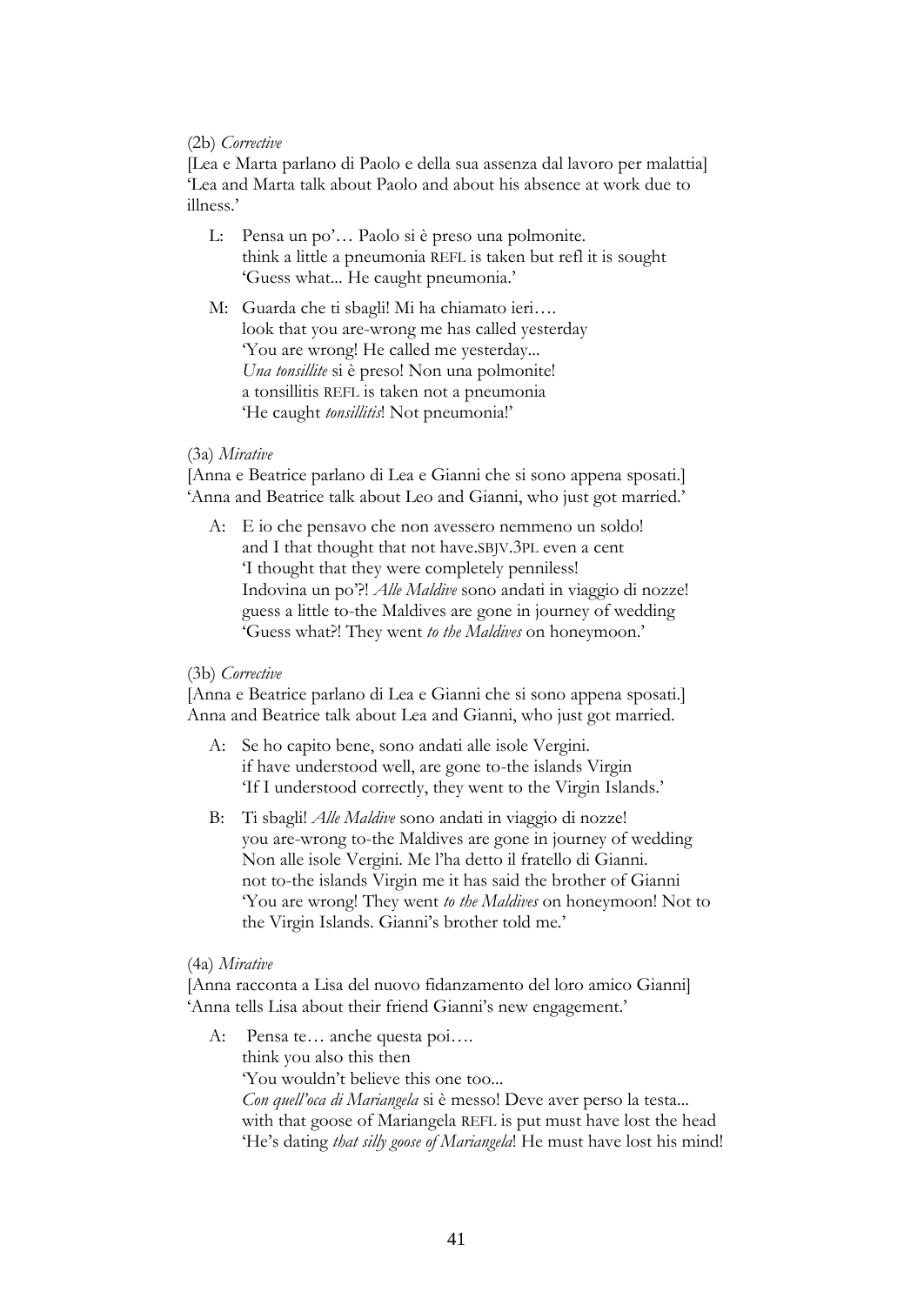# (2b) *Corrective*

[Lea e Marta parlano di Paolo e della sua assenza dal lavoro per malattia] 'Lea and Marta talk about Paolo and about his absence at work due to illness.'

- L: Pensa un po'… Paolo si è preso una polmonite. think a little a pneumonia REFL is taken but refl it is sought 'Guess what... He caught pneumonia.'
- M: Guarda che ti sbagli! Mi ha chiamato ieri…. look that you are-wrong me has called yesterday 'You are wrong! He called me yesterday... *Una tonsillite* si è preso! Non una polmonite! a tonsillitis REFL is taken not a pneumonia 'He caught *tonsillitis*! Not pneumonia!'

## (3a) *Mirative*

[Anna e Beatrice parlano di Lea e Gianni che si sono appena sposati.] 'Anna and Beatrice talk about Leo and Gianni, who just got married.'

A: E io che pensavo che non avessero nemmeno un soldo! and I that thought that not have.SBJV.3PL even a cent 'I thought that they were completely penniless! Indovina un po'?! *Alle Maldive* sono andati in viaggio di nozze! guess a little to-the Maldives are gone in journey of wedding 'Guess what?! They went *to the Maldives* on honeymoon.'

#### (3b) *Corrective*

[Anna e Beatrice parlano di Lea e Gianni che si sono appena sposati.] Anna and Beatrice talk about Lea and Gianni, who just got married.

- A: Se ho capito bene, sono andati alle isole Vergini. if have understood well, are gone to-the islands Virgin 'If I understood correctly, they went to the Virgin Islands.'
- B: Ti sbagli! *Alle Maldive* sono andati in viaggio di nozze! you are-wrong to-the Maldives are gone in journey of wedding Non alle isole Vergini. Me l'ha detto il fratello di Gianni. not to-the islands Virgin me it has said the brother of Gianni 'You are wrong! They went *to the Maldives* on honeymoon! Not to the Virgin Islands. Gianni's brother told me.'

#### (4a) *Mirative*

[Anna racconta a Lisa del nuovo fidanzamento del loro amico Gianni] 'Anna tells Lisa about their friend Gianni's new engagement.'

A: Pensa te… anche questa poi…. think you also this then 'You wouldn't believe this one too... *Con quell'oca di Mariangela* si è messo! Deve aver perso la testa... with that goose of Mariangela REFL is put must have lost the head 'He's dating *that silly goose of Mariangela*! He must have lost his mind!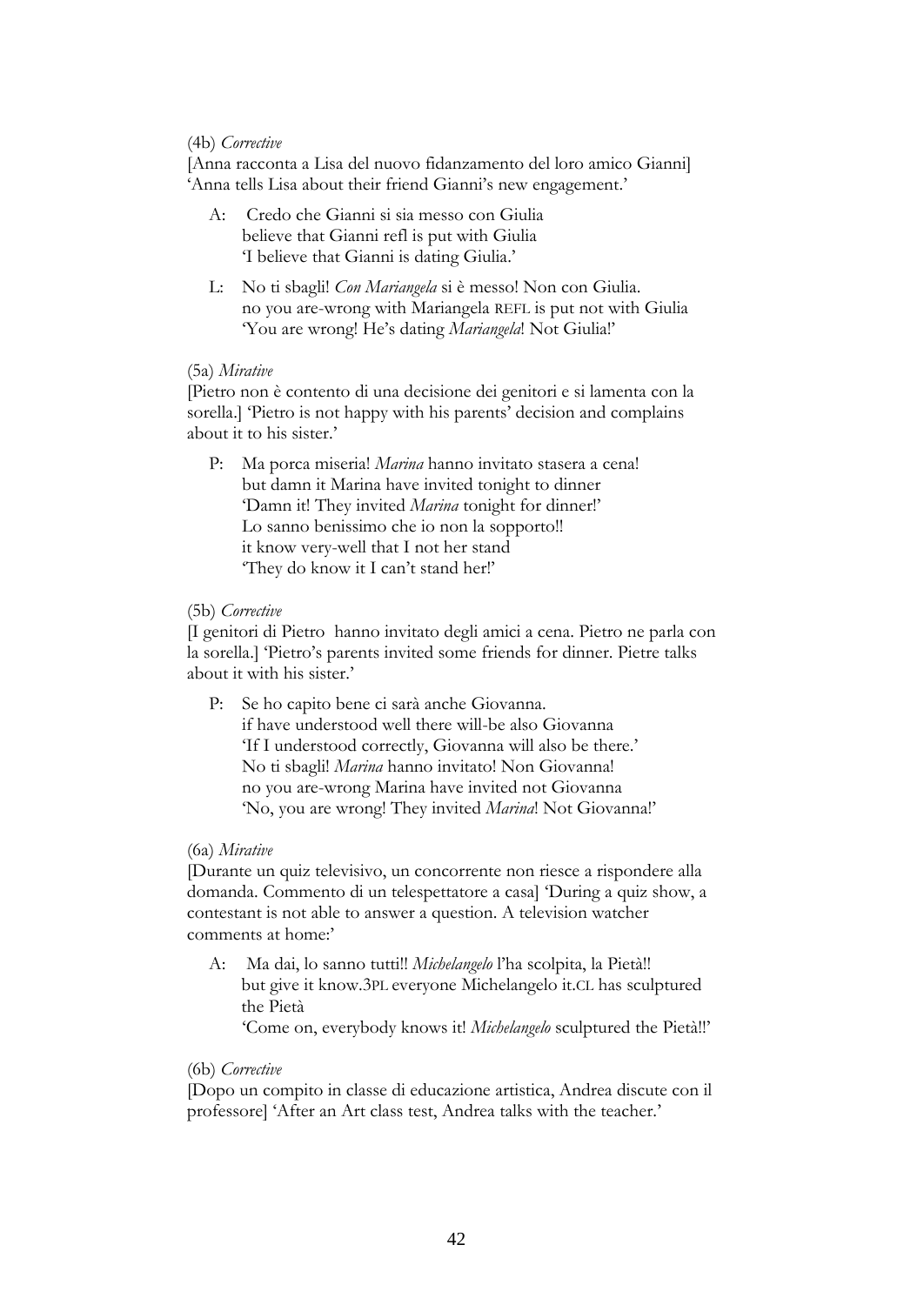# (4b) *Corrective*

[Anna racconta a Lisa del nuovo fidanzamento del loro amico Gianni] 'Anna tells Lisa about their friend Gianni's new engagement.'

- A: Credo che Gianni si sia messo con Giulia believe that Gianni refl is put with Giulia 'I believe that Gianni is dating Giulia.'
- L: No ti sbagli! *Con Mariangela* si è messo! Non con Giulia. no you are-wrong with Mariangela REFL is put not with Giulia 'You are wrong! He's dating *Mariangela*! Not Giulia!'

# (5a) *Mirative*

[Pietro non è contento di una decisione dei genitori e si lamenta con la sorella.] 'Pietro is not happy with his parents' decision and complains about it to his sister.'

P: Ma porca miseria! *Marina* hanno invitato stasera a cena! but damn it Marina have invited tonight to dinner 'Damn it! They invited *Marina* tonight for dinner!' Lo sanno benissimo che io non la sopporto!! it know very-well that I not her stand 'They do know it I can't stand her!'

# (5b) *Corrective*

[I genitori di Pietro hanno invitato degli amici a cena. Pietro ne parla con la sorella.] 'Pietro's parents invited some friends for dinner. Pietre talks about it with his sister.'

P: Se ho capito bene ci sarà anche Giovanna. if have understood well there will-be also Giovanna 'If I understood correctly, Giovanna will also be there.' No ti sbagli! *Marina* hanno invitato! Non Giovanna! no you are-wrong Marina have invited not Giovanna 'No, you are wrong! They invited *Marina*! Not Giovanna!'

# (6a) *Mirative*

[Durante un quiz televisivo, un concorrente non riesce a rispondere alla domanda. Commento di un telespettatore a casa] 'During a quiz show, a contestant is not able to answer a question. A television watcher comments at home:'

A: Ma dai, lo sanno tutti!! *Michelangelo* l'ha scolpita, la Pietà!! but give it know.3PL everyone Michelangelo it.CL has sculptured the Pietà 'Come on, everybody knows it! *Michelangelo* sculptured the Pietà!!'

# (6b) *Corrective*

[Dopo un compito in classe di educazione artistica, Andrea discute con il professore] 'After an Art class test, Andrea talks with the teacher.'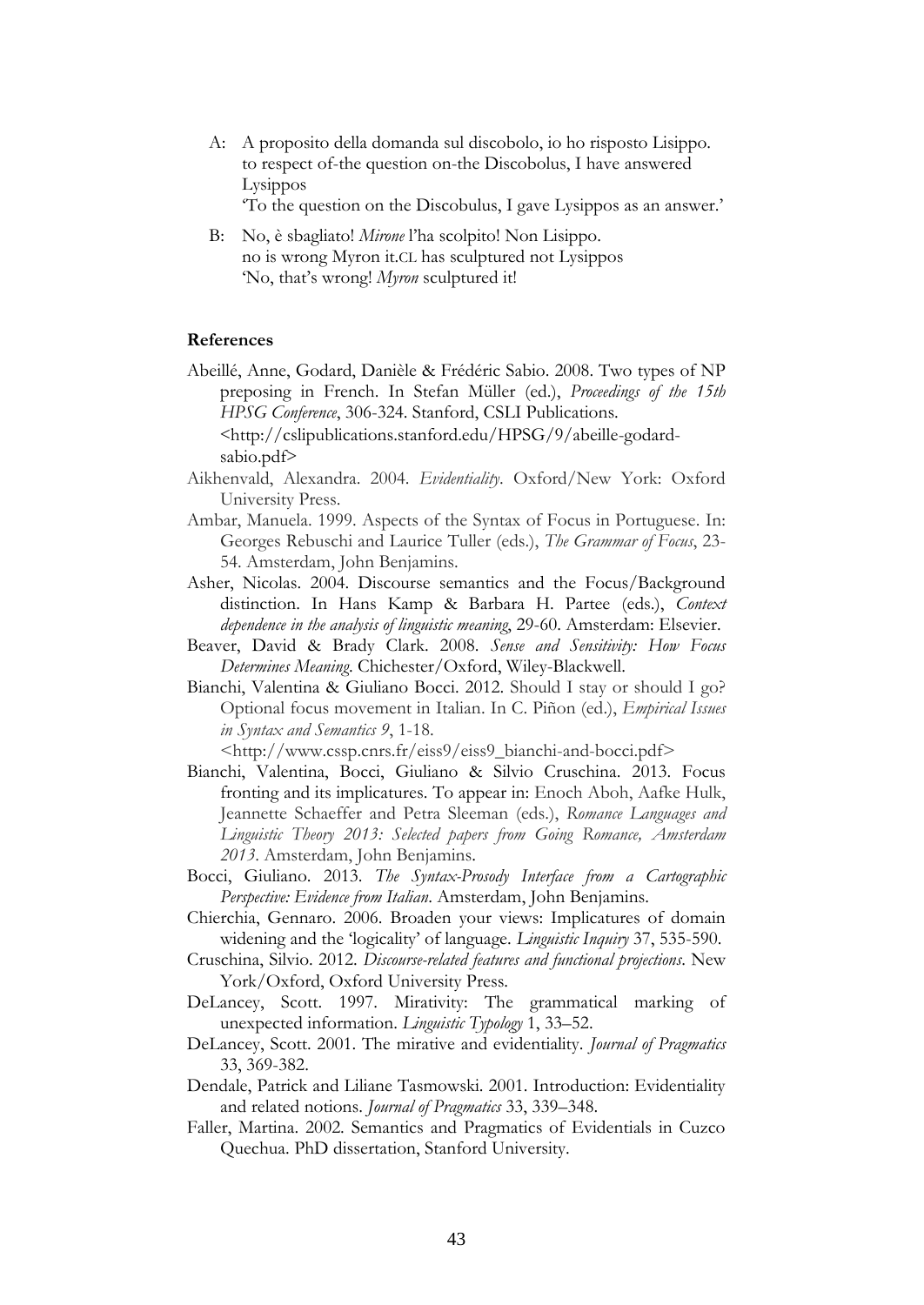A: A proposito della domanda sul discobolo, io ho risposto Lisippo. to respect of-the question on-the Discobolus, I have answered Lysippos

'To the question on the Discobulus, I gave Lysippos as an answer.'

B: No, è sbagliato! *Mirone* l'ha scolpito! Non Lisippo. no is wrong Myron it.CL has sculptured not Lysippos 'No, that's wrong! *Myron* sculptured it!

#### **References**

- Abeillé, Anne, Godard, Danièle & Frédéric Sabio. 2008. Two types of NP preposing in French. In Stefan Müller (ed.), *Proceedings of the 15th HPSG Conference*, 306-324. Stanford, CSLI Publications. <[http://cslipublications.stanford.edu/HPSG/9/abeille-godard](http://cslipublications.stanford.edu/HPSG/9/abeille-godard-sabio.pdf)[sabio.pdf](http://cslipublications.stanford.edu/HPSG/9/abeille-godard-sabio.pdf)>
- Aikhenvald, Alexandra. 2004. *Evidentiality*. Oxford/New York: Oxford University Press.
- Ambar, Manuela. 1999. Aspects of the Syntax of Focus in Portuguese. In: Georges Rebuschi and Laurice Tuller (eds.), *The Grammar of Focus*, 23- 54. Amsterdam, John Benjamins.
- Asher, Nicolas. 2004. Discourse semantics and the Focus/Background distinction. In Hans Kamp & Barbara H. Partee (eds.), *Context dependence in the analysis of linguistic meaning*, 29-60. Amsterdam: Elsevier.
- Beaver, David & Brady Clark. 2008. *Sense and Sensitivity: How Focus Determines Meaning*. Chichester/Oxford, Wiley-Blackwell.
- Bianchi, Valentina & Giuliano Bocci. 2012. Should I stay or should I go? Optional focus movement in Italian. In C. Piñon (ed.), *Empirical Issues in Syntax and Semantics 9*, 1-18.

<http://www.cssp.cnrs.fr/eiss9/eiss9\_bianchi-and-bocci.pdf>

- Bianchi, Valentina, Bocci, Giuliano & Silvio Cruschina. 2013. Focus fronting and its implicatures. To appear in: Enoch Aboh, Aafke Hulk, Jeannette Schaeffer and Petra Sleeman (eds.), *Romance Languages and Linguistic Theory 2013: Selected papers from Going Romance, Amsterdam 2013*. Amsterdam, John Benjamins.
- Bocci, Giuliano. 2013. *The Syntax-Prosody Interface from a Cartographic Perspective: Evidence from Italian*. Amsterdam, John Benjamins.
- Chierchia, Gennaro. 2006. Broaden your views: Implicatures of domain widening and the 'logicality' of language. *Linguistic Inquiry* 37, 535-590.
- Cruschina, Silvio. 2012. *Discourse-related features and functional projections*. New York/Oxford, Oxford University Press.
- DeLancey, Scott. 1997. Mirativity: The grammatical marking of unexpected information. *Linguistic Typology* 1, 33–52.
- DeLancey, Scott. 2001. The mirative and evidentiality. *Journal of Pragmatics* 33, 369-382.
- Dendale, Patrick and Liliane Tasmowski. 2001. Introduction: Evidentiality and related notions. *Journal of Pragmatics* 33, 339–348.
- Faller, Martina. 2002. Semantics and Pragmatics of Evidentials in Cuzco Quechua. PhD dissertation, Stanford University.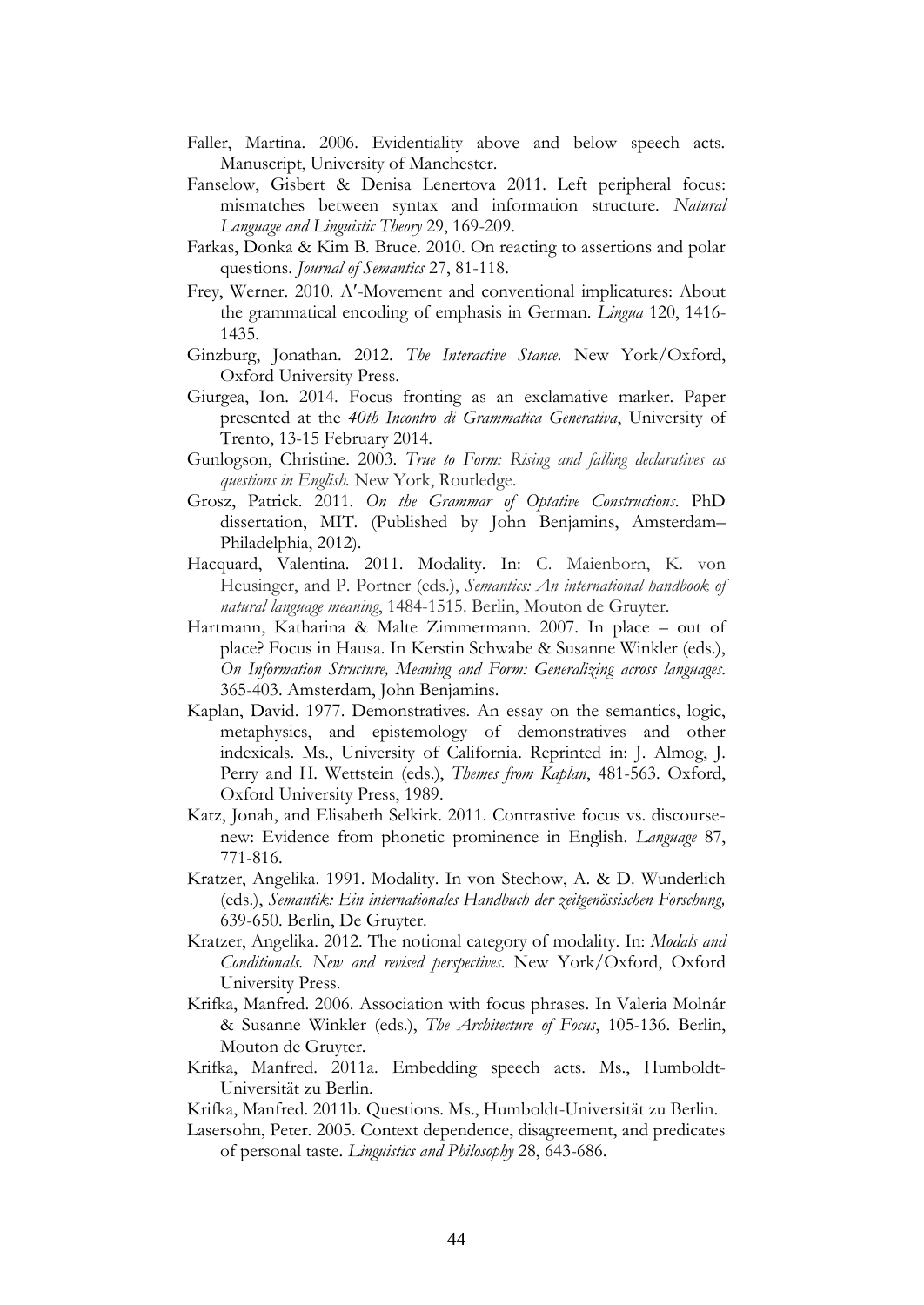- Faller, Martina. 2006. Evidentiality above and below speech acts. Manuscript, University of Manchester.
- Fanselow, Gisbert & Denisa Lenertova 2011. Left peripheral focus: mismatches between syntax and information structure. *Natural Language and Linguistic Theory* 29, 169-209.
- Farkas, Donka & Kim B. Bruce. 2010. On reacting to assertions and polar questions. *Journal of Semantics* 27, 81-118.
- Frey, Werner. 2010. A-Movement and conventional implicatures: About the grammatical encoding of emphasis in German. *Lingua* 120, 1416- 1435.
- Ginzburg, Jonathan. 2012. *The Interactive Stance.* New York/Oxford, Oxford University Press.
- Giurgea, Ion. 2014. Focus fronting as an exclamative marker. Paper presented at the *40th Incontro di Grammatica Generativa*, University of Trento, 13-15 February 2014.
- Gunlogson, Christine. 2003. *True to Form: Rising and falling declaratives as questions in English.* New York, Routledge.
- Grosz, Patrick. 2011. *On the Grammar of Optative Constructions*. PhD dissertation, MIT. (Published by John Benjamins, Amsterdam– Philadelphia, 2012).
- Hacquard, Valentina. 2011. Modality. In: C. Maienborn, K. von Heusinger, and P. Portner (eds.), *Semantics: An international handbook of natural language meaning*, 1484-1515. Berlin, Mouton de Gruyter.
- Hartmann, Katharina & Malte Zimmermann. 2007. In place out of place? Focus in Hausa. In Kerstin Schwabe & Susanne Winkler (eds.), *On Information Structure, Meaning and Form: Generalizing across languages*. 365-403. Amsterdam, John Benjamins.
- Kaplan, David. 1977. Demonstratives. An essay on the semantics, logic, metaphysics, and epistemology of demonstratives and other indexicals. Ms., University of California. Reprinted in: J. Almog, J. Perry and H. Wettstein (eds.), *Themes from Kaplan*, 481-563. Oxford, Oxford University Press, 1989.
- Katz, Jonah, and Elisabeth Selkirk. 2011. Contrastive focus vs. discoursenew: Evidence from phonetic prominence in English. *Language* 87, 771-816.
- Kratzer, Angelika. 1991. Modality. In von Stechow, A. & D. Wunderlich (eds.), *Semantik: Ein internationales Handbuch der zeitgenössischen Forschung,* 639-650. Berlin, De Gruyter.
- Kratzer, Angelika. 2012. The notional category of modality. In: *Modals and Conditionals. New and revised perspectives*. New York/Oxford, Oxford University Press.
- Krifka, Manfred. 2006. Association with focus phrases. In Valeria Molnár & Susanne Winkler (eds.), *The Architecture of Focus*, 105-136. Berlin, Mouton de Gruyter.
- Krifka, Manfred. 2011a. Embedding speech acts. Ms., Humboldt-Universität zu Berlin.
- Krifka, Manfred. 2011b. Questions. Ms., Humboldt-Universität zu Berlin.
- Lasersohn, Peter. 2005. Context dependence, disagreement, and predicates of personal taste. *Linguistics and Philosophy* 28, 643-686.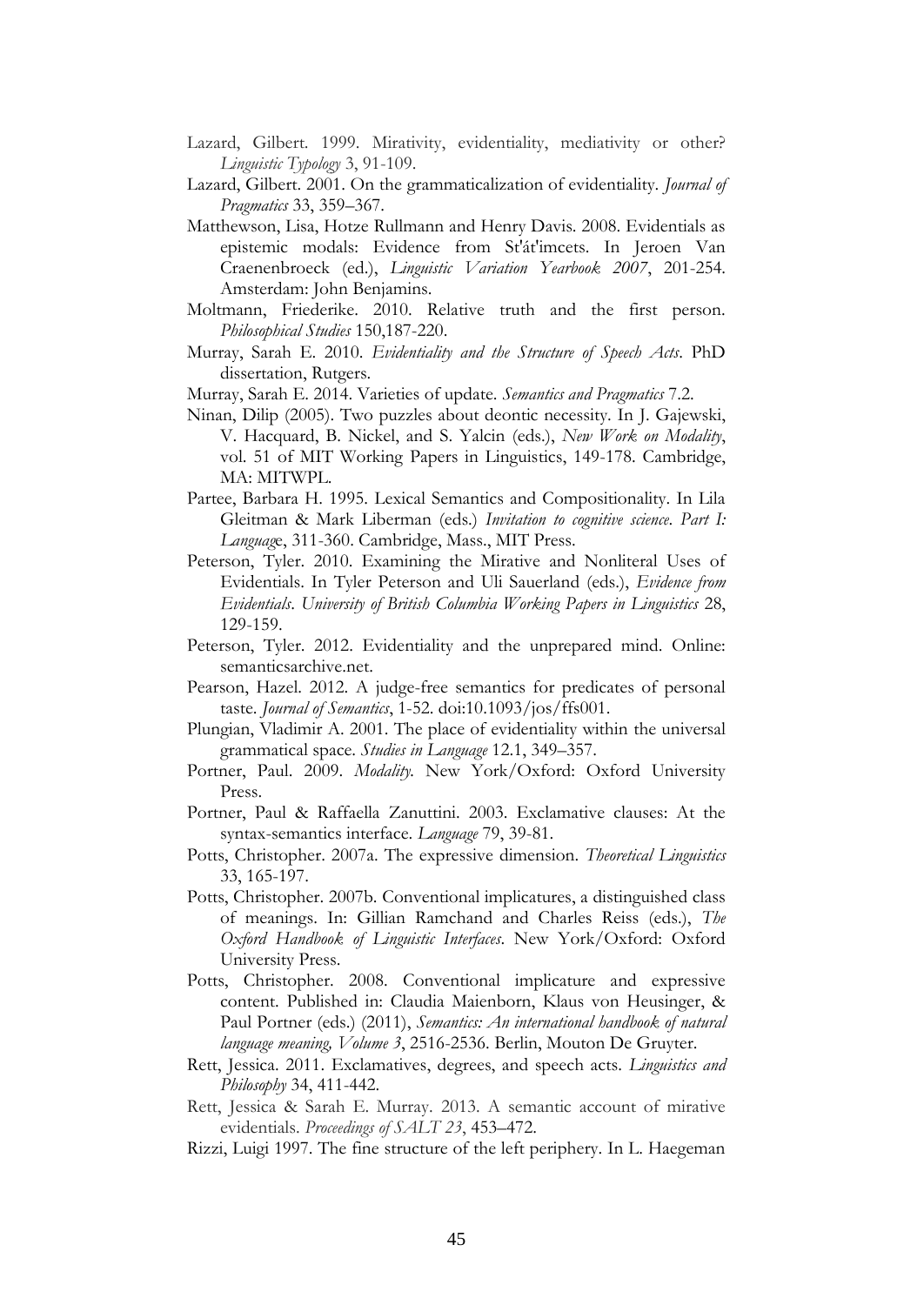- Lazard, Gilbert. 1999. Mirativity, evidentiality, mediativity or other? *Linguistic Typology* 3, 91-109.
- Lazard, Gilbert. 2001. On the grammaticalization of evidentiality. *Journal of Pragmatics* 33, 359–367.
- Matthewson, Lisa, Hotze Rullmann and Henry Davis. 2008. Evidentials as epistemic modals: Evidence from St'át'imcets. In Jeroen Van Craenenbroeck (ed.), *Linguistic Variation Yearbook 2007*, 201-254. Amsterdam: John Benjamins.
- Moltmann, Friederike. 2010. Relative truth and the first person. *[Philosophical Studies](http://philpapers.org/asearch.pl?pubn=Philosophical%20Studies)* 150,187-220.
- Murray, Sarah E. 2010. *Evidentiality and the Structure of Speech Acts*. PhD dissertation, Rutgers.
- Murray, Sarah E. 2014. Varieties of update. *Semantics and Pragmatics* 7.2.
- Ninan, Dilip (2005). Two puzzles about deontic necessity. In J. Gajewski, V. Hacquard, B. Nickel, and S. Yalcin (eds.), *New Work on Modality*, vol. 51 of MIT Working Papers in Linguistics, 149-178. Cambridge, MA: MITWPL.
- Partee, Barbara H. 1995. Lexical Semantics and Compositionality. In Lila Gleitman & Mark Liberman (eds.) *Invitation to cognitive science*. *Part I: Languag*e, 311-360. Cambridge, Mass., MIT Press.
- Peterson, Tyler. 2010. Examining the Mirative and Nonliteral Uses of Evidentials. In Tyler Peterson and Uli Sauerland (eds.), *Evidence from Evidentials*. *University of British Columbia Working Papers in Linguistics* 28, 129-159.
- Peterson, Tyler. 2012. Evidentiality and the unprepared mind. Online: semanticsarchive.net.
- Pearson, Hazel. 2012. A judge-free semantics for predicates of personal taste. *Journal of Semantics*, 1-52. doi:10.1093/jos/ffs001.
- Plungian, Vladimir A. 2001. The place of evidentiality within the universal grammatical space. *Studies in Language* 12.1, 349–357.
- Portner, Paul. 2009. *Modality.* New York/Oxford: Oxford University Press.
- Portner, Paul & Raffaella Zanuttini. 2003. Exclamative clauses: At the syntax-semantics interface. *Language* 79, 39-81.
- Potts, Christopher. 2007a. The expressive dimension. *Theoretical Linguistics* 33, 165-197.
- Potts, Christopher. 2007b. Conventional implicatures, a distinguished class of meanings. In: Gillian Ramchand and Charles Reiss (eds.), *The Oxford Handbook of Linguistic Interfaces*. New York/Oxford: Oxford University Press.
- Potts, Christopher. 2008. Conventional implicature and expressive content. Published in: Claudia Maienborn, Klaus von Heusinger, & Paul Portner (eds.) (2011), *Semantics: An international handbook of natural language meaning, Volume 3*, 2516-2536. Berlin, Mouton De Gruyter.
- Rett, Jessica. 2011. Exclamatives, degrees, and speech acts. *Linguistics and Philosophy* 34, 411-442.
- Rett, Jessica & Sarah E. Murray. 2013. A semantic account of mirative evidentials. *Proceedings of SALT 23*, 453–472.
- Rizzi, Luigi 1997. The fine structure of the left periphery. In L. Haegeman